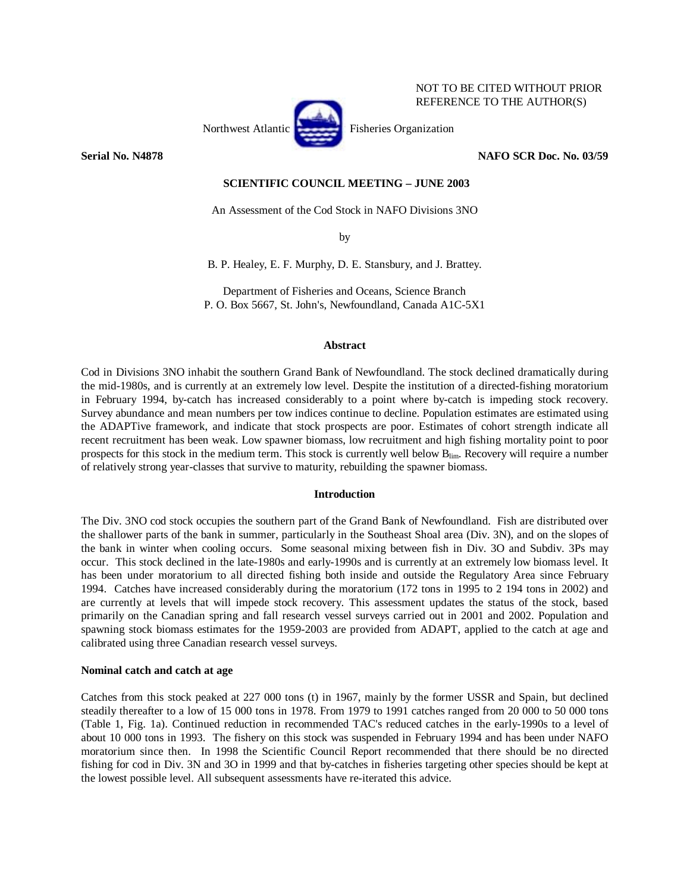

# **Serial No. N4878 NAFO SCR Doc. No. 03/59**

NOT TO BE CITED WITHOUT PRIOR REFERENCE TO THE AUTHOR(S)

# **SCIENTIFIC COUNCIL MEETING – JUNE 2003**

An Assessment of the Cod Stock in NAFO Divisions 3NO

by

B. P. Healey, E. F. Murphy, D. E. Stansbury, and J. Brattey.

Department of Fisheries and Oceans, Science Branch P. O. Box 5667, St. John's, Newfoundland, Canada A1C-5X1

### **Abstract**

Cod in Divisions 3NO inhabit the southern Grand Bank of Newfoundland. The stock declined dramatically during the mid-1980s, and is currently at an extremely low level. Despite the institution of a directed-fishing moratorium in February 1994, by-catch has increased considerably to a point where by-catch is impeding stock recovery. Survey abundance and mean numbers per tow indices continue to decline. Population estimates are estimated using the ADAPTive framework, and indicate that stock prospects are poor. Estimates of cohort strength indicate all recent recruitment has been weak. Low spawner biomass, low recruitment and high fishing mortality point to poor prospects for this stock in the medium term. This stock is currently well below B<sub>lim</sub>. Recovery will require a number of relatively strong year-classes that survive to maturity, rebuilding the spawner biomass.

# **Introduction**

The Div. 3NO cod stock occupies the southern part of the Grand Bank of Newfoundland. Fish are distributed over the shallower parts of the bank in summer, particularly in the Southeast Shoal area (Div. 3N), and on the slopes of the bank in winter when cooling occurs. Some seasonal mixing between fish in Div. 3O and Subdiv. 3Ps may occur. This stock declined in the late-1980s and early-1990s and is currently at an extremely low biomass level. It has been under moratorium to all directed fishing both inside and outside the Regulatory Area since February 1994. Catches have increased considerably during the moratorium (172 tons in 1995 to 2 194 tons in 2002) and are currently at levels that will impede stock recovery. This assessment updates the status of the stock, based primarily on the Canadian spring and fall research vessel surveys carried out in 2001 and 2002. Population and spawning stock biomass estimates for the 1959-2003 are provided from ADAPT, applied to the catch at age and calibrated using three Canadian research vessel surveys.

# **Nominal catch and catch at age**

Catches from this stock peaked at 227 000 tons (t) in 1967, mainly by the former USSR and Spain, but declined steadily thereafter to a low of 15 000 tons in 1978. From 1979 to 1991 catches ranged from 20 000 to 50 000 tons (Table 1, Fig. 1a). Continued reduction in recommended TAC's reduced catches in the early-1990s to a level of about 10 000 tons in 1993. The fishery on this stock was suspended in February 1994 and has been under NAFO moratorium since then. In 1998 the Scientific Council Report recommended that there should be no directed fishing for cod in Div. 3N and 3O in 1999 and that by-catches in fisheries targeting other species should be kept at the lowest possible level. All subsequent assessments have re-iterated this advice.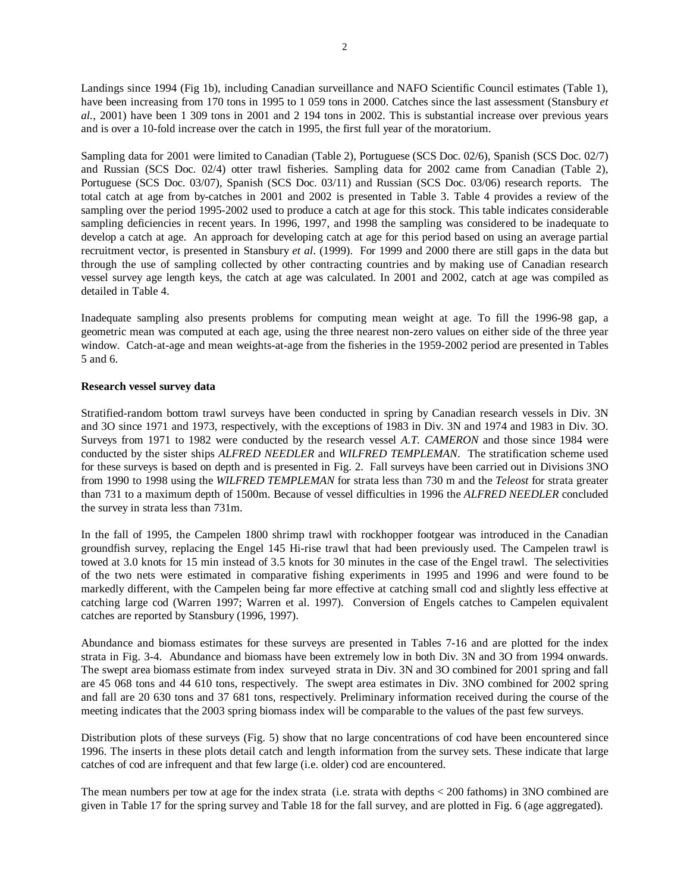Landings since 1994 (Fig 1b), including Canadian surveillance and NAFO Scientific Council estimates (Table 1), have been increasing from 170 tons in 1995 to 1 059 tons in 2000. Catches since the last assessment (Stansbury *et al.*, 2001) have been 1 309 tons in 2001 and 2 194 tons in 2002. This is substantial increase over previous years and is over a 10-fold increase over the catch in 1995, the first full year of the moratorium.

Sampling data for 2001 were limited to Canadian (Table 2), Portuguese (SCS Doc. 02/6), Spanish (SCS Doc. 02/7) and Russian (SCS Doc. 02/4) otter trawl fisheries. Sampling data for 2002 came from Canadian (Table 2), Portuguese (SCS Doc. 03/07), Spanish (SCS Doc. 03/11) and Russian (SCS Doc. 03/06) research reports. The total catch at age from by-catches in 2001 and 2002 is presented in Table 3. Table 4 provides a review of the sampling over the period 1995-2002 used to produce a catch at age for this stock. This table indicates considerable sampling deficiencies in recent years. In 1996, 1997, and 1998 the sampling was considered to be inadequate to develop a catch at age. An approach for developing catch at age for this period based on using an average partial recruitment vector, is presented in Stansbury *et al*. (1999). For 1999 and 2000 there are still gaps in the data but through the use of sampling collected by other contracting countries and by making use of Canadian research vessel survey age length keys, the catch at age was calculated. In 2001 and 2002, catch at age was compiled as detailed in Table 4.

Inadequate sampling also presents problems for computing mean weight at age. To fill the 1996-98 gap, a geometric mean was computed at each age, using the three nearest non-zero values on either side of the three year window. Catch-at-age and mean weights-at-age from the fisheries in the 1959-2002 period are presented in Tables 5 and 6.

# **Research vessel survey data**

Stratified-random bottom trawl surveys have been conducted in spring by Canadian research vessels in Div. 3N and 3O since 1971 and 1973, respectively, with the exceptions of 1983 in Div. 3N and 1974 and 1983 in Div. 3O. Surveys from 1971 to 1982 were conducted by the research vessel *A.T. CAMERON* and those since 1984 were conducted by the sister ships *ALFRED NEEDLER* and *WILFRED TEMPLEMAN*. The stratification scheme used for these surveys is based on depth and is presented in Fig. 2. Fall surveys have been carried out in Divisions 3NO from 1990 to 1998 using the *WILFRED TEMPLEMAN* for strata less than 730 m and the *Teleost* for strata greater than 731 to a maximum depth of 1500m. Because of vessel difficulties in 1996 the *ALFRED NEEDLER* concluded the survey in strata less than 731m.

In the fall of 1995, the Campelen 1800 shrimp trawl with rockhopper footgear was introduced in the Canadian groundfish survey, replacing the Engel 145 Hi-rise trawl that had been previously used. The Campelen trawl is towed at 3.0 knots for 15 min instead of 3.5 knots for 30 minutes in the case of the Engel trawl. The selectivities of the two nets were estimated in comparative fishing experiments in 1995 and 1996 and were found to be markedly different, with the Campelen being far more effective at catching small cod and slightly less effective at catching large cod (Warren 1997; Warren et al. 1997). Conversion of Engels catches to Campelen equivalent catches are reported by Stansbury (1996, 1997).

Abundance and biomass estimates for these surveys are presented in Tables 7-16 and are plotted for the index strata in Fig. 3-4. Abundance and biomass have been extremely low in both Div. 3N and 3O from 1994 onwards. The swept area biomass estimate from index surveyed strata in Div. 3N and 3O combined for 2001 spring and fall are 45 068 tons and 44 610 tons, respectively. The swept area estimates in Div. 3NO combined for 2002 spring and fall are 20 630 tons and 37 681 tons, respectively. Preliminary information received during the course of the meeting indicates that the 2003 spring biomass index will be comparable to the values of the past few surveys.

Distribution plots of these surveys (Fig. 5) show that no large concentrations of cod have been encountered since 1996. The inserts in these plots detail catch and length information from the survey sets. These indicate that large catches of cod are infrequent and that few large (i.e. older) cod are encountered.

The mean numbers per tow at age for the index strata (i.e. strata with depths < 200 fathoms) in 3NO combined are given in Table 17 for the spring survey and Table 18 for the fall survey, and are plotted in Fig. 6 (age aggregated).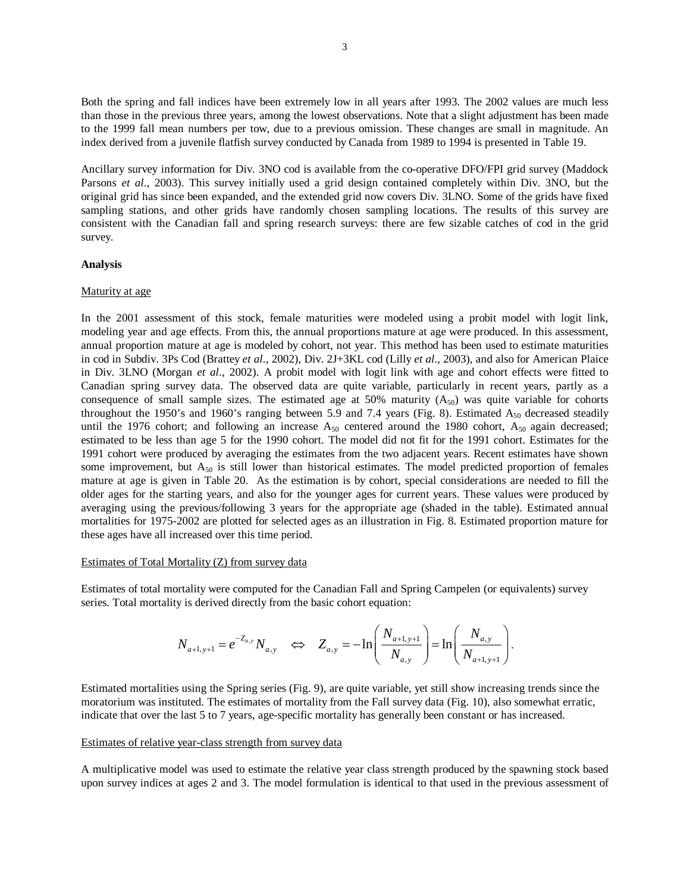Both the spring and fall indices have been extremely low in all years after 1993. The 2002 values are much less than those in the previous three years, among the lowest observations. Note that a slight adjustment has been made to the 1999 fall mean numbers per tow, due to a previous omission. These changes are small in magnitude. An index derived from a juvenile flatfish survey conducted by Canada from 1989 to 1994 is presented in Table 19.

Ancillary survey information for Div. 3NO cod is available from the co-operative DFO/FPI grid survey (Maddock Parsons *et al.*, 2003). This survey initially used a grid design contained completely within Div. 3NO, but the original grid has since been expanded, and the extended grid now covers Div. 3LNO. Some of the grids have fixed sampling stations, and other grids have randomly chosen sampling locations. The results of this survey are consistent with the Canadian fall and spring research surveys: there are few sizable catches of cod in the grid survey.

### **Analysis**

### Maturity at age

In the 2001 assessment of this stock, female maturities were modeled using a probit model with logit link, modeling year and age effects. From this, the annual proportions mature at age were produced. In this assessment, annual proportion mature at age is modeled by cohort, not year. This method has been used to estimate maturities in cod in Subdiv. 3Ps Cod (Brattey *et al*., 2002), Div. 2J+3KL cod (Lilly *et al*., 2003), and also for American Plaice in Div. 3LNO (Morgan *et al*., 2002). A probit model with logit link with age and cohort effects were fitted to Canadian spring survey data. The observed data are quite variable, particularly in recent years, partly as a consequence of small sample sizes. The estimated age at 50% maturity  $(A_{50})$  was quite variable for cohorts throughout the 1950's and 1960's ranging between 5.9 and 7.4 years (Fig. 8). Estimated  $A_{50}$  decreased steadily until the 1976 cohort; and following an increase  $A_{50}$  centered around the 1980 cohort,  $A_{50}$  again decreased; estimated to be less than age 5 for the 1990 cohort. The model did not fit for the 1991 cohort. Estimates for the 1991 cohort were produced by averaging the estimates from the two adjacent years. Recent estimates have shown some improvement, but  $A_{50}$  is still lower than historical estimates. The model predicted proportion of females mature at age is given in Table 20. As the estimation is by cohort, special considerations are needed to fill the older ages for the starting years, and also for the younger ages for current years. These values were produced by averaging using the previous/following 3 years for the appropriate age (shaded in the table). Estimated annual mortalities for 1975-2002 are plotted for selected ages as an illustration in Fig. 8. Estimated proportion mature for these ages have all increased over this time period.

#### Estimates of Total Mortality (Z) from survey data

Estimates of total mortality were computed for the Canadian Fall and Spring Campelen (or equivalents) survey series. Total mortality is derived directly from the basic cohort equation:

$$
N_{a+1,y+1} = e^{-Z_{a,y}} N_{a,y} \quad \Leftrightarrow \quad Z_{a,y} = -\ln\left(\frac{N_{a+1,y+1}}{N_{a,y}}\right) = \ln\left(\frac{N_{a,y}}{N_{a+1,y+1}}\right).
$$

Estimated mortalities using the Spring series (Fig. 9), are quite variable, yet still show increasing trends since the moratorium was instituted. The estimates of mortality from the Fall survey data (Fig. 10), also somewhat erratic, indicate that over the last 5 to 7 years, age-specific mortality has generally been constant or has increased.

#### Estimates of relative year-class strength from survey data

A multiplicative model was used to estimate the relative year class strength produced by the spawning stock based upon survey indices at ages 2 and 3. The model formulation is identical to that used in the previous assessment of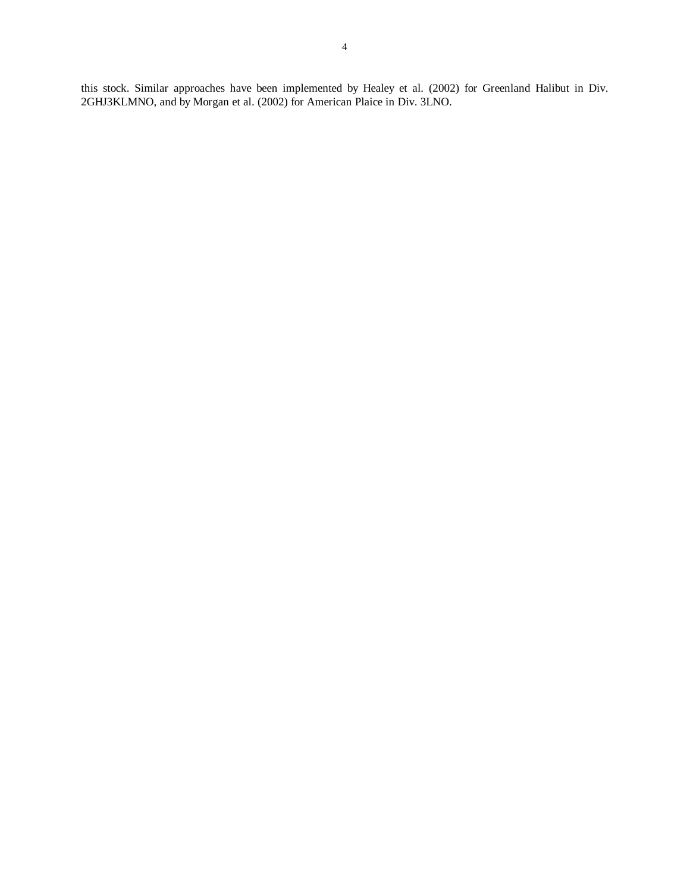this stock. Similar approaches have been implemented by Healey et al. (2002) for Greenland Halibut in Div. 2GHJ3KLMNO, and by Morgan et al. (2002) for American Plaice in Div. 3LNO.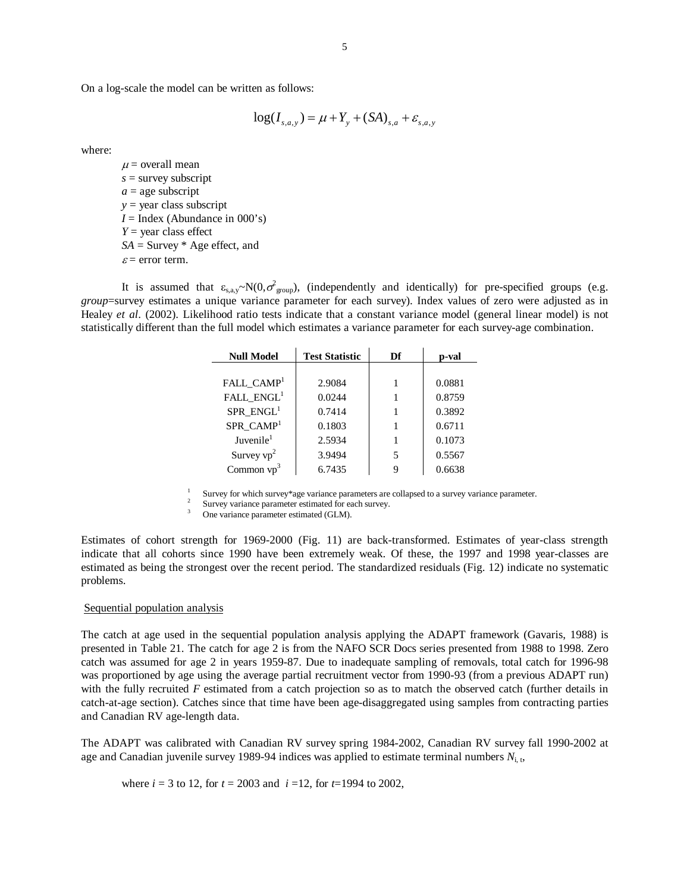On a log-scale the model can be written as follows:

$$
\log(I_{s,a,y}) = \mu + Y_{y} + (SA)_{s,a} + \varepsilon_{s,a,y}
$$

where:

 $\mu$  = overall mean *s* = survey subscript  $a =$ age subscript *y* = year class subscript  $I = \text{Index}$  (Abundance in 000's) *Y* = year class effect *SA* = Survey \* Age effect, and  $\varepsilon$  = error term.

It is assumed that  $\varepsilon_{s, a, y} \sim N(0, \sigma_{\text{group}}^2)$ , (independently and identically) for pre-specified groups (e.g. *group*=survey estimates a unique variance parameter for each survey). Index values of zero were adjusted as in Healey *et al*. (2002). Likelihood ratio tests indicate that a constant variance model (general linear model) is not statistically different than the full model which estimates a variance parameter for each survey-age combination.

| <b>Null Model</b>      | <b>Test Statistic</b> | Df | p-val  |
|------------------------|-----------------------|----|--------|
|                        |                       |    |        |
| FALL_CAMP <sup>1</sup> | 2.9084                |    | 0.0881 |
| FALL_ENGL <sup>1</sup> | 0.0244                |    | 0.8759 |
| $SPR$ $ENGL1$          | 0.7414                |    | 0.3892 |
| $SPR$ $CAMP1$          | 0.1803                |    | 0.6711 |
| Juvenile <sup>1</sup>  | 2.5934                |    | 0.1073 |
| Survey $vp^2$          | 3.9494                | 5  | 0.5567 |
| Common $vp^3$          | 6.7435                | Q  | 0.6638 |

<sup>1</sup> Survey for which survey\*age variance parameters are collapsed to a survey variance parameter.<br><sup>2</sup> Survey variance parameter estimated for each survey.<br><sup>3</sup> One variance parameter estimated (GLM).

Estimates of cohort strength for 1969-2000 (Fig. 11) are back-transformed. Estimates of year-class strength indicate that all cohorts since 1990 have been extremely weak. Of these, the 1997 and 1998 year-classes are estimated as being the strongest over the recent period. The standardized residuals (Fig. 12) indicate no systematic problems.

### Sequential population analysis

The catch at age used in the sequential population analysis applying the ADAPT framework (Gavaris, 1988) is presented in Table 21. The catch for age 2 is from the NAFO SCR Docs series presented from 1988 to 1998. Zero catch was assumed for age 2 in years 1959-87. Due to inadequate sampling of removals, total catch for 1996-98 was proportioned by age using the average partial recruitment vector from 1990-93 (from a previous ADAPT run) with the fully recruited *F* estimated from a catch projection so as to match the observed catch (further details in catch-at-age section). Catches since that time have been age-disaggregated using samples from contracting parties and Canadian RV age-length data.

The ADAPT was calibrated with Canadian RV survey spring 1984-2002, Canadian RV survey fall 1990-2002 at age and Canadian juvenile survey 1989-94 indices was applied to estimate terminal numbers *N*i, t,

where  $i = 3$  to 12, for  $t = 2003$  and  $i = 12$ , for  $t = 1994$  to 2002,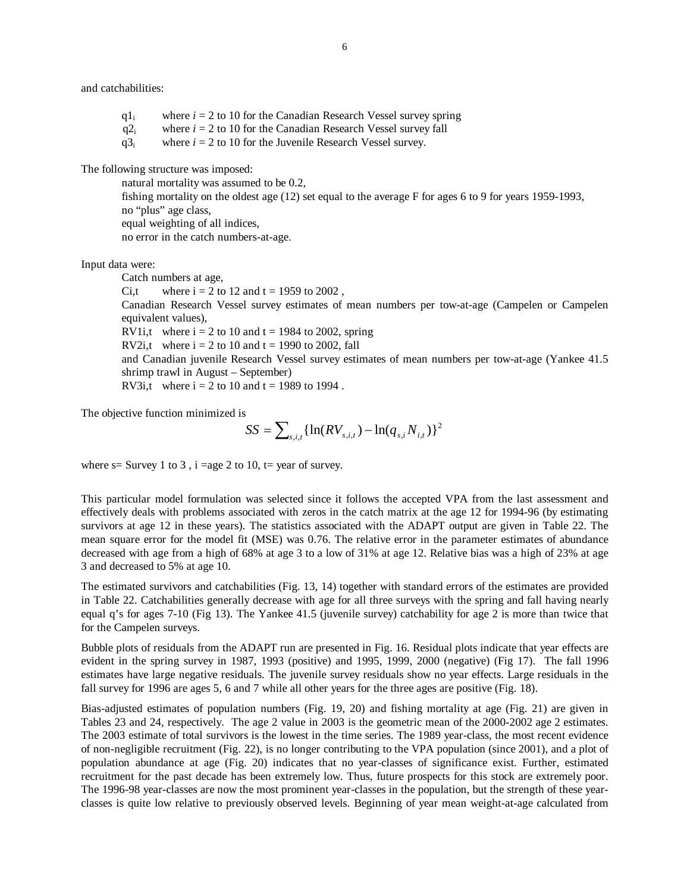and catchabilities:

 $q_1$  where  $i = 2$  to 10 for the Canadian Research Vessel survey spring  $q2_i$  where  $i = 2$  to 10 for the Canadian Research Vessel survey fall  $q3<sub>i</sub>$  where  $i = 2$  to 10 for the Juvenile Research Vessel survey.

The following structure was imposed:

 natural mortality was assumed to be 0.2, fishing mortality on the oldest age (12) set equal to the average F for ages 6 to 9 for years 1959-1993, no "plus" age class, equal weighting of all indices, no error in the catch numbers-at-age.

Input data were:

Catch numbers at age, Ci,t where  $i = 2$  to 12 and  $t = 1959$  to 2002, Canadian Research Vessel survey estimates of mean numbers per tow-at-age (Campelen or Campelen equivalent values), RV1i,t where  $i = 2$  to 10 and  $t = 1984$  to 2002, spring RV2i,t where  $i = 2$  to 10 and  $t = 1990$  to 2002, fall and Canadian juvenile Research Vessel survey estimates of mean numbers per tow-at-age (Yankee 41.5 shrimp trawl in August – September) RV3i,t where  $i = 2$  to 10 and  $t = 1989$  to 1994.

The objective function minimized is

$$
SS = \sum_{s,i,t} \{ \ln(RV_{s,i,t}) - \ln(q_{s,i} N_{i,t}) \}^2
$$

where  $s=$  Survey 1 to 3, i =age 2 to 10, t= year of survey.

This particular model formulation was selected since it follows the accepted VPA from the last assessment and effectively deals with problems associated with zeros in the catch matrix at the age 12 for 1994-96 (by estimating survivors at age 12 in these years). The statistics associated with the ADAPT output are given in Table 22. The mean square error for the model fit (MSE) was 0.76. The relative error in the parameter estimates of abundance decreased with age from a high of 68% at age 3 to a low of 31% at age 12. Relative bias was a high of 23% at age 3 and decreased to 5% at age 10.

The estimated survivors and catchabilities (Fig. 13, 14) together with standard errors of the estimates are provided in Table 22. Catchabilities generally decrease with age for all three surveys with the spring and fall having nearly equal q's for ages 7-10 (Fig 13). The Yankee 41.5 (juvenile survey) catchability for age 2 is more than twice that for the Campelen surveys.

Bubble plots of residuals from the ADAPT run are presented in Fig. 16. Residual plots indicate that year effects are evident in the spring survey in 1987, 1993 (positive) and 1995, 1999, 2000 (negative) (Fig 17). The fall 1996 estimates have large negative residuals. The juvenile survey residuals show no year effects. Large residuals in the fall survey for 1996 are ages 5, 6 and 7 while all other years for the three ages are positive (Fig. 18).

Bias-adjusted estimates of population numbers (Fig. 19, 20) and fishing mortality at age (Fig. 21) are given in Tables 23 and 24, respectively. The age 2 value in 2003 is the geometric mean of the 2000-2002 age 2 estimates. The 2003 estimate of total survivors is the lowest in the time series. The 1989 year-class, the most recent evidence of non-negligible recruitment (Fig. 22), is no longer contributing to the VPA population (since 2001), and a plot of population abundance at age (Fig. 20) indicates that no year-classes of significance exist. Further, estimated recruitment for the past decade has been extremely low. Thus, future prospects for this stock are extremely poor. The 1996-98 year-classes are now the most prominent year-classes in the population, but the strength of these yearclasses is quite low relative to previously observed levels. Beginning of year mean weight-at-age calculated from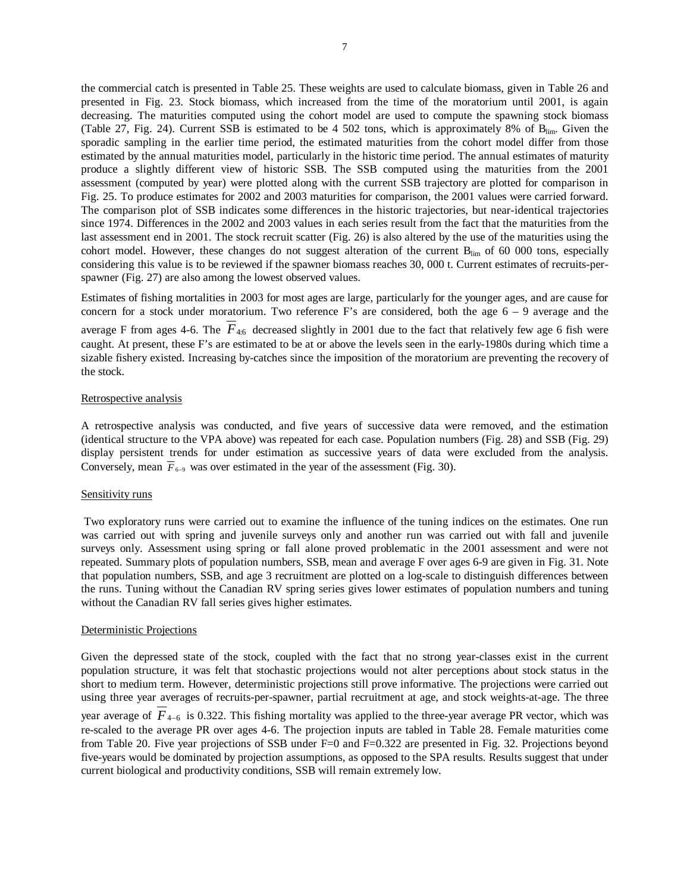the commercial catch is presented in Table 25. These weights are used to calculate biomass, given in Table 26 and presented in Fig. 23. Stock biomass, which increased from the time of the moratorium until 2001, is again decreasing. The maturities computed using the cohort model are used to compute the spawning stock biomass (Table 27, Fig. 24). Current SSB is estimated to be 4 502 tons, which is approximately 8% of  $B_{lim}$ . Given the sporadic sampling in the earlier time period, the estimated maturities from the cohort model differ from those estimated by the annual maturities model, particularly in the historic time period. The annual estimates of maturity produce a slightly different view of historic SSB. The SSB computed using the maturities from the 2001 assessment (computed by year) were plotted along with the current SSB trajectory are plotted for comparison in Fig. 25. To produce estimates for 2002 and 2003 maturities for comparison, the 2001 values were carried forward. The comparison plot of SSB indicates some differences in the historic trajectories, but near-identical trajectories since 1974. Differences in the 2002 and 2003 values in each series result from the fact that the maturities from the last assessment end in 2001. The stock recruit scatter (Fig. 26) is also altered by the use of the maturities using the cohort model. However, these changes do not suggest alteration of the current B<sub>lim</sub> of 60 000 tons, especially considering this value is to be reviewed if the spawner biomass reaches 30, 000 t. Current estimates of recruits-perspawner (Fig. 27) are also among the lowest observed values.

Estimates of fishing mortalities in 2003 for most ages are large, particularly for the younger ages, and are cause for concern for a stock under moratorium. Two reference F's are considered, both the age  $6 - 9$  average and the average F from ages 4-6. The  $F_{4:6}$  decreased slightly in 2001 due to the fact that relatively few age 6 fish were caught. At present, these F's are estimated to be at or above the levels seen in the early-1980s during which time a sizable fishery existed. Increasing by-catches since the imposition of the moratorium are preventing the recovery of the stock.

#### Retrospective analysis

A retrospective analysis was conducted, and five years of successive data were removed, and the estimation (identical structure to the VPA above) was repeated for each case. Population numbers (Fig. 28) and SSB (Fig. 29) display persistent trends for under estimation as successive years of data were excluded from the analysis. Conversely, mean  $\overline{F}_{6-9}$  was over estimated in the year of the assessment (Fig. 30).

#### Sensitivity runs

 Two exploratory runs were carried out to examine the influence of the tuning indices on the estimates. One run was carried out with spring and juvenile surveys only and another run was carried out with fall and juvenile surveys only. Assessment using spring or fall alone proved problematic in the 2001 assessment and were not repeated. Summary plots of population numbers, SSB, mean and average F over ages 6-9 are given in Fig. 31. Note that population numbers, SSB, and age 3 recruitment are plotted on a log-scale to distinguish differences between the runs. Tuning without the Canadian RV spring series gives lower estimates of population numbers and tuning without the Canadian RV fall series gives higher estimates.

#### Deterministic Projections

Given the depressed state of the stock, coupled with the fact that no strong year-classes exist in the current population structure, it was felt that stochastic projections would not alter perceptions about stock status in the short to medium term. However, deterministic projections still prove informative. The projections were carried out using three year averages of recruits-per-spawner, partial recruitment at age, and stock weights-at-age. The three year average of  $\overline{F}_{4-6}$  is 0.322. This fishing mortality was applied to the three-year average PR vector, which was re-scaled to the average PR over ages 4-6. The projection inputs are tabled in Table 28. Female maturities come from Table 20. Five year projections of SSB under F=0 and F=0.322 are presented in Fig. 32. Projections beyond five-years would be dominated by projection assumptions, as opposed to the SPA results. Results suggest that under current biological and productivity conditions, SSB will remain extremely low.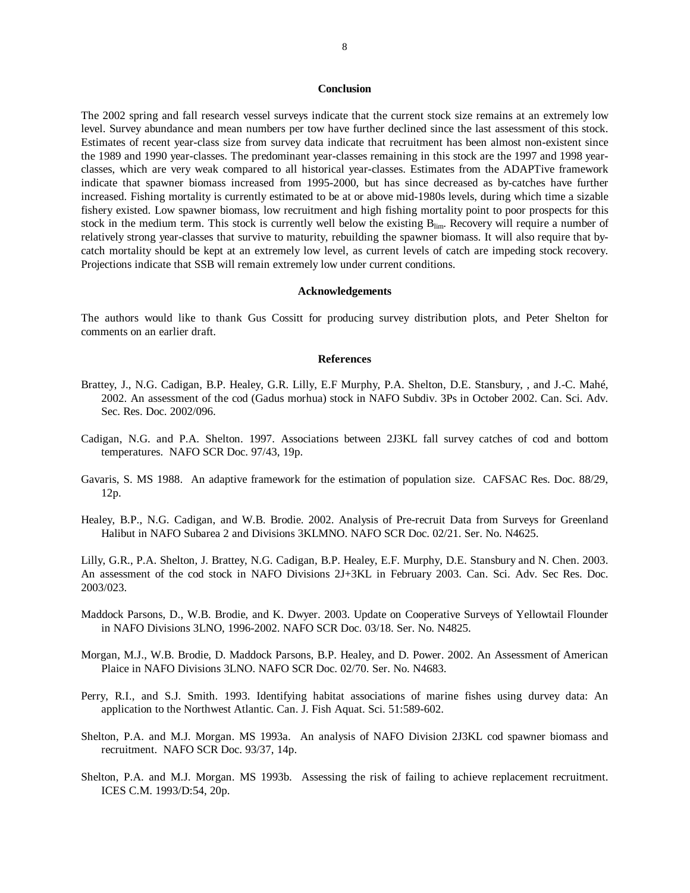#### **Conclusion**

The 2002 spring and fall research vessel surveys indicate that the current stock size remains at an extremely low level. Survey abundance and mean numbers per tow have further declined since the last assessment of this stock. Estimates of recent year-class size from survey data indicate that recruitment has been almost non-existent since the 1989 and 1990 year-classes. The predominant year-classes remaining in this stock are the 1997 and 1998 yearclasses, which are very weak compared to all historical year-classes. Estimates from the ADAPTive framework indicate that spawner biomass increased from 1995-2000, but has since decreased as by-catches have further increased. Fishing mortality is currently estimated to be at or above mid-1980s levels, during which time a sizable fishery existed. Low spawner biomass, low recruitment and high fishing mortality point to poor prospects for this stock in the medium term. This stock is currently well below the existing Blim. Recovery will require a number of relatively strong year-classes that survive to maturity, rebuilding the spawner biomass. It will also require that bycatch mortality should be kept at an extremely low level, as current levels of catch are impeding stock recovery. Projections indicate that SSB will remain extremely low under current conditions.

#### **Acknowledgements**

The authors would like to thank Gus Cossitt for producing survey distribution plots, and Peter Shelton for comments on an earlier draft.

#### **References**

- Brattey, J., N.G. Cadigan, B.P. Healey, G.R. Lilly, E.F Murphy, P.A. Shelton, D.E. Stansbury, , and J.-C. Mahé, 2002. An assessment of the cod (Gadus morhua) stock in NAFO Subdiv. 3Ps in October 2002. Can. Sci. Adv. Sec. Res. Doc. 2002/096.
- Cadigan, N.G. and P.A. Shelton. 1997. Associations between 2J3KL fall survey catches of cod and bottom temperatures. NAFO SCR Doc. 97/43, 19p.
- Gavaris, S. MS 1988. An adaptive framework for the estimation of population size. CAFSAC Res. Doc. 88/29, 12p.
- Healey, B.P., N.G. Cadigan, and W.B. Brodie. 2002. Analysis of Pre-recruit Data from Surveys for Greenland Halibut in NAFO Subarea 2 and Divisions 3KLMNO. NAFO SCR Doc. 02/21. Ser. No. N4625.

Lilly, G.R., P.A. Shelton, J. Brattey, N.G. Cadigan, B.P. Healey, E.F. Murphy, D.E. Stansbury and N. Chen. 2003. An assessment of the cod stock in NAFO Divisions 2J+3KL in February 2003. Can. Sci. Adv. Sec Res. Doc. 2003/023.

- Maddock Parsons, D., W.B. Brodie, and K. Dwyer. 2003. Update on Cooperative Surveys of Yellowtail Flounder in NAFO Divisions 3LNO, 1996-2002. NAFO SCR Doc. 03/18. Ser. No. N4825.
- Morgan, M.J., W.B. Brodie, D. Maddock Parsons, B.P. Healey, and D. Power. 2002. An Assessment of American Plaice in NAFO Divisions 3LNO. NAFO SCR Doc. 02/70. Ser. No. N4683.
- Perry, R.I., and S.J. Smith. 1993. Identifying habitat associations of marine fishes using durvey data: An application to the Northwest Atlantic. Can. J. Fish Aquat. Sci. 51:589-602.
- Shelton, P.A. and M.J. Morgan. MS 1993a. An analysis of NAFO Division 2J3KL cod spawner biomass and recruitment. NAFO SCR Doc. 93/37, 14p.
- Shelton, P.A. and M.J. Morgan. MS 1993b. Assessing the risk of failing to achieve replacement recruitment. ICES C.M. 1993/D:54, 20p.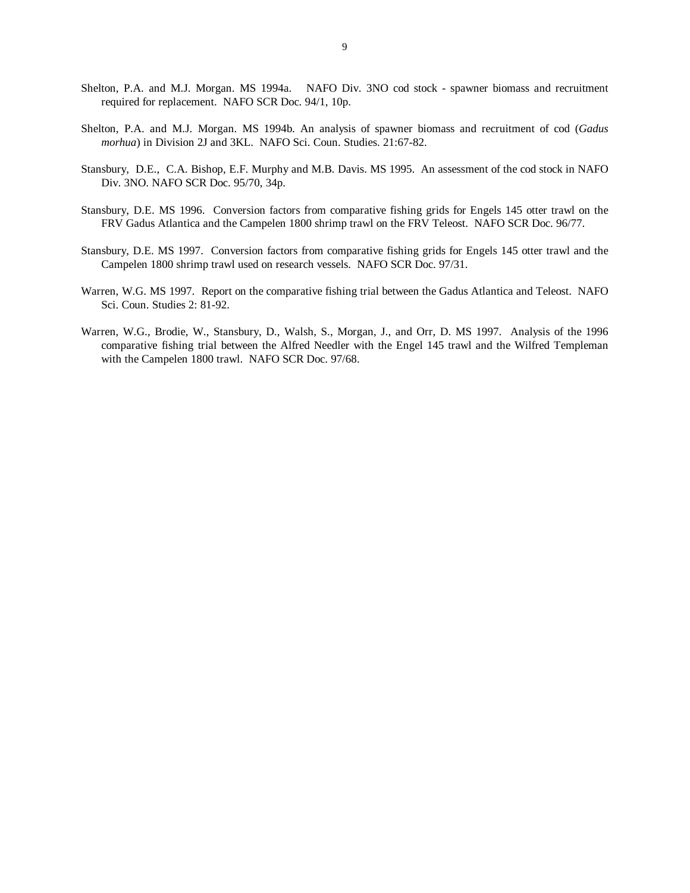- Shelton, P.A. and M.J. Morgan. MS 1994a. NAFO Div. 3NO cod stock spawner biomass and recruitment required for replacement. NAFO SCR Doc. 94/1, 10p.
- Shelton, P.A. and M.J. Morgan. MS 1994b. An analysis of spawner biomass and recruitment of cod (*Gadus morhua*) in Division 2J and 3KL. NAFO Sci. Coun. Studies. 21:67-82.
- Stansbury, D.E., C.A. Bishop, E.F. Murphy and M.B. Davis. MS 1995. An assessment of the cod stock in NAFO Div. 3NO. NAFO SCR Doc. 95/70, 34p.
- Stansbury, D.E. MS 1996. Conversion factors from comparative fishing grids for Engels 145 otter trawl on the FRV Gadus Atlantica and the Campelen 1800 shrimp trawl on the FRV Teleost. NAFO SCR Doc. 96/77.
- Stansbury, D.E. MS 1997. Conversion factors from comparative fishing grids for Engels 145 otter trawl and the Campelen 1800 shrimp trawl used on research vessels. NAFO SCR Doc. 97/31.
- Warren, W.G. MS 1997. Report on the comparative fishing trial between the Gadus Atlantica and Teleost. NAFO Sci. Coun. Studies 2: 81-92.
- Warren, W.G., Brodie, W., Stansbury, D., Walsh, S., Morgan, J., and Orr, D. MS 1997. Analysis of the 1996 comparative fishing trial between the Alfred Needler with the Engel 145 trawl and the Wilfred Templeman with the Campelen 1800 trawl. NAFO SCR Doc. 97/68.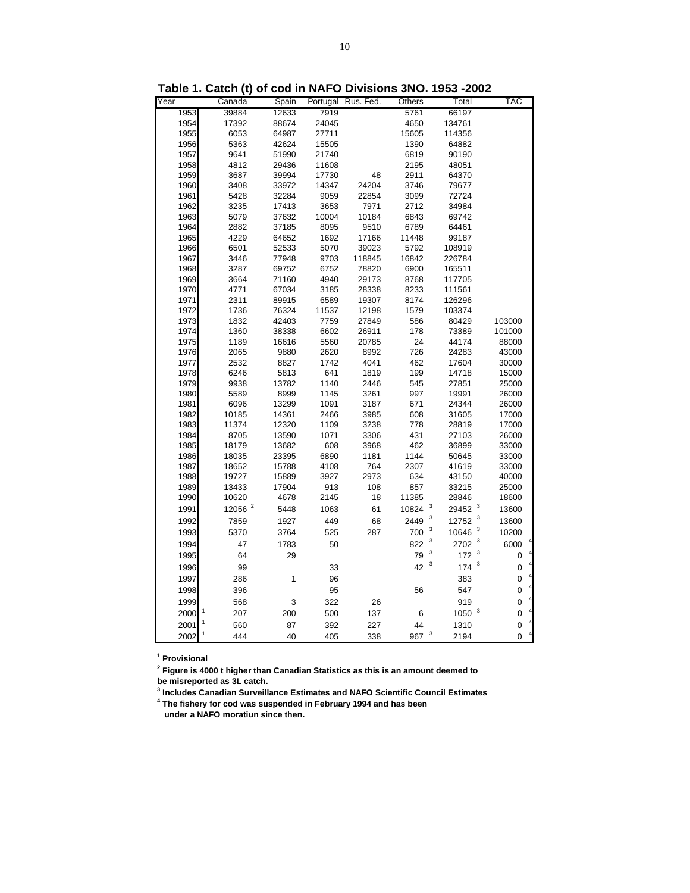|      | awn (y       | ษ - ม. เ |       | <b>PIVISIVII</b> S | יוש                            |                                  |             |
|------|--------------|----------|-------|--------------------|--------------------------------|----------------------------------|-------------|
| Year | Canada       | Spain    |       | Portugal Rus. Fed. | Others                         | Total                            | <b>TAC</b>  |
| 1953 | 39884        | 12633    | 7919  |                    | 5761                           | 66197                            |             |
| 1954 | 17392        | 88674    | 24045 |                    | 4650                           | 134761                           |             |
| 1955 | 6053         | 64987    | 27711 |                    | 15605                          | 114356                           |             |
| 1956 | 5363         | 42624    | 15505 |                    | 1390                           | 64882                            |             |
| 1957 | 9641         | 51990    | 21740 |                    | 6819                           | 90190                            |             |
| 1958 | 4812         | 29436    | 11608 |                    | 2195                           | 48051                            |             |
| 1959 | 3687         | 39994    | 17730 | 48                 | 2911                           | 64370                            |             |
| 1960 | 3408         | 33972    | 14347 | 24204              | 3746                           | 79677                            |             |
| 1961 | 5428         | 32284    | 9059  | 22854              | 3099                           | 72724                            |             |
| 1962 | 3235         | 17413    | 3653  | 7971               | 2712                           | 34984                            |             |
| 1963 | 5079         | 37632    | 10004 | 10184              | 6843                           | 69742                            |             |
| 1964 | 2882         | 37185    | 8095  | 9510               | 6789                           | 64461                            |             |
| 1965 | 4229         | 64652    | 1692  | 17166              | 11448                          | 99187                            |             |
| 1966 | 6501         | 52533    | 5070  | 39023              | 5792                           | 108919                           |             |
| 1967 | 3446         | 77948    | 9703  | 118845             | 16842                          | 226784                           |             |
| 1968 | 3287         | 69752    | 6752  | 78820              | 6900                           | 165511                           |             |
| 1969 | 3664         | 71160    | 4940  | 29173              | 8768                           | 117705                           |             |
| 1970 | 4771         | 67034    | 3185  | 28338              | 8233                           | 111561                           |             |
| 1971 | 2311         | 89915    | 6589  | 19307              | 8174                           | 126296                           |             |
| 1972 | 1736         | 76324    | 11537 | 12198              | 1579                           | 103374                           |             |
| 1973 | 1832         | 42403    | 7759  | 27849              | 586                            | 80429                            | 103000      |
| 1974 | 1360         | 38338    | 6602  | 26911              | 178                            | 73389                            | 101000      |
| 1975 | 1189         | 16616    | 5560  | 20785              | 24                             | 44174                            | 88000       |
| 1976 | 2065         | 9880     | 2620  | 8992               | 726                            | 24283                            | 43000       |
| 1977 | 2532         | 8827     | 1742  | 4041               | 462                            | 17604                            | 30000       |
| 1978 | 6246         | 5813     | 641   | 1819               | 199                            | 14718                            | 15000       |
| 1979 | 9938         | 13782    | 1140  | 2446               | 545                            | 27851                            | 25000       |
| 1980 | 5589         | 8999     | 1145  | 3261               | 997                            | 19991                            | 26000       |
| 1981 | 6096         | 13299    | 1091  | 3187               | 671                            | 24344                            | 26000       |
| 1982 | 10185        | 14361    | 2466  | 3985               | 608                            | 31605                            | 17000       |
| 1983 | 11374        | 12320    | 1109  | 3238               | 778                            | 28819                            | 17000       |
| 1984 | 8705         | 13590    | 1071  | 3306               | 431                            | 27103                            | 26000       |
| 1985 | 18179        | 13682    | 608   | 3968               | 462                            | 36899                            | 33000       |
| 1986 | 18035        | 23395    | 6890  | 1181               | 1144                           | 50645                            | 33000       |
| 1987 | 18652        | 15788    | 4108  | 764                | 2307                           | 41619                            | 33000       |
| 1988 | 19727        | 15889    | 3927  | 2973               | 634                            | 43150                            | 40000       |
| 1989 | 13433        | 17904    | 913   | 108                | 857                            | 33215                            | 25000       |
| 1990 | 10620        | 4678     | 2145  | 18                 | 11385                          | 28846                            | 18600       |
| 1991 | 12056 $^{2}$ | 5448     | 1063  | 61                 | 10824                          | 3<br>29452                       | 13600       |
| 1992 | 7859         | 1927     | 449   | 68                 | 3<br>2449                      | $\overline{\mathbf{3}}$<br>12752 | 13600       |
| 1993 | 5370         | 3764     | 525   | 287                | 3<br>700                       | 10646                            | 10200       |
| 1994 | 47           | 1783     | 50    |                    | 3<br>822                       | 3<br>2702                        | 6000        |
| 1995 | 64           | 29       |       |                    | 3<br>79                        | 3<br>172                         | 0           |
| 1996 | 99           |          |       |                    | 3<br>42                        | 3<br>174                         | 0           |
|      |              |          | 33    |                    |                                |                                  |             |
| 1997 | 286          | 1        | 96    |                    |                                | 383                              | $\mathbf 0$ |
| 1998 | 396          |          | 95    |                    | 56                             | 547                              | 0           |
| 1999 | 568          | 3        | 322   | 26                 |                                | 919                              | 0           |
| 2000 | 207          | 200      | 500   | 137                | $\,6$                          | 1050 <sup>3</sup>                | 0           |
| 2001 | 560          | 87       | 392   | 227                | 44                             | 1310                             | 0           |
| 2002 | 1<br>444     | 40       | 405   | 338                | $\overline{\mathbf{3}}$<br>967 | 2194                             | 0           |

**Table 1. Catch (t) of cod in NAFO Divisions 3NO. 1953 -2002**

**1 Provisional**

**2 Figure is 4000 t higher than Canadian Statistics as this is an amount deemed to be misreported as 3L catch.**

**3 Includes Canadian Surveillance Estimates and NAFO Scientific Council Estimates 4 The fishery for cod was suspended in February 1994 and has been under a NAFO moratiun since then.**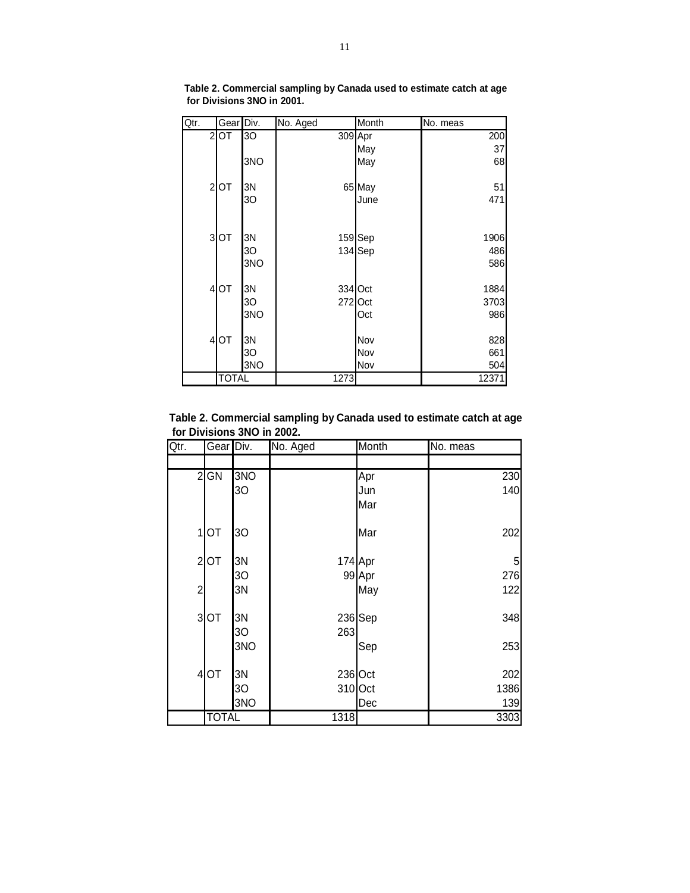| Qtr. |                               | Gear Div. | No. Aged | Month     | No. meas |
|------|-------------------------------|-----------|----------|-----------|----------|
|      | 2OT                           | 3O        | 309 Apr  |           | 200      |
|      |                               |           |          | May       | 37       |
|      |                               | 3NO       |          | May       | 68       |
|      | $\overline{\mathbf{c}}$<br>OT | ЗN        |          | 65 May    | 51       |
|      |                               | 30        |          | June      | 471      |
|      |                               |           |          |           |          |
|      | $\overline{\mathbf{3}}$<br>OT | ЗN        |          | 159 Sep   | 1906     |
|      |                               | 30        |          | 134 Sep   | 486      |
|      |                               | 3NO       |          |           | 586      |
|      | $\overline{\mathbf{r}}$<br>OT | 3N        |          | 334 Oct   | 1884     |
|      |                               | 30        |          | $272$ Oct | 3703     |
|      |                               | 3NO       |          | Oct       | 986      |
|      | OT<br>$\overline{\mathbf{r}}$ | 3N        |          | Nov       | 828      |
|      |                               | 30        |          | Nov       | 661      |
|      |                               | 3NO       |          | Nov       | 504      |
|      |                               | TOTAL     | 1273     |           | 12371    |

**Table 2. Commercial sampling by Canada used to estimate catch at age for Divisions 3NO in 2001.**

**Table 2. Commercial sampling by Canada used to estimate catch at age for Divisions 3NO in 2002.**

| Qtr.           | Gear Div.            |                | No. Aged | Month   | No. meas |
|----------------|----------------------|----------------|----------|---------|----------|
|                |                      |                |          |         |          |
|                | $2$ GN               | 3NO            |          | Apr     | 230      |
|                |                      | 30             |          | Jun     | 140      |
|                |                      |                |          | Mar     |          |
|                | 1<br><b>OT</b>       | 30             |          | Mar     | 202      |
|                | $\mathbf{2}$<br>OT   | 3N             |          | 174 Apr | 5        |
|                |                      | 3 <sub>O</sub> |          | 99 Apr  | 276      |
| $\overline{2}$ |                      | 3N             |          | May     | 122      |
|                | $\overline{3}$<br>OT | 3N             |          | 236 Sep | 348      |
|                |                      | 3 <sub>O</sub> | 263      |         |          |
|                |                      | 3NO            |          | Sep     | 253      |
|                | 4OT                  | 3N             |          | 236 Oct | 202      |
|                |                      | 30             |          | 310 Oct | 1386     |
|                |                      | 3NO            |          | Dec     | 139      |
|                | <b>TOTAL</b>         |                | 1318     |         | 3303     |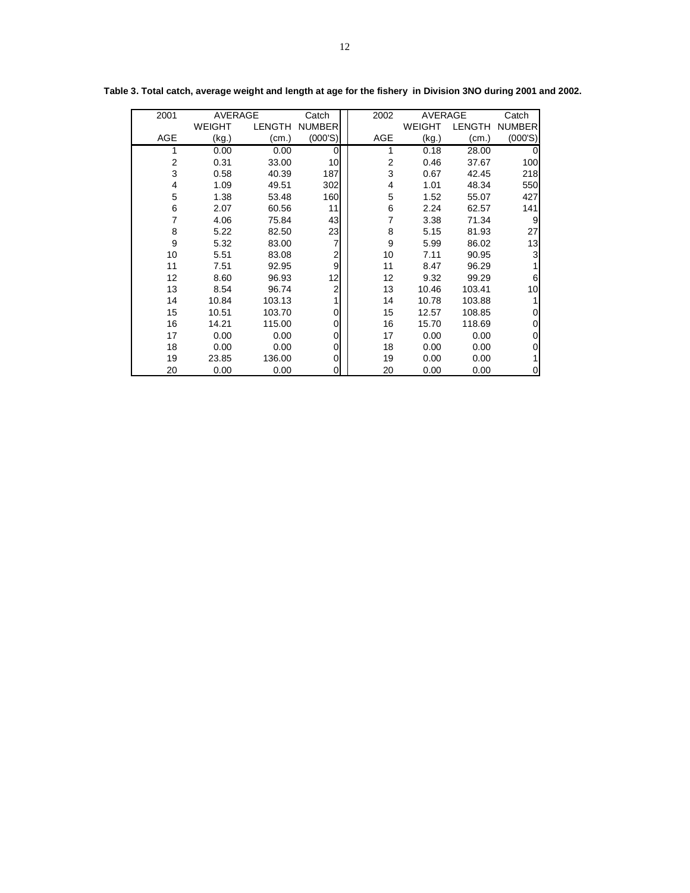| 2001       | AVERAGE |        | Catch          | 2002           | AVERAGE |               | Catch         |
|------------|---------|--------|----------------|----------------|---------|---------------|---------------|
|            | WEIGHT  | LENGTH | <b>NUMBER</b>  |                | WEIGHT  | <b>LENGTH</b> | <b>NUMBER</b> |
| <b>AGE</b> | (kg.)   | (cm.)  | (000'S)        | <b>AGE</b>     | (kg.)   | (cm.)         | (000'S)       |
| 1          | 0.00    | 0.00   | 0              |                | 0.18    | 28.00         | 0             |
| 2          | 0.31    | 33.00  | 10             | $\overline{2}$ | 0.46    | 37.67         | 100           |
| 3          | 0.58    | 40.39  | 187            | 3              | 0.67    | 42.45         | 218           |
| 4          | 1.09    | 49.51  | 302            | 4              | 1.01    | 48.34         | 550           |
| 5          | 1.38    | 53.48  | 160            | 5              | 1.52    | 55.07         | 427           |
| 6          | 2.07    | 60.56  | 11             | 6              | 2.24    | 62.57         | 141           |
| 7          | 4.06    | 75.84  | 43             | 7              | 3.38    | 71.34         | 9             |
| 8          | 5.22    | 82.50  | 23             | 8              | 5.15    | 81.93         | 27            |
| 9          | 5.32    | 83.00  | 7              | 9              | 5.99    | 86.02         | 13            |
| 10         | 5.51    | 83.08  | $\overline{a}$ | 10             | 7.11    | 90.95         | 3             |
| 11         | 7.51    | 92.95  | 9              | 11             | 8.47    | 96.29         |               |
| 12         | 8.60    | 96.93  | $12 \,$        | 12             | 9.32    | 99.29         | 6             |
| 13         | 8.54    | 96.74  | $\mathbf 2$    | 13             | 10.46   | 103.41        | 10            |
| 14         | 10.84   | 103.13 | 1              | 14             | 10.78   | 103.88        |               |
| 15         | 10.51   | 103.70 | $\Omega$       | 15             | 12.57   | 108.85        | 0             |
| 16         | 14.21   | 115.00 | 0              | 16             | 15.70   | 118.69        | 0             |
| 17         | 0.00    | 0.00   | 0              | 17             | 0.00    | 0.00          | 0             |
| 18         | 0.00    | 0.00   | 0              | 18             | 0.00    | 0.00          | 0             |
| 19         | 23.85   | 136.00 | 0              | 19             | 0.00    | 0.00          |               |
| 20         | 0.00    | 0.00   | 0              | 20             | 0.00    | 0.00          | 0             |

**Table 3. Total catch, average weight and length at age for the fishery in Division 3NO during 2001 and 2002.**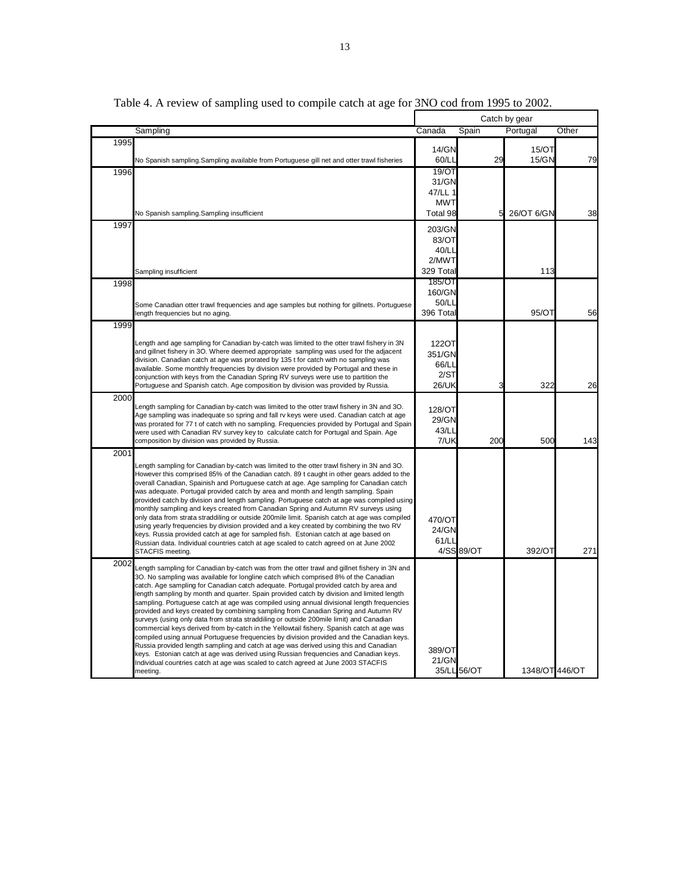|      |                                                                                                                                                                                                                                                                                                                                                                                                                                                                                                                                                                                                                                                                                                                                                                                                                                                                                                                                                                                                                                                                                                                                  |                                                     |             | Catch by gear  |       |
|------|----------------------------------------------------------------------------------------------------------------------------------------------------------------------------------------------------------------------------------------------------------------------------------------------------------------------------------------------------------------------------------------------------------------------------------------------------------------------------------------------------------------------------------------------------------------------------------------------------------------------------------------------------------------------------------------------------------------------------------------------------------------------------------------------------------------------------------------------------------------------------------------------------------------------------------------------------------------------------------------------------------------------------------------------------------------------------------------------------------------------------------|-----------------------------------------------------|-------------|----------------|-------|
|      | Sampling                                                                                                                                                                                                                                                                                                                                                                                                                                                                                                                                                                                                                                                                                                                                                                                                                                                                                                                                                                                                                                                                                                                         | Canada                                              | Spain       | Portugal       | Other |
| 1995 | No Spanish sampling.Sampling available from Portuguese gill net and otter trawl fisheries                                                                                                                                                                                                                                                                                                                                                                                                                                                                                                                                                                                                                                                                                                                                                                                                                                                                                                                                                                                                                                        | 14/GN<br>60/LL                                      | 29          | 15/OT<br>15/GN | 79    |
| 1996 | No Spanish sampling.Sampling insufficient                                                                                                                                                                                                                                                                                                                                                                                                                                                                                                                                                                                                                                                                                                                                                                                                                                                                                                                                                                                                                                                                                        | 19/OT<br>31/GN<br>47/LL 1<br><b>MWT</b><br>Total 98 | 5           | 26/OT 6/GN     | 38    |
| 1997 |                                                                                                                                                                                                                                                                                                                                                                                                                                                                                                                                                                                                                                                                                                                                                                                                                                                                                                                                                                                                                                                                                                                                  | 203/GN<br>83/OT<br>40/Ll<br>2/MWT<br>329 Tota       |             | 113            |       |
| 1998 | Sampling insufficient<br>Some Canadian otter trawl frequencies and age samples but nothing for gillnets. Portuguese<br>length frequencies but no aging.                                                                                                                                                                                                                                                                                                                                                                                                                                                                                                                                                                                                                                                                                                                                                                                                                                                                                                                                                                          | 185/OT<br>160/GN<br>50/LI<br>396 Tota               |             | 95/OT          | 56    |
| 1999 | Length and age sampling for Canadian by-catch was limited to the otter trawl fishery in 3N<br>and gillnet fishery in 3O. Where deemed appropriate sampling was used for the adjacent<br>division. Canadian catch at age was prorated by 135 t for catch with no sampling was<br>available. Some monthly frequencies by division were provided by Portugal and these in<br>conjunction with keys from the Canadian Spring RV surveys were use to partition the<br>Portuguese and Spanish catch. Age composition by division was provided by Russia.                                                                                                                                                                                                                                                                                                                                                                                                                                                                                                                                                                               | 122OT<br>351/GN<br>66/LI<br>2/ST<br>26/UK           | 3           | 322            | 26    |
| 2000 | Length sampling for Canadian by-catch was limited to the otter trawl fishery in 3N and 3O.<br>Age sampling was inadeguate so spring and fall ry keys were used. Canadian catch at age<br>was prorated for 77 t of catch with no sampling. Frequencies provided by Portugal and Spain<br>were used with Canadian RV survey key to calculate catch for Portugal and Spain. Age<br>composition by division was provided by Russia.                                                                                                                                                                                                                                                                                                                                                                                                                                                                                                                                                                                                                                                                                                  | 128/OT<br>29/GN<br>43/LI<br>7/UK                    | 200         | 500            | 143   |
| 2001 | Length sampling for Canadian by-catch was limited to the otter trawl fishery in 3N and 3O.<br>However this comprised 85% of the Canadian catch. 89 t caught in other gears added to the<br>overall Canadian, Spainish and Portuguese catch at age. Age sampling for Canadian catch<br>was adequate. Portugal provided catch by area and month and length sampling. Spain<br>provided catch by division and length sampling. Portuguese catch at age was compiled using<br>monthly sampling and keys created from Canadian Spring and Autumn RV surveys using<br>only data from strata straddiling or outside 200mile limit. Spanish catch at age was compiled<br>using yearly frequencies by division provided and a key created by combining the two RV<br>keys. Russia provided catch at age for sampled fish. Estonian catch at age based on<br>Russian data. Individual countries catch at age scaled to catch agreed on at June 2002<br>STACFIS meeting.                                                                                                                                                                    | 470/OT<br>24/GN<br>61/LI                            | 4/SS 89/OT  | 392/OT         | 271   |
| 2002 | Length sampling for Canadian by-catch was from the otter trawl and gillnet fishery in 3N and<br>3O. No sampling was available for longline catch which comprised 8% of the Canadian<br>catch. Age sampling for Canadian catch adequate. Portugal provided catch by area and<br>length sampling by month and quarter. Spain provided catch by division and limited length<br>sampling. Portuguese catch at age was compiled using annual divisional length frequencies<br>provided and keys created by combining sampling from Canadian Spring and Autumn RV<br>surveys (using only data from strata straddiling or outside 200mile limit) and Canadian<br>commercial keys derived from by-catch in the Yellowtail fishery. Spanish catch at age was<br>compiled using annual Portuguese frequencies by division provided and the Canadian keys.<br>Russia provided length sampling and catch at age was derived using this and Canadian<br>keys. Estonian catch at age was derived using Russian frequencies and Canadian keys.<br>Individual countries catch at age was scaled to catch agreed at June 2003 STACFIS<br>meeting. | 389/OT<br>21/GN                                     | 35/LL 56/OT | 1348/OT 446/OT |       |

Table 4. A review of sampling used to compile catch at age for  $\frac{3NO \text{ cod from } 1995 \text{ to } 2002.}$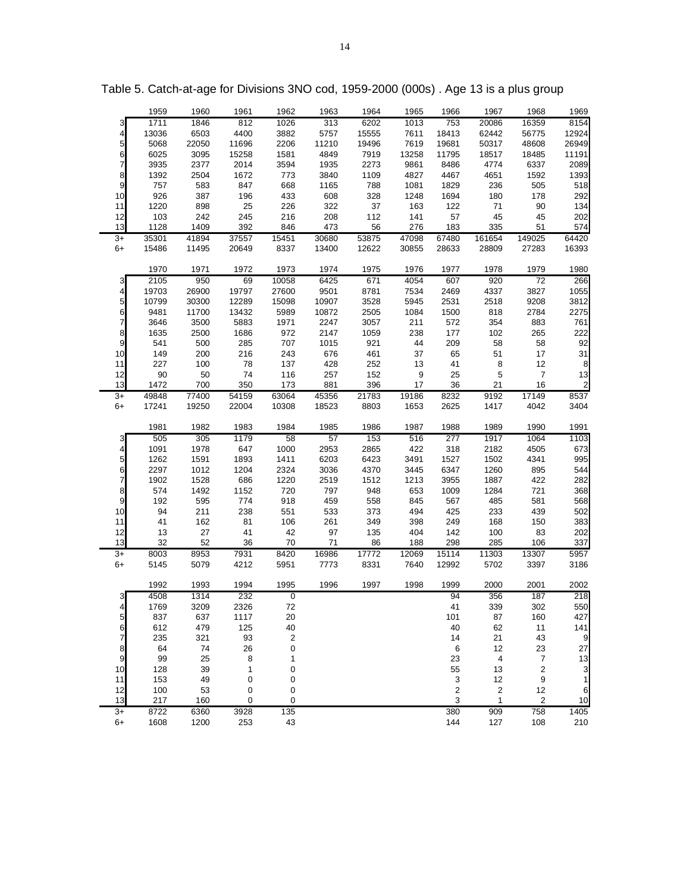|                         | 1959         | 1960         | 1961         | 1962             | 1963      | 1964  | 1965  | 1966                      | 1967                    | 1968             | 1969                    |
|-------------------------|--------------|--------------|--------------|------------------|-----------|-------|-------|---------------------------|-------------------------|------------------|-------------------------|
| 3                       | 1711         | 1846         | 812          | 1026             | 313       | 6202  | 1013  | 753                       | 20086                   | 16359            | 8154                    |
| $\overline{\mathbf{r}}$ | 13036        | 6503         | 4400         | 3882             | 5757      | 15555 | 7611  | 18413                     | 62442                   | 56775            | 12924                   |
| 5                       | 5068         | 22050        | 11696        | 2206             | 11210     | 19496 | 7619  | 19681                     | 50317                   | 48608            | 26949                   |
| $\mathbf 6$             | 6025         | 3095         | 15258        | 1581             | 4849      | 7919  | 13258 | 11795                     | 18517                   | 18485            | 11191                   |
| $\overline{7}$          | 3935         | 2377         | 2014         | 3594             | 1935      | 2273  | 9861  | 8486                      | 4774                    | 6337             | 2089                    |
| $\bf8$                  | 1392         | 2504         | 1672         | 773              | 3840      | 1109  | 4827  | 4467                      | 4651                    | 1592             | 1393                    |
| $\mathsf g$             | 757          | 583          | 847          | 668              | 1165      | 788   | 1081  | 1829                      | 236                     | 505              | 518                     |
| 10                      | 926          | 387          | 196          | 433              | 608       | 328   | 1248  | 1694                      | 180                     | 178              | 292                     |
| 11                      | 1220         | 898          | 25           | 226              | 322       | 37    | 163   | 122                       | 71                      | 90               | 134                     |
| 12                      | 103          | 242          | 245          | 216              | 208       | 112   | 141   | 57                        | 45                      | 45               | 202                     |
| 13                      | 1128         | 1409         | 392          | 846              | 473       | 56    | 276   | 183                       | 335                     | 51               | 574                     |
| $3+$                    | 35301        | 41894        | 37557        | 15451            | 30680     | 53875 | 47098 | 67480                     | 161654                  | 149025           | 64420                   |
| $6+$                    | 15486        | 11495        | 20649        | 8337             | 13400     | 12622 | 30855 | 28633                     | 28809                   | 27283            | 16393                   |
|                         |              |              |              |                  |           |       |       |                           |                         |                  |                         |
|                         | 1970         | 1971         | 1972         | 1973             | 1974      | 1975  | 1976  | 1977                      | 1978                    | 1979             | 1980                    |
| 3                       | 2105         | 950          | 69           | 10058            | 6425      | 671   | 4054  | 607                       | 920                     | $\overline{72}$  | 266                     |
| $\overline{\mathbf{4}}$ | 19703        | 26900        | 19797        | 27600            | 9501      | 8781  | 7534  | 2469                      | 4337                    | 3827             | 1055                    |
| 5                       | 10799        | 30300        | 12289        | 15098            | 10907     | 3528  | 5945  | 2531                      | 2518                    | 9208             | 3812                    |
| 6                       | 9481         | 11700        | 13432        | 5989             | 10872     | 2505  | 1084  | 1500                      | 818                     | 2784             | 2275                    |
| $\overline{7}$          | 3646         | 3500         | 5883         | 1971             | 2247      | 3057  | 211   | 572                       | 354                     | 883              | 761                     |
| 8                       | 1635         | 2500         | 1686         | 972              | 2147      | 1059  | 238   | 177                       | 102                     | 265              | 222                     |
| $\mathsf g$             | 541          | 500          | 285          | 707              | 1015      | 921   | 44    | 209                       | 58                      | 58               | 92                      |
| 10                      | 149          | 200          | 216          | 243              | 676       | 461   | 37    | 65                        | 51                      | 17               | 31                      |
| 11                      | 227          | 100          | 78           | 137              | 428       | 252   | 13    | 41                        | 8                       | 12               | 8                       |
| 12                      | 90           | 50           | 74           | 116              | 257       | 152   | 9     | 25                        | $\sqrt{5}$              | $\boldsymbol{7}$ | 13                      |
| 13                      | 1472         | 700          | 350          | 173              | 881       | 396   | 17    | 36                        | 21                      | 16               | $\overline{\mathbf{c}}$ |
| $3+$                    | 49848        | 77400        | 54159        | 63064            | 45356     | 21783 | 19186 | 8232                      | 9192                    | 17149            | 8537                    |
| 6+                      | 17241        | 19250        | 22004        | 10308            | 18523     | 8803  | 1653  | 2625                      | 1417                    | 4042             | 3404                    |
|                         |              |              |              |                  |           |       |       |                           |                         |                  |                         |
|                         | 1981         | 1982         | 1983         | 1984             | 1985      | 1986  | 1987  | 1988                      | 1989                    | 1990             | 1991                    |
| 3                       | 505          | 305          | 1179         | 58               | 57        | 153   | 516   | 277                       | 1917                    | 1064             | 1103                    |
| 4                       | 1091         | 1978         | 647          | 1000             | 2953      | 2865  | 422   | 318                       | 2182                    | 4505             | 673                     |
| 5                       | 1262         | 1591         | 1893         | 1411             | 6203      | 6423  | 3491  | 1527                      | 1502                    | 4341             | 995                     |
| 6                       | 2297         | 1012         | 1204         | 2324             | 3036      | 4370  | 3445  | 6347                      | 1260                    | 895              | 544                     |
| 7                       | 1902         | 1528         | 686          | 1220             | 2519      | 1512  | 1213  | 3955                      | 1887                    | 422              | 282                     |
| 8                       | 574          | 1492         | 1152         | 720              | 797       | 948   | 653   | 1009                      | 1284                    | 721              | 368                     |
| $\mathsf 9$             | 192          | 595          | 774          | 918              | 459       | 558   | 845   | 567                       | 485                     | 581              | 568                     |
| 10                      | 94           | 211          | 238          | 551              | 533       | 373   | 494   | 425                       | 233                     | 439              | 502                     |
| 11                      | 41           | 162          |              | 106              |           | 349   | 398   | 249                       | 168                     |                  | 383                     |
| 12                      | 13           | $27\,$       | 81           | 42               | 261<br>97 | 135   | 404   | 142                       | 100                     | 150              | 202                     |
| 13                      | 32           | 52           | 41<br>36     | 70               | 71        | 86    | 188   | 298                       | 285                     | 83<br>106        | 337                     |
|                         |              |              |              |                  |           |       |       |                           |                         |                  |                         |
| $3+$<br>$6+$            | 8003         | 8953<br>5079 | 7931<br>4212 | 8420<br>5951     | 16986     | 17772 | 12069 | 15114<br>12992            | 11303<br>5702           | 13307            | 5957<br>3186            |
|                         | 5145         |              |              |                  |           |       |       |                           |                         | 3397             |                         |
|                         |              |              |              |                  | 7773      | 8331  | 7640  |                           |                         |                  |                         |
|                         |              |              |              |                  |           |       |       |                           |                         |                  |                         |
|                         | 1992         | 1993         | 1994         | 1995             | 1996      | 1997  | 1998  | 1999                      | 2000                    | 2001             | 2002                    |
| 3                       | 4508         | 1314         | 232          | $\pmb{0}$        |           |       |       | 94                        | 356                     | 187              | 218                     |
| $\overline{4}$          | 1769         | 3209         | 2326         | $72\,$           |           |       |       | 41                        | 339                     | 302              | 550                     |
| 5                       | 837          | 637          | 1117         | 20               |           |       |       | 101                       | 87                      | 160              | 427                     |
| 6                       | 612          | 479          | 125          | 40               |           |       |       | 40                        | 62                      | 11               | 141                     |
| 7                       | 235          | 321          | 93           | $\boldsymbol{2}$ |           |       |       | 14                        | 21                      | 43               | 9                       |
| $\bf8$                  | 64           | 74           | 26           | 0                |           |       |       | 6                         | 12                      | 23               | 27                      |
| 9                       | 99           | 25           | 8            | 1                |           |       |       | 23                        | $\overline{\mathbf{4}}$ | $\boldsymbol{7}$ | 13                      |
| 10                      | 128          | 39           | 1            | 0                |           |       |       | 55                        | 13                      | 2                | 3                       |
| 11                      | 153          | 49           | 0            | 0                |           |       |       | $\ensuremath{\mathsf{3}}$ | 12                      | 9                | $\mathbf{1}$            |
| 12                      | 100          | 53           | 0            | 0                |           |       |       | 2                         | $\overline{\mathbf{c}}$ | 12               | 6                       |
| 13                      | 217          | 160          | 0            | 0                |           |       |       | $\sqrt{3}$                | $\mathbf{1}$            | $\sqrt{2}$       | 10                      |
| $3+$<br>$6+$            | 8722<br>1608 | 6360<br>1200 | 3928<br>253  | 135<br>43        |           |       |       | 380<br>144                | 909<br>127              | 758<br>108       | 1405<br>210             |

Table 5. Catch-at-age for Divisions 3NO cod, 1959-2000 (000s) . Age 13 is a plus group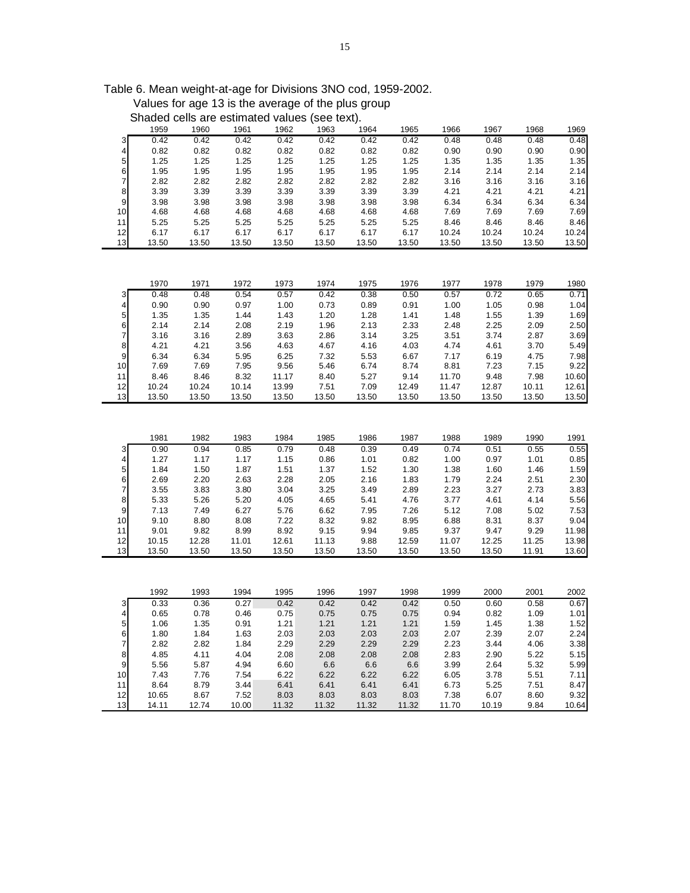Values for age 13 is the average of the plus group Shaded cells are estimated values (see text).

|                | 1959  | 1960  | 1961  | 1962  | 1963    | 1964  | 1965  | 1966  | 1967  | 1968  | 1969         |
|----------------|-------|-------|-------|-------|---------|-------|-------|-------|-------|-------|--------------|
| 3              | 0.42  | 0.42  | 0.42  | 0.42  | 0.42    | 0.42  | 0.42  | 0.48  | 0.48  | 0.48  | 0.48         |
| 4              | 0.82  | 0.82  | 0.82  | 0.82  | 0.82    | 0.82  | 0.82  | 0.90  | 0.90  | 0.90  | 0.90         |
| 5              | 1.25  | 1.25  | 1.25  | 1.25  | 1.25    | 1.25  | 1.25  | 1.35  | 1.35  | 1.35  | 1.35         |
| 6              | 1.95  | 1.95  | 1.95  | 1.95  | 1.95    | 1.95  | 1.95  | 2.14  | 2.14  | 2.14  | 2.14         |
| $\overline{7}$ | 2.82  | 2.82  | 2.82  | 2.82  | 2.82    | 2.82  | 2.82  | 3.16  | 3.16  | 3.16  | 3.16         |
| 8              | 3.39  | 3.39  | 3.39  | 3.39  | 3.39    | 3.39  | 3.39  | 4.21  | 4.21  | 4.21  | 4.21         |
| $\overline{9}$ | 3.98  | 3.98  | 3.98  | 3.98  | 3.98    | 3.98  | 3.98  | 6.34  | 6.34  | 6.34  | 6.34         |
| 10             | 4.68  | 4.68  | 4.68  | 4.68  | 4.68    | 4.68  | 4.68  | 7.69  | 7.69  | 7.69  | 7.69         |
| 11             | 5.25  | 5.25  | 5.25  | 5.25  | 5.25    | 5.25  | 5.25  | 8.46  | 8.46  | 8.46  | 8.46         |
| 12             | 6.17  | 6.17  | 6.17  | 6.17  | 6.17    | 6.17  | 6.17  | 10.24 | 10.24 | 10.24 | 10.24        |
| 13             | 13.50 | 13.50 | 13.50 | 13.50 | 13.50   | 13.50 | 13.50 | 13.50 | 13.50 | 13.50 | 13.50        |
|                |       |       |       |       |         |       |       |       |       |       |              |
|                |       |       |       |       |         |       |       |       |       |       |              |
|                | 1970  | 1971  | 1972  | 1973  | 1974    | 1975  | 1976  | 1977  | 1978  | 1979  | 1980         |
| 3              | 0.48  | 0.48  | 0.54  | 0.57  | 0.42    | 0.38  | 0.50  | 0.57  | 0.72  | 0.65  | 0.71         |
| 4              | 0.90  | 0.90  | 0.97  | 1.00  | 0.73    | 0.89  | 0.91  | 1.00  | 1.05  | 0.98  | 1.04         |
| 5              | 1.35  | 1.35  | 1.44  | 1.43  | 1.20    | 1.28  | 1.41  | 1.48  | 1.55  | 1.39  | 1.69         |
| 6              | 2.14  | 2.14  | 2.08  | 2.19  | 1.96    | 2.13  | 2.33  | 2.48  | 2.25  | 2.09  | 2.50         |
| $\overline{7}$ | 3.16  | 3.16  | 2.89  | 3.63  | 2.86    | 3.14  | 3.25  | 3.51  | 3.74  | 2.87  | 3.69         |
| 8              | 4.21  | 4.21  | 3.56  | 4.63  | 4.67    | 4.16  | 4.03  | 4.74  | 4.61  | 3.70  | 5.49         |
| 9              | 6.34  | 6.34  | 5.95  | 6.25  | 7.32    | 5.53  | 6.67  | 7.17  | 6.19  | 4.75  | 7.98         |
| 10             | 7.69  | 7.69  | 7.95  | 9.56  | 5.46    | 6.74  | 8.74  | 8.81  | 7.23  | 7.15  | 9.22         |
| 11             | 8.46  | 8.46  | 8.32  | 11.17 | 8.40    | 5.27  | 9.14  | 11.70 | 9.48  | 7.98  | 10.60        |
| 12             | 10.24 | 10.24 | 10.14 | 13.99 | 7.51    | 7.09  | 12.49 | 11.47 | 12.87 | 10.11 | 12.61        |
| 13             | 13.50 | 13.50 | 13.50 | 13.50 | 13.50   | 13.50 | 13.50 | 13.50 | 13.50 | 13.50 | 13.50        |
|                |       |       |       |       |         |       |       |       |       |       |              |
|                |       |       |       |       |         |       |       |       |       |       |              |
|                |       |       |       |       |         |       |       |       |       |       |              |
|                | 1981  | 1982  | 1983  | 1984  | 1985    | 1986  | 1987  | 1988  | 1989  | 1990  | 1991         |
| 3              | 0.90  | 0.94  | 0.85  | 0.79  | 0.48    | 0.39  | 0.49  | 0.74  | 0.51  | 0.55  | 0.55         |
| 4              | 1.27  | 1.17  | 1.17  | 1.15  | 0.86    | 1.01  | 0.82  | 1.00  | 0.97  | 1.01  | 0.85         |
| 5              | 1.84  | 1.50  | 1.87  | 1.51  | 1.37    | 1.52  | 1.30  | 1.38  | 1.60  | 1.46  | 1.59         |
| 6              | 2.69  | 2.20  | 2.63  | 2.28  | 2.05    | 2.16  | 1.83  | 1.79  | 2.24  | 2.51  | 2.30         |
| $\overline{7}$ | 3.55  | 3.83  | 3.80  | 3.04  | 3.25    | 3.49  | 2.89  | 2.23  | 3.27  | 2.73  | 3.83         |
| 8              | 5.33  | 5.26  | 5.20  | 4.05  | 4.65    | 5.41  | 4.76  | 3.77  | 4.61  | 4.14  | 5.56         |
| 9              | 7.13  | 7.49  | 6.27  | 5.76  | 6.62    | 7.95  | 7.26  | 5.12  | 7.08  | 5.02  | 7.53         |
| 10             | 9.10  | 8.80  | 8.08  | 7.22  | 8.32    | 9.82  | 8.95  | 6.88  | 8.31  | 8.37  | 9.04         |
| 11             | 9.01  | 9.82  | 8.99  | 8.92  | 9.15    | 9.94  | 9.85  | 9.37  | 9.47  | 9.29  | 11.98        |
| 12             | 10.15 | 12.28 | 11.01 | 12.61 | 11.13   | 9.88  | 12.59 | 11.07 | 12.25 | 11.25 | 13.98        |
| 13             | 13.50 | 13.50 | 13.50 | 13.50 | 13.50   | 13.50 | 13.50 | 13.50 | 13.50 | 11.91 | 13.60        |
|                |       |       |       |       |         |       |       |       |       |       |              |
|                |       |       |       |       |         |       |       |       |       |       |              |
|                | 1992  | 1993  | 1994  | 1995  | 1996    | 1997  | 1998  | 1999  | 2000  | 2001  | 2002         |
| 3              | 0.33  | 0.36  | 0.27  | 0.42  | 0.42    | 0.42  | 0.42  | 0.50  | 0.60  | 0.58  | 0.67         |
| 4              | 0.65  | 0.78  | 0.46  | 0.75  | 0.75    | 0.75  | 0.75  | 0.94  | 0.82  | 1.09  | 1.01         |
| 5              | 1.06  | 1.35  | 0.91  | 1.21  | 1.21    | 1.21  | 1.21  | 1.59  | 1.45  | 1.38  | 1.52         |
| $\frac{6}{7}$  | 1.80  | 1.84  | 1.63  | 2.03  | 2.03    | 2.03  | 2.03  | 2.07  | 2.39  | 2.07  | 2.24<br>3.38 |
|                | 2.82  | 2.82  | 1.84  | 2.29  | 2.29    | 2.29  | 2.29  | 2.23  | 3.44  | 4.06  |              |
| 8              | 4.85  | 4.11  | 4.04  | 2.08  | 2.08    | 2.08  | 2.08  | 2.83  | 2.90  | 5.22  | 5.15         |
| $\overline{9}$ | 5.56  | 5.87  | 4.94  | 6.60  | $6.6\,$ | 6.6   | 6.6   | 3.99  | 2.64  | 5.32  | 5.99         |
| 10             | 7.43  | 7.76  | 7.54  | 6.22  | 6.22    | 6.22  | 6.22  | 6.05  | 3.78  | 5.51  | 7.11         |
| 11             | 8.64  | 8.79  | 3.44  | 6.41  | 6.41    | 6.41  | 6.41  | 6.73  | 5.25  | 7.51  | 8.47         |
| 12             | 10.65 | 8.67  | 7.52  | 8.03  | 8.03    | 8.03  | 8.03  | 7.38  | 6.07  | 8.60  | 9.32         |
| 13             | 14.11 | 12.74 | 10.00 | 11.32 | 11.32   | 11.32 | 11.32 | 11.70 | 10.19 | 9.84  | 10.64        |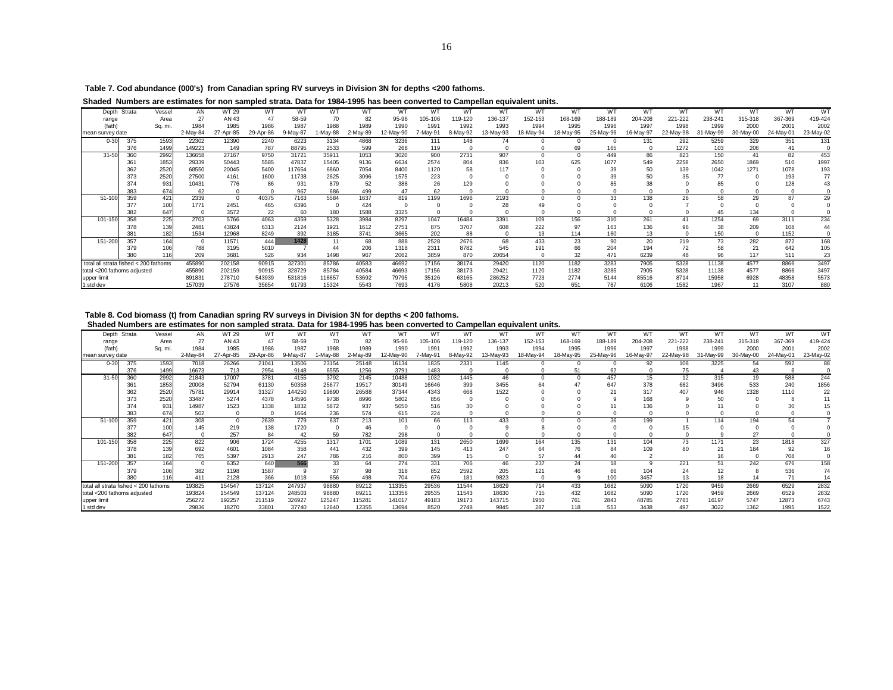**Table 7. Cod abundance (000's) from Canadian spring RV surveys in Division 3N for depths <200 fathoms.**

**Shaded Numbers are estimates for non sampled strata. Data for 1984-1995 has been converted to Campellan equivalent units.**

|                                       | Depth Strata | Vessel          | AN       | <b>WT 29</b> | WT        | WT       | WT      | WT       | WT        | w٦       | W <sub>1</sub> | WТ        | WT        | WT       | W1        | W1        | WT        | W٦        | W٦        | W.        | WT        |
|---------------------------------------|--------------|-----------------|----------|--------------|-----------|----------|---------|----------|-----------|----------|----------------|-----------|-----------|----------|-----------|-----------|-----------|-----------|-----------|-----------|-----------|
| range                                 |              | Area            | 27       | AN 43        | 47        | 58-59    |         | 82       | 95-96     | 105-106  | 119-120        | 136-137   | 152-153   | 168-169  | 188-189   | 204-208   | 221-222   | 238-241   | 315-318   | 367-369   | 419-424   |
| (fath)                                |              | Sq. mi.         | 1984     | 1985         | 1986      | 1987     | 1988    | 1989     | 1990      | 1991     | 1992           | 1993      | 1994      | 1995     | 1996      | 1997      | 1998      | 1999      | 2000      | 2001      | 2002      |
| mean survey date                      |              |                 | 2-May-84 | 27-Apr-85    | 29-Apr-86 | 9-May-87 | -May-88 | 2-May-89 | 12-May-90 | 7-May-91 | 8-May-92       | 13-May-93 | 18-May-94 | 8-May-95 | 25-May-96 | 16-May-97 | 22-May-98 | 31-May-99 | 30-May-00 | 24-May-01 | 23-May-02 |
| $0 - 30$                              | 375          | 1593            | 22302    | 12390        | 2240      | 6223     | 3134    | 4868     | 3236      | 111      | 148            | 74        |           |          |           | 131       | 292       | 5259      | 329       | 351       | 131       |
|                                       | 376          | 1499            | 149223   | 149          | 787       | 88795    | 2533    | 599      | 268       | 119      |                |           |           | 69       | 165       |           | 1272      | 103       | 206       | 41        |           |
| $31 - 50$                             | 360          | 2992            | 136658   | 27167        | 9750      | 31721    | 35911   | 1053     | 3020      | 900      | 2731           | 907       |           |          | 449       | 86        | 823       | 150       | 41        | 82        | 453       |
|                                       | 361          | 1853            | 29339    | 50443        | 5585      | 47837    | 15405   | 9136     | 6634      | 2574     | 804            | 836       | 103       | 625      | 1077      | 549       | 2258      | 2650      | 1869      | 510       | 1997      |
|                                       | 362          | 2520            | 68550    | 20045        | 5400      | 117654   | 6860    | 7054     | 8400      | 1120     | 58             | 117       |           |          | 39        | 50        | 139       | 1042      | 1271      | 1078      | 193       |
|                                       | 373          | 2520            | 27500    | 4161         | 1600      | 11738    | 2625    | 3096     | 1575      | 223      |                |           |           |          |           |           | 35        |           |           | 193       | 77        |
|                                       | 374          | 931             | 10431    | 776          | 86        | 931      | 879     | 52       | 388       | 26       | 129            |           |           |          |           |           |           |           |           | 128       |           |
|                                       | 383          | 674             | 62       |              |           | 967      | 686     | 499      | 47        | 62       |                |           |           |          |           |           |           |           |           |           |           |
| $51 - 100$                            | 359          | 421             | 2339     |              | 40375     | 7163     | 5584    | 1637     | 819       | 1199     | 1696           | 2193      |           |          | 33        | 138       | 26        | 58        | 29        | 87        | 29        |
|                                       | 377          | 10 <sup>c</sup> | 1771     | 2451         | 465       | 6396     |         | 424      |           |          |                | 28        |           |          |           |           |           |           |           |           |           |
|                                       | 382          | 647             | $\Omega$ | 3572         | 22        | 60       | 180     | 1588     | 3325      |          |                |           |           |          |           |           |           | 45        | 134       |           |           |
| 101-150                               | 358          | 225             | 2703     | 5766         | 4063      | 4359     | 5328    | 3984     | 8297      | 1047     | 16484          | 3391      | 109       | 156      | 310       | 261       | 41        | 1254      | 69        | 3111      | 234       |
|                                       | 378          | 139             | 2481     | 43824        | 6313      | 2124     | 1921    | 1612     | 2751      | 875      | 3707           | 608       | 222       | 97       | 163       | 136       | 96        | 38        | 209       | 108       |           |
|                                       | 381          | 182             | 1534     | 12968        | 8249      | 392      | 3185    | 3741     | 3665      | 202      | 88             |           | 13        | 114      | 160       |           |           | 150       |           | 1152      |           |
| 151-200                               | 357          | 164             | $\Omega$ | 11571        | 444       | 1428     |         | 68       | 888       | 2528     | 2676           | 68        | 433       | 23       | 90        | 20        | 219       | 73        | 282       | 872       | 168       |
|                                       | 379          |                 | 788      | 3195         | 5010      |          | 44      | 206      | 1318      | 2311     | 8782           | 545       | 191       | 66       | 204       | 194       | 72        | 58        |           | 642       | 105       |
|                                       | 380          | 116             | 209      | 3681         | 526       | 934      | 1498    | 967      | 2062      | 3859     | 870            | 20654     |           | 32       | 471       | 6239      | 48        | 96        | 117       | 511       | 23        |
| total all strata fished < 200 fathoms |              |                 | 455890   | 202158       | 90915     | 327301   | 85786   | 40583    | 46692     | 17156    | 38174          | 29420     | 1120      | 1182     | 3283      | 7905      | 5328      | 11138     | 4577      | 8866      | 3497      |
| total <200 fathoms adjusted           |              |                 | 455890   | 202159       | 90915     | 328729   | 85784   | 40584    | 46693     | 17156    | 38173          | 29421     | 1120      | 1182     | 3285      | 7905      | 5328      | 11138     | 4577      | 8866      | 3497      |
| upper limit                           |              |                 | 891831   | 278710       | 543939    | 531816   | 118657  | 53692    | 79795     | 35126    | 63165          | 286252    | 7723      | 2774     | 5144      | 85516     | 8714      | 15958     | 6928      | 48358     | 5573      |
| 1 std dev                             |              |                 | 157039   | 27576        | 35654     | 91793    | 15324   | 5543     | 7693      | 4176     | 5808           | 20213     | 520       | 651      | 787       | 6106      | 1582      | 1967      | 11        | 3107      | 880       |

 **Table 8. Cod biomass (t) from Canadian spring RV surveys in Division 3N for depths < 200 fathoms.** 

 **Shaded Numbers are estimates for non sampled strata. Data for 1984-1995 has been converted to Campellan equivalent units.**

| WT 29<br>WT<br>WT<br>AN<br>WT<br>WT<br>WT<br>WT<br>WT<br>WT<br>WТ<br>WT<br>WT<br>WT<br>WT<br>WT<br>Depth Strata<br>W1<br>Vessel<br>367-369<br>204-208<br>27<br>47<br>58-59<br>119-120<br>136-137<br>168-169<br>188-189<br>221-222<br>315-318<br>AN 43<br>95-96<br>105-106<br>152-153<br>238-241<br>82<br>Area<br>70<br>range<br>1989<br>1992<br>1996<br>1997<br>1998<br>1999<br>1984<br>1986<br>1987<br>1988<br>1990<br>1993<br>1994<br>1995<br>2000<br>1985<br>1991<br>(fath)<br>Sq. mi.<br>2-May-89<br>8-May-92<br>16-May-97<br>31-May-99<br>30-May-00<br>29-Apr-86<br>9-May-87<br>1-May-88<br>12-May-90<br>13-May-93<br>18-May-94<br>18-May-95<br>25-May-96<br>22-May-98<br>24-May-01<br>2-May-84<br>27-Apr-85<br>7-May-91<br>mean survey date | WT<br>W٦<br>419-424<br>2001<br>2002<br>23-May-02 |
|---------------------------------------------------------------------------------------------------------------------------------------------------------------------------------------------------------------------------------------------------------------------------------------------------------------------------------------------------------------------------------------------------------------------------------------------------------------------------------------------------------------------------------------------------------------------------------------------------------------------------------------------------------------------------------------------------------------------------------------------------|--------------------------------------------------|
|                                                                                                                                                                                                                                                                                                                                                                                                                                                                                                                                                                                                                                                                                                                                                   |                                                  |
|                                                                                                                                                                                                                                                                                                                                                                                                                                                                                                                                                                                                                                                                                                                                                   |                                                  |
|                                                                                                                                                                                                                                                                                                                                                                                                                                                                                                                                                                                                                                                                                                                                                   |                                                  |
|                                                                                                                                                                                                                                                                                                                                                                                                                                                                                                                                                                                                                                                                                                                                                   |                                                  |
| 3225<br>1593<br>26266<br>13506<br>25148<br>1835<br>2331<br>$0 - 30$<br>375<br>7018<br>21041<br>23154<br>16134<br>1145<br>108<br>92<br>54                                                                                                                                                                                                                                                                                                                                                                                                                                                                                                                                                                                                          | 592<br>88                                        |
| 1256<br>75<br>1499<br>16673<br>713<br>2954<br>6555<br>3791<br>1483<br>62<br>376<br>9148<br>43                                                                                                                                                                                                                                                                                                                                                                                                                                                                                                                                                                                                                                                     |                                                  |
| 31-50<br>360<br>2992<br>3781<br>17007<br>4155<br>3792<br>10488<br>1445<br>46<br>457<br>12<br>315<br>21843<br>2145<br>1032<br>15<br>19                                                                                                                                                                                                                                                                                                                                                                                                                                                                                                                                                                                                             | 244<br>588                                       |
| 1853<br>399<br>3455<br>378<br>682<br>20008<br>52794<br>50358<br>25677<br>19517<br>16646<br>647<br>3496<br>533<br>361<br>61130<br>30149                                                                                                                                                                                                                                                                                                                                                                                                                                                                                                                                                                                                            | 1856<br>240                                      |
| 2520<br>1522<br>668<br>407<br>946<br>1328<br>31327<br>19890<br>26588<br>37344<br>317<br>362<br>75781<br>29914<br>144250<br>4343                                                                                                                                                                                                                                                                                                                                                                                                                                                                                                                                                                                                                   | 22<br>1110                                       |
| 2520<br>4378<br>373<br>14596<br>9738<br>8996<br>5802<br>856<br>33487<br>5274<br>168                                                                                                                                                                                                                                                                                                                                                                                                                                                                                                                                                                                                                                                               |                                                  |
| 931<br>937<br>5050<br>1338<br>1832<br>5872<br>516<br>14987<br>1523<br>30<br>136<br>374                                                                                                                                                                                                                                                                                                                                                                                                                                                                                                                                                                                                                                                            |                                                  |
| 674<br>574<br>383<br>502<br>1664<br>236<br>224<br>615<br>$\Omega$                                                                                                                                                                                                                                                                                                                                                                                                                                                                                                                                                                                                                                                                                 |                                                  |
| 421<br>308<br>2639<br>637<br>213<br>433<br>359<br>779<br>66<br>113<br>199<br>51-100<br>101<br>36<br>114<br>194                                                                                                                                                                                                                                                                                                                                                                                                                                                                                                                                                                                                                                    |                                                  |
| 100<br>138<br>1720<br>377<br>219<br>46<br>145                                                                                                                                                                                                                                                                                                                                                                                                                                                                                                                                                                                                                                                                                                     |                                                  |
| 782<br>298<br>382<br>647<br>257<br>84<br>42<br>59                                                                                                                                                                                                                                                                                                                                                                                                                                                                                                                                                                                                                                                                                                 |                                                  |
| 225<br>1699<br>358<br>822<br>4255<br>1701<br>1089<br>2650<br>73<br>23<br>906<br>1724<br>1317<br>131<br>164<br>135<br>131<br>104<br>1171<br>101-15(                                                                                                                                                                                                                                                                                                                                                                                                                                                                                                                                                                                                | 327<br>1818                                      |
| 139<br>432<br>1084<br>358<br>399<br>413<br>247<br>80<br>692<br>145<br>109<br>4601<br>441<br>76<br>84<br>21<br>184                                                                                                                                                                                                                                                                                                                                                                                                                                                                                                                                                                                                                                 | 92<br>16                                         |
| 182<br>216<br>800<br>399<br>381<br>765<br>5397<br>2913<br>247<br>786<br>15<br>$\Omega$                                                                                                                                                                                                                                                                                                                                                                                                                                                                                                                                                                                                                                                            | 708                                              |
| 566<br>164<br>706<br>237<br>357<br>6352<br>640<br>33<br>64<br>274<br>331<br>46<br>24<br>221<br>242<br>151-200<br>51<br>18                                                                                                                                                                                                                                                                                                                                                                                                                                                                                                                                                                                                                         | 676<br>158                                       |
| 1587<br>2592<br>205<br>106<br>382<br>1198<br>318<br>852<br>121<br>104<br>24<br>98<br>66<br>379                                                                                                                                                                                                                                                                                                                                                                                                                                                                                                                                                                                                                                                    | 536                                              |
| 366<br>498<br>9823<br>13<br>656<br>704<br>181<br>3457<br>380<br>116<br>2128<br>1018<br>676<br>100<br>18<br>411                                                                                                                                                                                                                                                                                                                                                                                                                                                                                                                                                                                                                                    | 71                                               |
| 98880<br>18629<br>714<br>1682<br>1720<br>9459<br>2669<br>total all strata fished < 200 fathoms<br>193825<br>247937<br>89212<br>113355<br>29536<br>11544<br>433<br>5090<br>154547<br>137124                                                                                                                                                                                                                                                                                                                                                                                                                                                                                                                                                        | 2832<br>6529                                     |
| 1720<br>154549<br>137124<br>248503<br>98880<br>89211<br>29535<br>11543<br>18630<br>715<br>1682<br>5090<br>9459<br>2669<br>total <200 fathoms adjusted<br>193824<br>113356<br>432                                                                                                                                                                                                                                                                                                                                                                                                                                                                                                                                                                  | 2832<br>6529                                     |
| 115281<br>19173<br>143715<br>1950<br>48785<br>2783<br>12873<br>256272<br>192257<br>211519<br>326927<br>125247<br>49183<br>2843<br>5747<br>141017<br>761<br>16197<br>upper limit                                                                                                                                                                                                                                                                                                                                                                                                                                                                                                                                                                   | 6743                                             |
| 29836<br>18270<br>33801<br>12355<br>8520<br>2748<br>3438<br>497<br>3022<br>1362<br>37740<br>12640<br>13694<br>9845<br>287<br>118<br>553<br>1 std dev                                                                                                                                                                                                                                                                                                                                                                                                                                                                                                                                                                                              | 1522<br>1995                                     |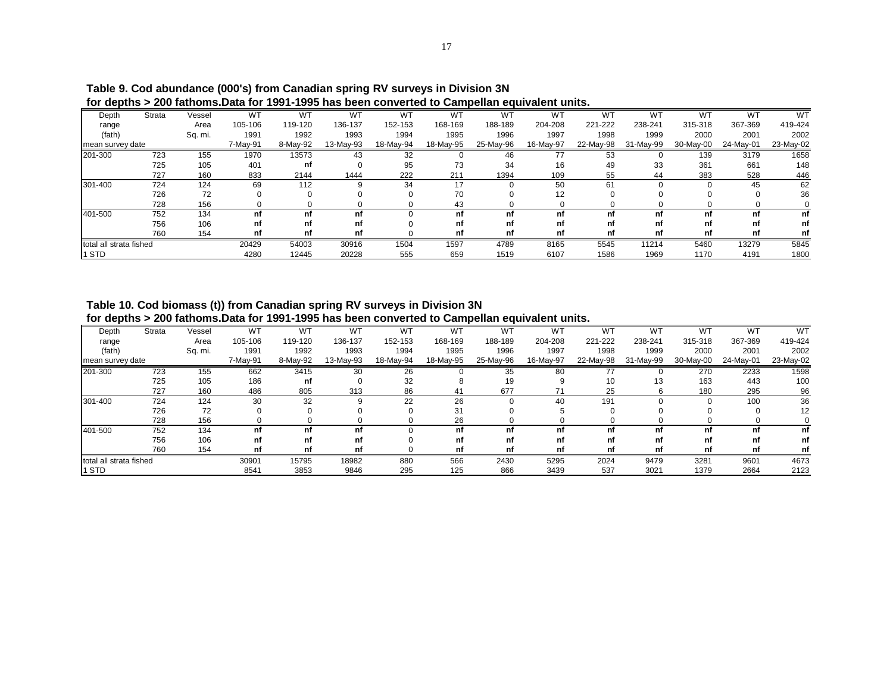|                         |        |         |           | TUL UCDITIS 2 ZUV TAITUMIS.DAIA TUL 1991-1999 HAS DECH CUNVELICU IU GAMDEMAN CUUVAICHI UMIIS. |           |           |           |           |           |           |           |           |           |           |
|-------------------------|--------|---------|-----------|-----------------------------------------------------------------------------------------------|-----------|-----------|-----------|-----------|-----------|-----------|-----------|-----------|-----------|-----------|
| Depth                   | Strata | Vessel  | <b>WT</b> | <b>WT</b>                                                                                     | <b>WT</b> | <b>WT</b> | W٦        | <b>WT</b> | WT        | <b>WT</b> | W1        | <b>WT</b> | <b>WT</b> | <b>WT</b> |
| range                   |        | Area    | 105-106   | 119-120                                                                                       | 136-137   | 152-153   | 168-169   | 188-189   | 204-208   | 221-222   | 238-241   | 315-318   | 367-369   | 419-424   |
| (fath)                  |        | Sq. mi. | 1991      | 1992                                                                                          | 1993      | 1994      | 1995      | 1996      | 1997      | 1998      | 1999      | 2000      | 2001      | 2002      |
| mean survey date        |        |         | 7-May-91  | 8-May-92                                                                                      | 13-May-93 | 18-May-94 | 18-May-95 | 25-May-96 | 16-May-97 | 22-May-98 | 31-May-99 | 30-May-00 | 24-May-01 | 23-May-02 |
| 201-300                 | 723    | 155     | 1970      | 13573                                                                                         | 43        | 32        |           | 46        |           | 53        |           | 139       | 3179      | 1658      |
|                         | 725    | 105     | 401       | nf                                                                                            |           | 95        | 73        | 34        | 16        | 49        | 33        | 361       | 661       | 148       |
|                         | 727    | 160     | 833       | 2144                                                                                          | 1444      | 222       | 211       | 1394      | 109       | 55        | 44        | 383       | 528       | 446       |
| 301-400                 | 724    | 124     | 69        | 112                                                                                           | 9         | 34        | 17        |           | 50        | 61        |           |           | 45        | 62        |
|                         | 726    | 72      |           |                                                                                               |           |           | 70        |           | 12        |           |           |           |           | 36        |
|                         | 728    | 156     |           |                                                                                               |           |           | 43        |           |           |           |           |           |           |           |
| 401-500                 | 752    | 134     | nf        | nf                                                                                            | nf        |           | nf        | nf        | nf        | nf        |           | nf        | nf        | nf        |
|                         | 756    | 106     | nf        | nf                                                                                            | nf        |           | nf        | nf        | nf        | nf        | nf        | nf        | nf        | nf        |
|                         | 760    | 154     | nf        | nf                                                                                            | nf        |           | nf        | nf        | nf        | nf        | nf        | nf        | nf        | nf        |
| total all strata fished |        |         | 20429     | 54003                                                                                         | 30916     | 1504      | 1597      | 4789      | 8165      | 5545      | 11214     | 5460      | 13279     | 5845      |
| 1 STD                   |        |         | 4280      | 12445                                                                                         | 20228     | 555       | 659       | 1519      | 6107      | 1586      | 1969      | 1170      | 4191      | 1800      |

 **Table 9. Cod abundance (000's) from Canadian spring RV surveys in Division 3N for depths > 200 fathoms.Data for 1991-1995 has been converted to Campellan equivalent units.**

 **Table 10. Cod biomass (t)) from Canadian spring RV surveys in Division 3N for depths > 200 fathoms.Data for 1991-1995 has been converted to Campellan equivalent units.**

| Depth                   | Strata | Vessel  | <b>WT</b> | WT       | <b>WT</b> | <b>WT</b> | <b>WT</b> | <b>WT</b> | W <sup>1</sup> | <b>WT</b> | <b>WT</b> | W1        | W٦        | <b>WT</b> |
|-------------------------|--------|---------|-----------|----------|-----------|-----------|-----------|-----------|----------------|-----------|-----------|-----------|-----------|-----------|
| range                   |        | Area    | 105-106   | 119-120  | 136-137   | 152-153   | 168-169   | 188-189   | 204-208        | 221-222   | 238-241   | 315-318   | 367-369   | 419-424   |
| (fath)                  |        | Sq. mi. | 1991      | 1992     | 1993      | 1994      | 1995      | 1996      | 1997           | 1998      | 1999      | 2000      | 2001      | 2002      |
| mean survey date        |        |         | 7-May-91  | 8-May-92 | 13-May-93 | 18-May-94 | 18-May-95 | 25-May-96 | 16-May-97      | 22-May-98 | 31-May-99 | 30-May-00 | 24-May-01 | 23-May-02 |
| 201-300                 | 723    | 155     | 662       | 3415     | 30        | 26        |           | 35        | 80             | 77        |           | 270       | 2233      | 1598      |
|                         | 725    | 105     | 186       | nf       |           | 32        |           | 19        | 9              | 10        | 13        | 163       | 443       | 100       |
|                         | 727    | 160     | 486       | 805      | 313       | 86        | 41        | 677       |                | 25        |           | 180       | 295       | 96        |
| 301-400                 | 724    | 124     | 30        | 32       |           | 22        | 26        |           | 40             | 191       |           |           | 100       | 36        |
|                         | 726    | 72      | 0         |          |           | $\Omega$  | 31        |           |                |           |           |           |           | 12        |
|                         | 728    | 156     | 0         |          |           |           | 26        |           |                |           |           |           |           |           |
| 401-500                 | 752    | 134     | nf        | nf       | nf        |           | nf        | nf        |                | nf        | nf        | nf        | nf        | nf        |
|                         | 756    | 106     | nf        | nf       | nf        |           | nf        | nf        | nf             | nf        | nf        | nf        | nf        | nf        |
|                         | 760    | 154     | nf        | nf       | nf        |           | nf        | nf        |                | nf        | nf        | nf        | nf        | nf        |
| total all strata fished |        |         | 30901     | 15795    | 18982     | 880       | 566       | 2430      | 5295           | 2024      | 9479      | 3281      | 9601      | 4673      |
| 1 STD                   |        |         | 8541      | 3853     | 9846      | 295       | 125       | 866       | 3439           | 537       | 3021      | 1379      | 2664      | 2123      |
|                         |        |         |           |          |           |           |           |           |                |           |           |           |           |           |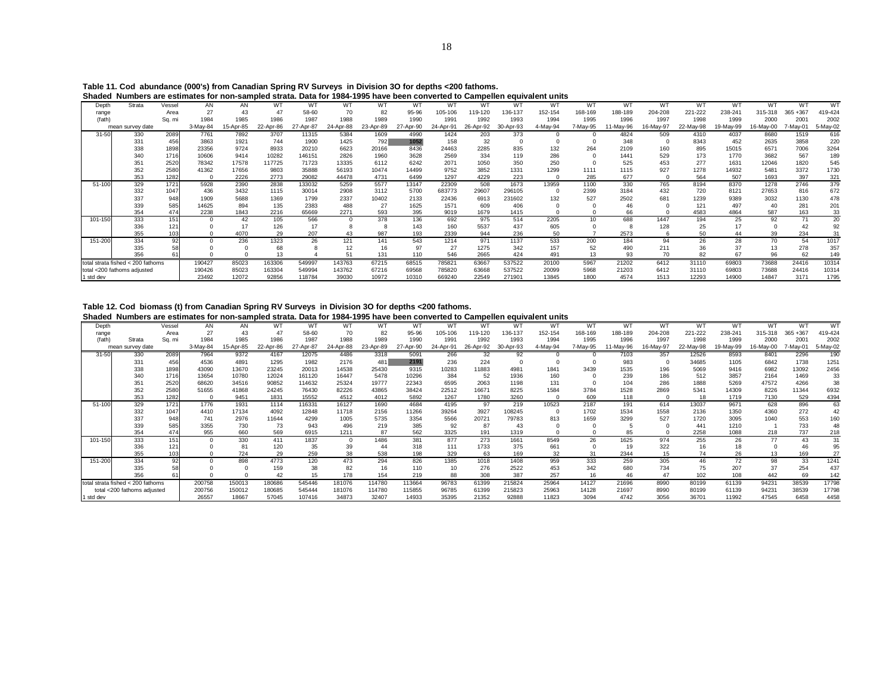|           | Shaded Numbers are estimates for non-sampled strata. Data for 1984-1995 have been converted to Campellen equivalent units |             |          |          |           |           |           |           |            |             |             |            |           |          |               |           |           |                |           |             |           |
|-----------|---------------------------------------------------------------------------------------------------------------------------|-------------|----------|----------|-----------|-----------|-----------|-----------|------------|-------------|-------------|------------|-----------|----------|---------------|-----------|-----------|----------------|-----------|-------------|-----------|
| Depth     | Strata                                                                                                                    | Vessel      | AN       | AN       | WT        | WT        | WT        | WT        | WТ         | WT          |             |            | WT        | WT       | WT            | WT        | WT        | W <sub>1</sub> | W٦        | W٦          | <b>WT</b> |
| range     |                                                                                                                           | Area        |          |          |           | 58-60     | 70        |           | 95-96      | 05-106      | 19-120      | 136-137    | 152-154   | 168-169  | 188-189       | 204-208   | 221-222   | 238-241        | 315-318   | $365 + 367$ | 419-424   |
| (fath)    |                                                                                                                           | Sq. mi      | 1984     | 1985     | 1986      | 1987      | 1988      | 1989      | 1990       | 1991        | 1992        | 1993       | 1994      | 1995     | 1996          | 1997      | 1998      | 1999           | 2000      | 2001        | 2002      |
|           | mean survey date                                                                                                          |             | 3-May-84 | 5-Apr-85 | 22-Apr-86 | 27-Apr-87 | 24-Apr-88 | 23-Apr-89 | 27-Apr-90  | 24-Apr-91   | 26-Apr-92   | 30-Apr-93  | 4-May-94  | 7-May-95 | 1-May-96      | 16-Mav-97 | 22-May-98 | 19-May-99      | 16-Mav-00 | 7-May-01    | 5-May-02  |
| $31 - 50$ | 330                                                                                                                       | 2089        | 7761     | 7892     | 3707      | 11315     | 5384      | 1609      | 4990       | 1424        | 203         | 373        |           |          | 4824          | 509       | 4310      | 4037           | 8680      | 1519        | 616       |
|           | 331                                                                                                                       | 456         | 3863     | 1921     | 744       | 1900      | 1425      | 792       | 1052       | 158         | 32          |            |           |          | 348           |           | 8343      | 452            | 2635      | 3858        | 220       |
|           | 338                                                                                                                       | 1898        | 23356    | 9724     | 8933      | 20210     | 6623      | 20166     | 8436       | 24463       | 2285        | 835        | 132       | 264      | 2109          | 160       | 895       | 15015          | 6571      | 7006        | 3264      |
|           | 340                                                                                                                       | 1716        | 10606    | 9414     | 10282     | 146151    | 2826      | 1960      | 3628       | 2569        | 334         | 119        | 286       |          | 1441          | 529       | 173       | 1770           | 3682      | 567         | 189       |
|           | 351                                                                                                                       | 2520        | 78342    | 17578    | 117725    | 71723     | 13335     | 6112      | 6242       | 2071        | 1050        | 350        | 250       |          | 525           | 453       | 277       | 1631           | 12046     | 1820        | 545       |
|           | 352                                                                                                                       | <b>2580</b> | 41362    | 17656    | 9803      | 35888     | 56193     | 10474     | 14499      | 9752        | 3852        | 1331       | 1299      | 1111     | 1115          | 927       | 1278      | 14932          | 5481      | 3372        | 1730      |
|           | 353                                                                                                                       | 1282        |          | 2226     | 2773      | 29082     | 44478     | 4731      | 6499       | 1297        | 4229        | 223        |           | 285      | 677           |           | 564       | 507            | 1693      | 397         | 321       |
| 51-100    | 329                                                                                                                       | 1721        | 5928     | 2390     | 2838      | 133032    | 5259      | 5577      | 13147      | 22309       | 508         | 1673       | 13959     | 1100     | 330           | 765       | 8194      | 8370           | 1278      | 2746        | 379       |
|           | 332                                                                                                                       | 1047        | 436      | 3432     | 1115      | 30014     | 2908      | 3112      | 5700       | 683773      | 29607       | 296105     |           | 2399     | 3184          | 432       | 720       | 8121           | 27653     | 816         | 672       |
|           | 337                                                                                                                       | 948         | 1909     | 5688     | 1369      | 1799      | 2337      | 10402     | 2133       | 22436       | 6913        | 231602     | 132       | 527      | 2502          | 681       | 1239      | 9389           | 3032      | 1130        | 478       |
|           | 339                                                                                                                       | 585         | 14625    | 894      | 135       | 2383      | 488       | 27        | 1625       | 1571        | 609         | 406        |           |          | 46            |           | 121       | 497            | 40        | 281         | 201       |
|           | 354                                                                                                                       | 474         | 2238     | 1843     | 2216      | 65669     | 2271      | 593       | 395        | 9019        | 1679        | 1415       |           |          | 66            |           | 4583      | 4864           | 587       | 163         | 33        |
| 101-150   | 333                                                                                                                       | 151         |          | 42       | 105       | 566       |           | 378       | 136        | 692         | 975         | 514<br>437 | 2205      | 10       | 688           | 1447      | 194<br>25 | 25             | 92        |             | 20        |
|           | 336<br>355                                                                                                                | 121         |          | 4070     | 126<br>29 | 207       | 43        | 987       | 143        | 160<br>2339 | 5537<br>944 | 236        | 605<br>50 |          | 2573          | 128       | 50        |                |           |             |           |
| 151-200   | 334                                                                                                                       | 103         |          | 236      | 1323      | 26        | 121       | 141       | 193<br>543 | 1214        | 971         | 1137       | 533       | 200      | 184           | 94        | 26        | 44<br>28       | 39<br>70  | 234<br>54   | 1017      |
|           | 335                                                                                                                       |             |          |          |           |           | 12        | 16        | 97         | 27          | 1275        | 342        | 157       | 52       | 490           | 211       |           |                | 13        | 278         | 357       |
|           | 356                                                                                                                       |             |          |          |           |           | 51        | 131       | 110        | 546         | 2665        | 424        | 491       | 13       | 93            | 70        | 82        | 67             | 96        | 62          | 149       |
|           | total strata fished < 200 fathoms                                                                                         |             |          |          |           |           |           |           | 68515      |             | 63667       |            |           |          | 21202         | 6412      | 31110     | 69803          | 73688     |             | 10314     |
|           |                                                                                                                           |             | 190427   | 85023    | 163306    | 549997    | 143763    | 67215     |            | 785821      |             | 537522     | 20100     | 5967     |               | 6412      | 31110     |                | 73688     | 24416       |           |
|           | total <200 fathoms adjusted                                                                                               |             | 190426   | 85023    | 163304    | 549994    | 143762    | 67216     | 69568      | 785820      | 63668       | 537522     | 20099     | 5968     | 21203<br>4574 |           |           | 69803          |           | 24416       | 10314     |
| 1 std dev |                                                                                                                           |             | 23492    | 12072    | 92856     | 118784    | 39030     | 10972     | 10310      | 669240      | 22549       | 271901     | 13845     | 1800     |               | 1513      | 12293     | 14900          | 14847     | 3171        | 1795      |

**Table 11. Cod abundance (000's) from Canadian Spring RV Surveys in Division 3O for depths <200 fathoms.**

### **Table 12. Cod biomass (t) from Canadian Spring RV Surveys in Division 3O for depths <200 fathoms.**

**Shaded Numbers are estimates for non-sampled strata. Data for 1984-1995 have been converted to Campellen equivalent units**

| Depth     |                                   | Vessel | AN       | AN        | w.           | WT        | WT        | W1        | w٦        | W <sup>1</sup> | W         |           | W        | WT       | W٦        | w.       | W٦        | W.        | W٦        |                  | W1       |
|-----------|-----------------------------------|--------|----------|-----------|--------------|-----------|-----------|-----------|-----------|----------------|-----------|-----------|----------|----------|-----------|----------|-----------|-----------|-----------|------------------|----------|
| range     |                                   | Area   | 27       | 43        | $\mathbf{A}$ | 58-60     | 70        | 82        | 95-96     | 105-106        | 119-120   | 136-137   | 152-154  | 168-169  | 188-189   | 204-208  | 221-222   | 238-241   | 315-318   | $365 + 367$      | 419-424  |
| (fath)    | Strata                            | Sq. mi | 1984     | 1985      | 1986         | 1987      | 1988      | 1989      | 1990      | 1991           | 1992      | 1993      | 1994     | 1995     | 1996      | 1997     | 1998      | 1999      | 2000      | 200 <sup>1</sup> | 2002     |
|           | mean survey date                  |        | 3-May-84 | 15-Apr-85 | 22-Apr-86    | 27-Apr-87 | 24-Apr-88 | 23-Apr-89 | 27-Apr-90 | 24-Apr-91      | 26-Apr-92 | 30-Apr-93 | 4-May-94 | 7-May-95 | 11-Mav-96 | 6-Mav-97 | 22-May-98 | 19-May-99 | 16-Mav-00 | 7-Mav-01         | 5-May-02 |
| $31 - 50$ | 330                               | 2089   | 7964     | 9372      | 4167         | 12075     | 4486      | 3318      | 5091      | 266            | 32        | 92        |          |          | 7103      | 357      | 12526     | 8593      | 8401      | 2296             | 190      |
|           | 331                               | 456    | 4536     | 4891      | 1295         | 1982      | 2176      | 481       | 2191      | 236            | 224       |           |          |          | 983       |          | 34685     | 1105      | 6842      | 1738             | 1251     |
|           | 338                               | 1898   | 43090    | 13670     | 23245        | 20013     | 14538     | 25430     | 9315      | 10283          | 11883     | 4981      | 1841     | 3439     | 1535      | 196      | 5069      | 9416      | 6982      | 13092            | 2456     |
|           | 340                               | 1716   | 13654    | 10780     | 12024        | 161120    | 16447     | 5478      | 10296     | 384            | 52        | 1936      | 160      |          | 239       | 186      | 512       | 3857      | 2164      | 1469             | 33       |
|           | 351                               | 2520   | 68620    | 34516     | 90852        | 114632    | 25324     | 19777     | 22343     | 6595           | 2063      | 1198      | 131      |          | 104       | 286      | 1888      | 5269      | 47572     | 4266             | 38       |
|           | 352                               | 2580   | 51655    | 41868     | 24245        | 76430     | 82226     | 43865     | 38424     | 22512          | 16671     | 8225      | 1584     | 3784     | 1528      | 2869     | 5341      | 14309     | 8226      | 11344            | 6932     |
|           | 353                               | 1282   |          | 9451      | 1831         | 15552     | 4512      | 4012      | 5892      | 1267           | 1780      | 3260      |          | 609      | 118       |          | 18        | 1719      | 7130      | 529              | 4394     |
| 51-100    | 329                               | 1721   | 1776     | 1931      | 1114         | 116331    | 16127     | 1690      | 4684      | 4195           | 97        | 219       | 10523    | 2187     | 191       | 614      | 13037     | 9671      | 628       | 896              | 63       |
|           | 332                               | 1047   | 4410     | 17134     | 4092         | 12848     | 11718     | 2156      | 11266     | 39264          | 3927      | 108245    |          | 1702     | 1534      | 1558     | 2136      | 1350      | 4360      | 272              | 42       |
|           | 337                               | 948    | 741      | 2976      | 11644        | 4299      | 1005      | 5735      | 3354      | 5566           | 20721     | 79783     | 813      | 1659     | 3299      | 527      | 1720      | 3095      | 1040      | 553              | 160      |
|           | 339                               | 585    | 3355     | 730       | 73           | 943       | 496       | 219       | 385       | 92             | 87        |           |          |          |           |          | 441       | 1210      |           | 733              |          |
|           | 354                               | 474    | 955      | 660       | 569          | 6915      | 1211      | 87        | 562       | 3325           | 191       | 1319      |          |          | 85        |          | 2258      | 1088      | 218       | 737              | 218      |
| 101-150   | 333                               | 151    |          | 330       | 411          | 1837      | $\Omega$  | 1486      | 381       | 877            | 273       | 1661      | 8549     | 26       | 1625      | 974      | 255       | 26        | 77        | 43               | 31       |
|           | 336                               | 121    |          | 81        | 120          | 35        | 39        | 44        | 318       | 111            | 1733      | 375       | 661      |          | 19        | 322      | 16        | 18        |           |                  |          |
|           | 355                               |        |          | 724       | 29           | 259       | 38        | 538       | 198       | 329            | 63        | 169       | 32       | 31       | 2344      | 15       | 74        | 26        | 13        | 169              |          |
| 151-200   | 334                               |        |          | 898       | 4773         | 120       | 473       | 294       | 826       | 1385           | 1018      | 1408      | 959      | 333      | 259       | 305      | 46        | 72        | 98        | 33               | 1241     |
|           | 335                               |        |          |           | 159          | 38        | 82        | 16        | 110       |                | 276       | 2522      | 453      | 342      | 680       | 734      | 75        | 207       | 37        | 254              | 437      |
|           | 356                               |        |          |           | 42           | 15        | 178       | 154       | 219       | 88             | 308       | 387       | 257      | 16       | 46        |          | 102       | 108       | 442       | 69               | 142      |
|           | total strata fished < 200 fathoms |        | 200758   | 150013    | 180686       | 545446    | 181076    | 114780    | 113664    | 96783          | 61399     | 215824    | 25964    | 14127    | 21696     | 8990     | 80199     | 61139     | 94231     | 38539            | 17798    |
|           | total <200 fathoms adjusted       |        | 200756   | 150012    | 180685       | 545444    | 181076    | 114780    | 115855    | 96785          | 61399     | 215823    | 25963    | 14128    | 21697     | 8990     | 80199     | 61139     | 9423'     | 38539            | 17798    |
| 1 std dev |                                   |        | 26557    | 18667     | 57045        | 107416    | 34873     | 32407     | 14933     | 35395          | 21352     | 92888     | 11823    | 3094     | 4742      | 3056     | 36701     | 11992     | 47545     | 6458             | 4458     |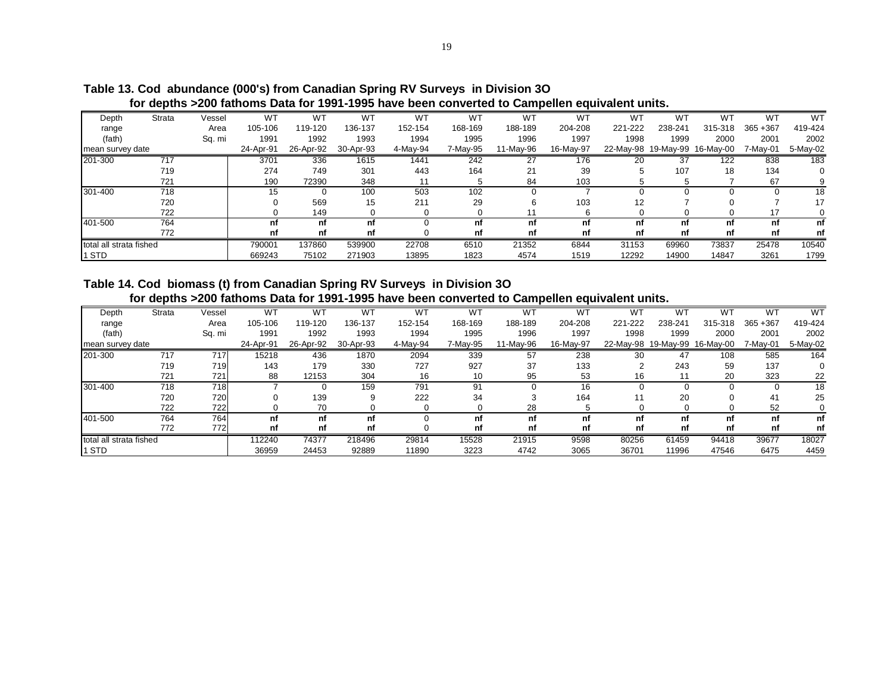|                         |        |        |           |           |                | TOT QUDLITS ZEUV TALITUMS DATA TUI TUUT TUUU MATU DULITUMITUL LU QAMDUMIUM UQUITAMUMI AMILO. |          |           |           |         |         |                               |             |          |
|-------------------------|--------|--------|-----------|-----------|----------------|----------------------------------------------------------------------------------------------|----------|-----------|-----------|---------|---------|-------------------------------|-------------|----------|
| Depth                   | Strata | Vessel | WT        | WT        | W <sup>-</sup> | <b>WT</b>                                                                                    | WT       | WT        | WT        | WT      | WT      | W.                            | W٦          | WT       |
| range                   |        | Area   | 105-106   | 119-120   | 136-137        | 152-154                                                                                      | 168-169  | 188-189   | 204-208   | 221-222 | 238-241 | 315-318                       | $365 + 367$ | 419-424  |
| (fath)                  |        | Sq. mi | 1991      | 1992      | 1993           | 1994                                                                                         | 1995     | 1996      | 1997      | 1998    | 1999    | 2000                          | 2001        | 2002     |
| mean survey date        |        |        | 24-Apr-91 | 26-Apr-92 | 30-Apr-93      | 4-May-94                                                                                     | 7-May-95 | 11-May-96 | 16-May-97 |         |         | 22-May-98 19-May-99 16-May-00 | 7-Mav-01    | 5-May-02 |
| 201-300                 | 717    |        | 3701      | 336       | 1615           | 1441                                                                                         | 242      | 27        | 176       | 20      | 37      | 122                           | 838         | 183      |
|                         | 719    |        | 274       | 749       | 301            | 443                                                                                          | 164      | 21        | 39        |         | 107     | 18                            | 134         |          |
|                         | 721    |        | 190       | 72390     | 348            |                                                                                              |          | 84        | 103       |         |         |                               | 67          |          |
| 301-400                 | 718    |        | 15        |           | 100            | 503                                                                                          | 102      |           |           |         |         |                               |             | 18       |
|                         | 720    |        |           | 569       | 15             | 211                                                                                          | 29       |           | 103       | 12      |         |                               |             | 17       |
|                         | 722    |        |           | 149       |                |                                                                                              |          |           |           |         |         |                               |             |          |
| 401-500                 | 764    |        | nf        | nf        | nf             |                                                                                              | nf       | nf        | nf        | nf      | nf      | nf                            | nf          | nf       |
|                         | 772    |        | nf        | nf        | nf             |                                                                                              | nf       | nf        | nf        | nf      | nf      | nf                            | nf          | nf       |
| total all strata fished |        |        | 790001    | 137860    | 539900         | 22708                                                                                        | 6510     | 21352     | 6844      | 31153   | 69960   | 73837                         | 25478       | 10540    |
| STD                     |        |        | 669243    | 75102     | 271903         | 13895                                                                                        | 1823     | 4574      | 1519      | 12292   | 14900   | 14847                         | 3261        | 1799     |

**Table 13. Cod abundance (000's) from Canadian Spring RV Surveys in Division 3O for depths >200 fathoms Data for 1991-1995 have been converted to Campellen equivalent units.**

# **Table 14. Cod biomass (t) from Canadian Spring RV Surveys in Division 3O for depths >200 fathoms Data for 1991-1995 have been converted to Campellen equivalent units.**

| Depth                   | Strata | Vessel | W٦        | WT        | <b>WT</b> | <b>WT</b> | <b>WT</b> | WT        | w٦        | <b>WT</b> | <b>WT</b>           | W٦        | WT          | <b>WT</b> |
|-------------------------|--------|--------|-----------|-----------|-----------|-----------|-----------|-----------|-----------|-----------|---------------------|-----------|-------------|-----------|
| range                   |        | Area   | 105-106   | 119-120   | 136-137   | 152-154   | 168-169   | 188-189   | 204-208   | 221-222   | 238-241             | 315-318   | $365 + 367$ | 419-424   |
| (fath)                  |        | Sq. mi | 1991      | 1992      | 1993      | 1994      | 1995      | 1996      | 1997      | 1998      | 1999                | 2000      | 2001        | 2002      |
| mean survey date        |        |        | 24-Apr-91 | 26-Apr-92 | 30-Apr-93 | 4-May-94  | 7-May-95  | 11-May-96 | 16-May-97 |           | 22-May-98 19-May-99 | 16-May-00 | 7-Mav-01    | 5-May-02  |
| 201-300                 | 717    | 717    | 15218     | 436       | 1870      | 2094      | 339       | 57        | 238       | 30        | 47                  | 108       | 585         | 164       |
|                         | 719    | 719    | 143       | 179       | 330       | 727       | 927       | 37        | 133       |           | 243                 | 59        | 137         |           |
|                         | 721    | 721    | 88        | 12153     | 304       | 16        | 10        | 95        | 53        | 16        |                     | 20        | 323         | 22        |
| 301-400                 | 718    | 718    |           |           | 159       | 791       | 91        |           | 16        |           |                     |           |             | 18        |
|                         | 720    | 720    |           | 139       |           | 222       | 34        |           | 164       | 11        | 20                  |           | 41          | 25        |
|                         | 722    | 722    |           | 70        |           |           |           | 28        |           |           |                     |           | 52          |           |
| 401-500                 | 764    | 764    | nf        | nf        | nf        |           | nf        | nf        | nf        | nf        | nf                  | nf        | nf          | nf        |
|                         | 772    | 772    | nf        | nf        | nf        |           | nf        | nf        | nf        | nf        | nf                  | nf        | nf          | nf        |
| total all strata fished |        |        | 112240    | 74377     | 218496    | 29814     | 15528     | 21915     | 9598      | 80256     | 61459               | 94418     | 39677       | 18027     |
| 1 STD                   |        |        | 36959     | 24453     | 92889     | 11890     | 3223      | 4742      | 3065      | 36701     | 11996               | 47546     | 6475        | 4459      |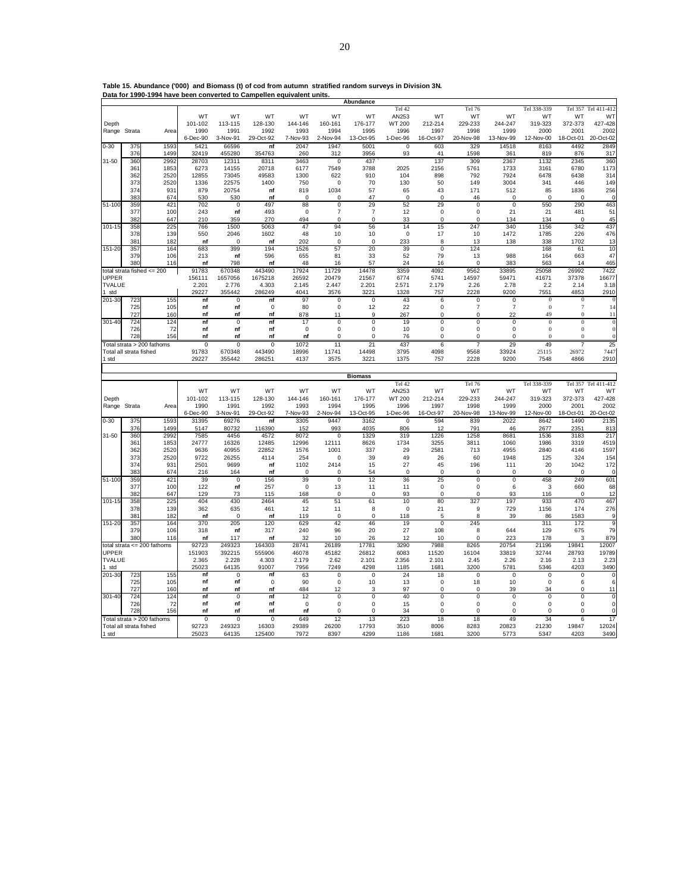|              |                         |                            |             |                | Table 15. Abundance ('000) and Biomass (t) of cod from autumn stratified random surveys in Division 3N. |             |                |                |                |                |                |                |              |              |                     |
|--------------|-------------------------|----------------------------|-------------|----------------|---------------------------------------------------------------------------------------------------------|-------------|----------------|----------------|----------------|----------------|----------------|----------------|--------------|--------------|---------------------|
|              |                         |                            |             |                | Data for 1990-1994 have been converted to Campellen equivalent units.                                   |             |                |                |                |                |                |                |              |              |                     |
|              |                         |                            |             |                |                                                                                                         |             |                | Abundance      |                |                |                |                |              |              |                     |
|              |                         |                            |             |                |                                                                                                         |             |                |                | Tel 42         |                | Tel 76         |                | Tel 338-339  |              | Tel 357 Tel 411-412 |
|              |                         |                            | WT          | WT             | WT                                                                                                      | WT          | WT             | WT             | AN253          | WT             | WT             | WT             | WT           | WT           | WT                  |
| Depth        |                         |                            | 101-102     | 113-115        | 128-130                                                                                                 | 144-146     | 160-161        | 176-177        | WT 200         | 212-214        | 229-233        | 244-247        | 319-323      | 372-373      | 427-428             |
| Range Strata |                         | Area                       | 1990        | 1991           | 1992                                                                                                    | 1993        | 1994           | 1995           | 1996           | 1997           | 1998           | 1999           | 2000         | 2001         | 2002                |
|              |                         |                            | 6-Dec-90    | 3-Nov-91       | 29-Oct-92                                                                                               | 7-Nov-93    | 2-Nov-94       | 13-Oct-95      | 1-Dec-96       | 16-Oct-97      | 20-Nov-98      | 13-Nov-99      | 12-Nov-00    | 18-Oct-01    | 20-Oct-02           |
| $0 - 30$     | 375                     | 1593                       | 5421        | 66596          | n f                                                                                                     | 2047        | 1947           | 5001           | $\overline{0}$ | 603            | 329            | 14518          | 8163         | 4492         | 2849                |
|              | 376                     | 1499                       | 32419       | 455280         | 354763                                                                                                  | 260         | 312            | 3956           | 93             | 41             | 1598           | 361            | 819          | 876          | 317                 |
| 31-50        | 360                     | 2992                       | 28703       | 12311          | 8311                                                                                                    | 3463        | $\mathbf 0$    | 437            |                | 137            | 309            | 2367           | 1132         | 2345         | 360                 |
|              | 361                     | 1853                       | 6273        | 14155          | 20718                                                                                                   | 6177        | 7549           | 3788           | 2025           | 2156           | 5761           | 1733           | 3161         | 6780         | 1173                |
|              | 362                     | 2520                       | 12855       | 73045          | 49583                                                                                                   | 1300        | 622            | 910            | 104            | 898            | 792            | 7924           | 6478         | 6438         | 314                 |
|              | 373                     | 2520                       | 1336        | 22575          | 1400                                                                                                    | 750         | $\mathbf 0$    | 70             | 130            | 50             | 149            | 3004           | 341          | 446          | 149                 |
|              | 374                     | 931                        | 879         | 20754          | nf                                                                                                      | 819         | 1034           | 57             | 65             | 43             | 171            | 512            | 85           | 1836         | 256                 |
|              | 383                     | 674                        | 530         | 530            | nf                                                                                                      | $\mathbf 0$ | $\mathbf 0$    | 47             | $\mathsf 0$    | $\mathbf 0$    | 46             | 0              | $\mathbf 0$  | 0            | 0                   |
| 51-100       | 359                     | 421                        | 702         | $\mathbf 0$    | 497                                                                                                     | 88          | $\overline{0}$ | 29             | 52             | 29             | $\mathbf 0$    | $\mathbf 0$    | 550          | 290          | 463                 |
|              | 377                     | 100                        | 243         | nf             | 493                                                                                                     | $\mathbf 0$ | $\overline{7}$ | $\overline{7}$ | 12             | 0              | $\mathbf 0$    | 21             | 21           | 481          | 51                  |
|              | 382                     | 647                        | 210         | 359            | 270                                                                                                     | 494         | 0              | $\mathbf 0$    | 33             | 0              | 0              | 134            | 134          | 0            | 45                  |
| $101 - 15$   | 358                     | 225                        | 766         | 1500           | 5063                                                                                                    | 47          | 94             | 56             | 14             | 15             | 247            | 340            | 1156         | 342          | 437                 |
|              | 378                     | 139                        | 550         | 2046           | 1602                                                                                                    | 48          | 10             | 10             | $\mathbf 0$    | 17             | 10             | 1472           | 1785         | 226          | 476                 |
|              | 381                     | 182                        | nf          | $\mathbf 0$    | nf                                                                                                      | 202         | $\mathbf 0$    | $\mathbf 0$    | 233            | 8              | 13             | 138            | 338          | 1702         | 13                  |
| 151-20       | 357                     | 164                        | 683         | 399            | 194                                                                                                     | 1526        | 57             | 20             | 39             | $\overline{0}$ | 124            |                | 168          | 61           | 10                  |
|              | 379                     | 106                        | 213         | nf             | 596                                                                                                     | 655         | 81             | 33             | 52             | 79             | 13             | 988            | 164          | 663          | 47                  |
|              | 380                     | 116                        | nf          | 798            | nf                                                                                                      | 48          | 16             | 57             | 24             | 16             | $\Omega$       | 383            | 563          | 14           | 465                 |
|              |                         | total strata fished <= 200 | 91783       | 670348         | 443490                                                                                                  | 17924       | 11729          | 14478          | 3359           | 4092           | 9562           | 33895          | 25058        | 26992        | 7422                |
| <b>UPPER</b> |                         |                            | 156111      | 1657056        | 1675218                                                                                                 | 26592       | 20479          | 21567          | 6774           | 5741           | 14597          | 59471          | 41671        | 37378        | 16677               |
| TVALUE       |                         |                            | 2.201       | 2.776          | 4.303                                                                                                   | 2.145       | 2.447          | 2.201          | 2.571          | 2.179          | 2.26           | 2.78           | 2.2          | 2.14         | 3.18                |
| 1 std        |                         |                            | 29227       | 355442         | 286249                                                                                                  | 4041        | 3576           | 3221           | 1328           | 757            | 2228           | 9200           | 7551         | 4853         | 2910                |
| $201 - 30$   | 723                     | 155                        | n f         | $\mathbf 0$    | nf                                                                                                      | 97          | $\mathbf 0$    | $\mathbf 0$    | 43             | 6              | $\mathbf 0$    | 0              | $\Omega$     | $\mathbf{0}$ | $\mathbf{0}$        |
|              | 725                     | 105                        | nf          | nf             | $\mathbf 0$                                                                                             | 80          | $\mathbf 0$    | 12             | 22             | 0              | $\overline{7}$ | $\overline{7}$ | $\mathbf{0}$ | 7            | 14                  |
|              | 727                     | 160                        | nf          | nf             | nf                                                                                                      | 878         | 11             | 9              | 267            | 0              | $\Omega$       | 22             | 49           | $\Omega$     | 11                  |
| 301-40       | 724                     | 124                        | n f         | $\mathbf 0$    | nf                                                                                                      | 17          | $\mathsf 0$    | $\mathbf 0$    | 19             | 0              | $\mathbf 0$    | 0              | $\Omega$     | $\mathbf{0}$ | $\mathbf{0}$        |
|              | 726                     | 72                         | nf          | nf             | nf                                                                                                      | $\Omega$    | $\mathbf 0$    | $\mathbf 0$    | 10             | 0              | 0              | 0              | $\mathbf{0}$ | $\mathbf{0}$ | $\mathbf{0}$        |
|              | 728                     | 156                        | nf          | nf             | nf                                                                                                      | nf          | $\mathbf 0$    | $\mathbf 0$    | 76             | 0              | $\mathbf 0$    | 0              | $\mathbf{0}$ | $\mathbf{0}$ | $\mathbf{0}$        |
|              |                         | Total strata > 200 fathoms | $\mathbf 0$ | $\overline{0}$ | $\overline{0}$                                                                                          | 1072        | 11             | 21             | 437            | 6              | $\overline{7}$ | 29             | 49           | 7            | 25                  |
|              | Total all strata fished |                            | 91783       | 670348         | 443490                                                                                                  | 18996       | 11741          | 14498          | 3795           | 4098           | 9568           | 33924          | 25115        | 26972        | 7447                |
| 1 std        |                         |                            | 29227       | 355442         | 286251                                                                                                  | 4137        | 3575           | 3221           | 1375           | 757            | 2228           | 9200           | 7548         | 4866         | 2910                |
|              |                         |                            |             |                |                                                                                                         |             |                |                |                |                |                |                |              |              |                     |
|              |                         |                            |             |                |                                                                                                         |             |                | <b>Biomass</b> | Tel 42         |                | Tel 76         |                | Tel 338-339  |              | Tel 357 Tel 411-412 |
|              |                         |                            | WT          | WT             | WT                                                                                                      | WT          | WT             | WT             | AN253          | WT             | WT             | WT             | WT           | WT           | WT                  |
| Depth        |                         |                            | 101-102     | 113-115        | 128-130                                                                                                 | 144-146     | 160-161        | 176-177        | WT 200         | 212-214        | 229-233        | 244-247        | 319-323      | 372-373      | 427-428             |
| Range Strata |                         | Area                       | 1990        | 1991           | 1992                                                                                                    | 1993        | 1994           | 1995           | 1996           | 1997           | 1998           | 1999           | 2000         | 2001         | 2002                |
|              |                         |                            |             |                |                                                                                                         |             |                |                |                |                |                |                |              |              |                     |

|               |                         | $10$ idi Stidid $>$ 200 iditionis |          |                |           | 1012        | . .         | ∠ ।            | 401         | v              |             | ∠ສ             | 49             |           | ت                   |
|---------------|-------------------------|-----------------------------------|----------|----------------|-----------|-------------|-------------|----------------|-------------|----------------|-------------|----------------|----------------|-----------|---------------------|
|               | Total all strata fished |                                   | 91783    | 670348         | 443490    | 18996       | 11741       | 14498          | 3795        | 4098           | 9568        | 33924          | 25115          | 26972     | 7447                |
| 1 std         |                         |                                   | 29227    | 355442         | 286251    | 4137        | 3575        | 3221           | 1375        | 757            | 2228        | 9200           | 7548           | 4866      | 2910                |
|               |                         |                                   |          |                |           |             |             |                |             |                |             |                |                |           |                     |
|               |                         |                                   |          |                |           |             |             | <b>Biomass</b> |             |                |             |                |                |           |                     |
|               |                         |                                   |          |                |           |             |             |                | Tel 42      |                | Tel 76      |                | Tel 338-339    |           | Tel 357 Tel 411-412 |
|               |                         |                                   | WT       | WT             | WT        | WT          | WT          | WT             | AN253       | WT             | WT          | WT             | WT             | WT        | WT                  |
| Depth         |                         |                                   | 101-102  | 113-115        | 128-130   | 144-146     | 160-161     | 176-177        | WT 200      | 212-214        | 229-233     | 244-247        | 319-323        | 372-373   | 427-428             |
|               | Range Strata            | Area                              | 1990     | 1991           | 1992      | 1993        | 1994        | 1995           | 1996        | 1997           | 1998        | 1999           | 2000           | 2001      | 2002                |
|               |                         |                                   | 6-Dec-90 | 3-Nov-91       | 29-Oct-92 | 7-Nov-93    | 2-Nov-94    | 13-Oct-95      | 1-Dec-96    | 16-Oct-97      | 20-Nov-98   | 13-Nov-99      | 12-Nov-00      | 18-Oct-01 | 20-Oct-02           |
| $0 - 30$      | 375                     | 1593                              | 31395    | 69276          | nf        | 3305        | 9447        | 3162           | $\Omega$    | 594            | 839         | 2022           | 8642           | 1490      | 2135                |
|               | 376                     | 1499                              | 5147     | 80732          | 116390    | 152         | 993         | 4035           | 806         | 12             | 791         | 46             | 2677           | 2351      | 813                 |
| 31-50         | 360                     | 2992                              | 7585     | 4456           | 4572      | 8072        | $\Omega$    | 1329           | 319         | 1226           | 1258        | 8681           | 1536           | 3183      | 217                 |
|               | 361                     | 1853                              | 24777    | 16326          | 12485     | 12996       | 12111       | 8626           | 1734        | 3255           | 3811        | 1060           | 1986           | 3319      | 4519                |
|               | 362                     | 2520                              | 9636     | 40955          | 22852     | 1576        | 1001        | 337            | 29          | 2581           | 713         | 4955           | 2840           | 4146      | 1597                |
|               | 373                     | 2520                              | 9722     | 26255          | 4114      | 254         | $\mathbf 0$ | 39             | 49          | 26             | 60          | 1948           | 125            | 324       | 154                 |
|               | 374                     | 931                               | 2501     | 9699           | nf        | 1102        | 2414        | 15             | 27          | 45             | 196         | 111            | 20             | 1042      | 172                 |
|               | 383                     | 674                               | 216      | 164            | nf        | $\mathbf 0$ | $\mathbf 0$ | 54             | $\mathbf 0$ | $\mathbf 0$    | 0           | $\Omega$       | $\mathbf 0$    | $\Omega$  | 0                   |
| 51-100        | 359                     | 421                               | 39       | $\mathbf 0$    | 156       | 39          | $\mathbf 0$ | 12             | 36          | 25             | $\Omega$    | 0              | 458            | 249       | 601                 |
|               | 377                     | 100                               | 122      | nf             | 257       | $\Omega$    | 13          | 11             | 11          | $\Omega$       | $\Omega$    | 6              | 3              | 660       | 68                  |
|               | 382                     | 647                               | 129      | 73             | 115       | 168         | $\mathbf 0$ | $\mathbf 0$    | 93          | 0              | 0           | 93             | 116            | 0         | 12                  |
| $101 - 15$    | 358                     | 225                               | 404      | 430            | 2464      | 45          | 51          | 61             | 10          | 80             | 327         | 197            | 933            | 470       | 467                 |
|               | 378                     | 139                               | 362      | 635            | 461       | 12          | 11          | 8              | $\mathbf 0$ | 21             | 9           | 729            | 1156           | 174       | 276                 |
|               | 381                     | 182                               | nf       | $\mathbf 0$    | nf        | 119         | $\mathbf 0$ | $\mathbf 0$    | 118         | 5              | 8           | 39             | 86             | 1583      | 9                   |
| 151-20        | 357                     | 164                               | 370      | 205            | 120       | 629         | 42          | 46             | 19          | $\overline{0}$ | 245         |                | 311            | 172       | g                   |
|               | 379                     | 106                               | 318      | nf             | 317       | 240         | 96          | 20             | 27          | 108            | 8           | 644            | 129            | 675       | 79                  |
|               | 380                     | 116                               | nf       | 117            | nf        | 32          | 10          | 26             | 12          | 10             | 0           | 223            | 178            | 3         | 879                 |
|               |                         | total strata <= 200 fathoms       | 92723    | 249323         | 164303    | 28741       | 26189       | 17781          | 3290        | 7988           | 8265        | 20754          | 21196          | 19841     | 12007               |
| <b>UPPER</b>  |                         |                                   | 151903   | 392215         | 555906    | 46078       | 45182       | 26812          | 6083        | 11520          | 16104       | 33819          | 32744          | 28793     | 19789               |
| <b>TVALUE</b> |                         |                                   | 2.365    | 2.228          | 4.303     | 2.179       | 2.62        | 2.101          | 2.356       | 2.101          | 2.45        | 2.26           | 2.16           | 2.13      | 2.23                |
| 1 std         |                         |                                   | 25023    | 64135          | 91007     | 7956        | 7249        | 4298           | 1185        | 1681           | 3200        | 5781           | 5346           | 4203      | 3490                |
| 201-30        | 723                     | 155                               | nf       | $\mathbf 0$    | nf        | 63          | $\mathbf 0$ | $\Omega$       | 24          | 18             | $\Omega$    | $\Omega$       | $\Omega$       | $\Omega$  | $\circ$             |
|               | 725                     | 105                               | nf       | nf             | $\Omega$  | 90          | $\Omega$    | 10             | 13          | 0              | 18          | 10             | $\Omega$       | 6         | 6                   |
|               | 727                     | 160                               | nf       | nf             | nf        | 484         | 12          | 3              | 97          | 0              | $\mathbf 0$ | 39             | 34             | 0         | 11                  |
| 301-40        | 724                     | 124                               | n f      | $\overline{0}$ | nf        | 12          | $\Omega$    | $\overline{0}$ | 40          | $\overline{0}$ | $\Omega$    | $\overline{0}$ | $\overline{0}$ | $\Omega$  | $\circ$             |
|               | 726                     | 72                                | nf       | nf             | nf        | $\mathbf 0$ | $\mathbf 0$ | $\mathbf 0$    | 15          | 0              | 0           | 0              | $\mathbf 0$    | 0         | 0                   |
|               | 728                     | 156                               | nf       | nf             | nf        | nf          | 0           | $\mathbf 0$    | 34          | $\mathbf 0$    | $\Omega$    | $\Omega$       | $\mathbf 0$    | 0         | $\circ$             |
|               |                         | Total strata > 200 fathoms        | $\Omega$ | $\overline{0}$ | $\Omega$  | 649         | 12          | 13             | 223         | 18             | 18          | 49             | 34             | 6         | 17                  |
|               | Total all strata fished |                                   | 92723    | 249323         | 16303     | 29389       | 26200       | 17793          | 3510        | 8006           | 8283        | 20823          | 21230          | 19847     | 12024               |
| 1 std         |                         |                                   | 25023    | 64135          | 125400    | 7972        | 8397        | 4299           | 1186        | 1681           | 3200        | 5773           | 5347           | 4203      | 3490                |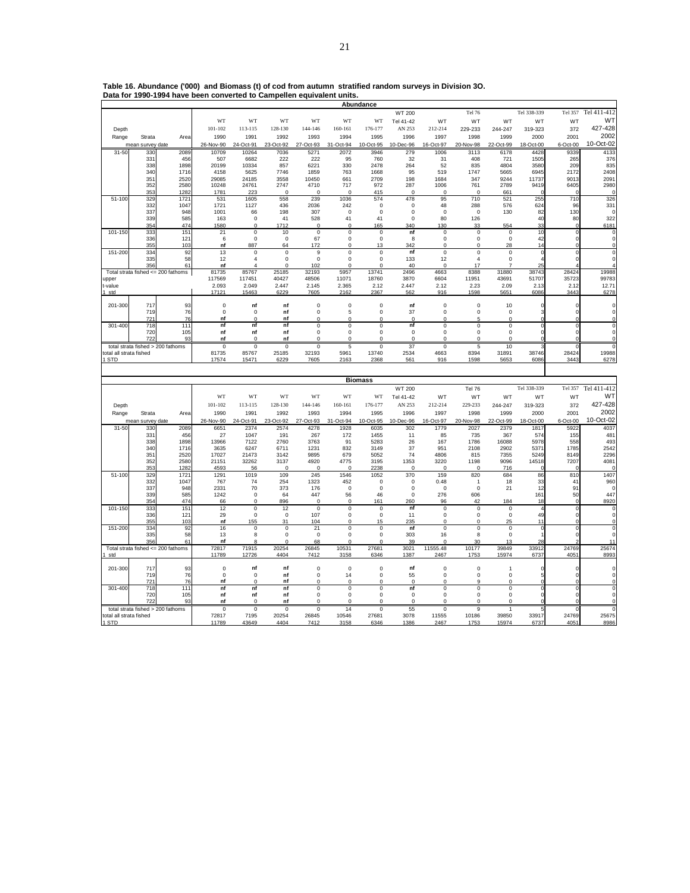|                                      |                                   |                                            |                    |                            |                      |                            |                    | Abundance              |                   |                         |                            |                            |                   |                     |                               |
|--------------------------------------|-----------------------------------|--------------------------------------------|--------------------|----------------------------|----------------------|----------------------------|--------------------|------------------------|-------------------|-------------------------|----------------------------|----------------------------|-------------------|---------------------|-------------------------------|
|                                      |                                   |                                            |                    |                            |                      |                            |                    |                        | <b>WT 200</b>     |                         | Tel 76                     |                            | Tel 338-339       | Tel 357             | Tel 411-412                   |
|                                      |                                   |                                            | WT                 | WT                         | WT                   | WT                         | WT                 | WT                     | Tel 41-42         | WT                      | WT                         | WT                         | WT                | WT                  | WT                            |
| Depth                                |                                   |                                            | 101-102            | 113-115                    | 128-130              | 144-146                    | 160-161            | 176-177                | AN 253            | 212-214                 | 229-233                    | 244-247                    | 319-323           | 372                 | 427-428                       |
| Range                                | Strata                            | Area                                       | 1990               | 1991                       | 1992                 | 1993                       | 1994               | 1995                   | 1996              | 1997                    | 1998                       | 1999                       | 2000              | 2001                | 2002                          |
| $31 - 50$                            | mean survey<br>330                | date<br>2089                               | 26-Nov-90<br>10709 | 24-Oct-91<br>10264         | 23-Oct-92<br>7036    | 27-Oct-93                  | 31-Oct-94<br>2072  | 10-Oct-95<br>3946      | 10-Dec-96<br>279  | 16-Oct-97<br>1006       | 20-Nov-98<br>3113          | 22-Oct-99<br>6178          | 18-Oct-00<br>4428 | $6$ -Oct-00<br>9339 | 10-Oct-02<br>4133             |
|                                      | 33 <sup>°</sup>                   | 456                                        | 507                | 6682                       | 222                  | 5271<br>222                | 95                 | 760                    | 32                | 31                      | 408                        | 721                        | 1505              | 265                 | 376                           |
|                                      | 338                               | 1898                                       | 20199              | 10334                      | 857                  | 6221                       | 330                | 2478                   | 264               | 52                      | 835                        | 4804                       | 3580              | 209                 | 835                           |
|                                      | 340                               | 1716                                       | 4158               | 5625                       | 7746                 | 1859                       | 763                | 1668                   | 95                | 519                     | 1747                       | 5665                       | 6945              | 2172                | 2408                          |
|                                      | 35'<br>352                        | 2520<br>2580                               | 29085<br>10248     | 24185<br>24761             | 3558<br>2747         | 10450<br>4710              | 661<br>717         | 2709<br>972            | 198<br>287        | 1684<br>1006            | 347<br>761                 | 9244<br>2789               | 11737<br>9419     | 9013<br>6405        | 2091<br>2980                  |
|                                      | 353                               | 1282                                       | 1781               | 223                        | $\Omega$             | $\Omega$                   | $\Omega$           | 415                    | $\Omega$          | $\Omega$                | $\Omega$                   | 661                        |                   |                     | $\Omega$                      |
| 51-100                               | 329                               | 1721                                       | 531                | 1605                       | 558                  | 239                        | 1036               | 574                    | 478               | 95                      | 710                        | 521                        | 255               | 710                 | 326                           |
|                                      | 332<br>337                        | 1047<br>948                                | 1721<br>1001       | 1127<br>66                 | 436<br>198           | 2036<br>307                | 242<br>$\mathsf 0$ | 0<br>$\pmb{0}$         | 0<br>$\mathsf 0$  | 48<br>$\mathbf 0$       | 288<br>$\mathbf 0$         | 576<br>130                 | 624<br>82         | 96<br>130           | 331<br>$\Omega$               |
|                                      | 339                               | 585                                        | 163                | $\mathbf 0$                | 41                   | 528                        | 41                 | 41                     | $\mathbf 0$       | 80                      | 126                        |                            | 40                | 80                  | 322                           |
|                                      | 354                               | 474                                        | 1580               | $\pmb{0}$                  | 1712                 | $\mathbf 0$                | 0                  | 165                    | 340               | 130                     | 33                         | 554                        | 33                | $\Omega$            | 6181                          |
| 101-150                              | 333                               | 151                                        | 21                 | $\pmb{0}$                  | 10                   | $\mathsf 0$                | 0                  | 0                      | nf                | $\mathbf 0$             | $\mathbf 0$                | $\mathsf 0$                | 10                | $\circ$             | 0                             |
|                                      | 336<br>35                         | 121<br>103                                 | 6<br>nf            | $\pmb{0}$<br>887           | $\bf 0$<br>64        | 67<br>172                  | 0<br>$\Omega$      | $\pmb{0}$<br>13        | 8<br>342          | $\mathbf 0$<br>$\Omega$ | $\mathsf 0$<br>$\Omega$    | $\mathsf 0$<br>28          | 42<br>14          | $\circ$             | $\mathbf 0$<br>0              |
| 151-200                              | 334                               | 92                                         | 13                 | $\pmb{0}$                  | $\bf 0$              | $\boldsymbol{9}$           | $\mathsf 0$        | $\pmb{0}$              | nf                | $\pmb{0}$               | $\mathsf 0$                | $\pmb{0}$                  | 0                 |                     | $\pmb{0}$                     |
|                                      | 335                               | 58                                         | 12                 | $\overline{4}$             | $\mathbf 0$          | $\mathbf 0$                | $\mathbf 0$        | $\mathbf 0$            | 133               | 12                      | $\overline{4}$             | $\bf{0}$                   |                   |                     | $\mathbf 0$                   |
|                                      | 356                               | 61<br>Total strata fished $<= 200$ fathoms | nf<br>81735        | 85767                      | $\Omega$<br>25185    | 102<br>32193               | $\Omega$<br>5957   | $\Omega$<br>13741      | 40<br>2496        | $\Omega$<br>4663        | 17<br>8388                 | 7<br>31880                 | 2!<br>38743       | 28424               | 19988                         |
| ipper                                |                                   |                                            | 117569             | 117451                     | 40427                | 48506                      | 11071              | 18760                  | 3870              | 6604                    | 11951                      | 43691                      | 51707             | 35723               | 99783                         |
| -value                               |                                   |                                            | 2.093              | 2.049                      | 2.447                | 2.145                      | 2.365              | 2.12                   | 2.447             | 2.12                    | 2.23                       | 2.09                       | 2.13              | 2.12                | 12.71                         |
| std                                  |                                   |                                            | 17121              | 15463                      | 6229                 | 7605                       | 2162               | 2367                   | 562               | 916                     | 1598                       | 5651                       | 6086              | 3443                | 6278                          |
| 201-300                              | 717                               | 93                                         | $\mathsf 0$        | nf                         | nf                   | $\mathbf 0$                | $\mathsf 0$        | $\pmb{0}$              | nf                | $\mathbf 0$             | $\mathsf 0$                | 10                         |                   |                     | $\mathbf 0$                   |
|                                      | 719                               | 76                                         | 0                  | 0                          | nf                   | 0                          | 5                  | 0                      | 37                | $\mathbf 0$             | 0                          | 0                          | 3                 | $\Omega$            | 0                             |
|                                      | 72                                | 76                                         | nf                 | $\mathbf 0$                | nf                   | $\mathbf 0$                | $\overline{0}$     | $\bf{0}$               | $\overline{0}$    | $\overline{0}$          | $\overline{5}$             | $\overline{0}$             |                   |                     | $\overline{0}$                |
| 301-400                              | 718<br>720                        | 111<br>105                                 | nf<br>nf           | nf<br>nf                   | nf<br>nf             | $\mathsf 0$<br>$\mathsf 0$ | 0<br>0             | $\pmb{0}$<br>$\pmb{0}$ | nf<br>$\mathsf 0$ | $\pmb{0}$<br>$\pmb{0}$  | $\mathbf 0$<br>$\mathsf 0$ | $\mathsf 0$<br>$\mathsf 0$ | $\Omega$          | $\Omega$            | $\mathbf 0$<br>$\mathbf 0$    |
|                                      | 72                                | 93                                         | nf                 | $\Omega$                   | nf                   | $\Omega$                   | 0                  | $\Omega$               | $\Omega$          | $\Omega$                | $\Omega$                   | $\Omega$                   |                   |                     | 0                             |
|                                      | total strata fished > 200 fathoms |                                            | $\mathbf 0$        | $^{\circ}$                 | $\mathbf 0$          | $\overline{0}$             | 5                  | $\mathbf 0$            | 37                | $\overline{0}$          | 5                          | 10                         |                   |                     | $\overline{0}$                |
| otal all strata fished<br><b>STD</b> |                                   |                                            | 81735<br>17574     | 85767<br>15471             | 25185<br>6229        | 32193<br>7605              | 5961<br>2163       | 13740<br>2368          | 2534<br>561       | 4663<br>916             | 8394<br>1598               | 31891<br>5653              | 38746<br>6086     | 28424<br>3443       | 19988<br>6278                 |
|                                      |                                   |                                            |                    |                            |                      |                            |                    |                        |                   |                         |                            |                            |                   |                     |                               |
|                                      |                                   |                                            |                    |                            |                      |                            |                    |                        |                   |                         |                            |                            |                   |                     |                               |
|                                      |                                   |                                            |                    |                            |                      |                            |                    |                        |                   |                         |                            |                            |                   |                     |                               |
|                                      |                                   |                                            |                    |                            |                      |                            |                    | <b>Biomass</b>         |                   |                         |                            |                            |                   |                     |                               |
|                                      |                                   |                                            |                    |                            |                      |                            |                    |                        | WT 200            |                         | Tel 76                     |                            | Tel 338-339       | Tel 357             | Tel 411-412                   |
|                                      |                                   |                                            | WT                 | WT                         | WT                   | WT                         | WT                 | WT                     | Tel 41-42         | WT                      | WT                         | WT                         | WT                | WT                  | WT                            |
| Depth                                |                                   |                                            | $101 - 102$        | 113-115                    | 128-130              | 144-146                    | 160-161            | 176-177                | AN 253            | 212-214                 | 229-233                    | 244-247                    | 319-323           | 372                 | 427-428                       |
| Range                                | Strata                            | Area                                       | 1990               | 1991                       | 1992                 | 1993                       | 1994               | 1995                   | 1996              | 1997                    | 1998                       | 1999                       | 2000              | 2001                | 2002<br>10-Oct-02             |
| $31 - 50$                            | mean survey date<br>330           | 2089                                       | 26-Nov-90<br>6651  | 24-Oct-91<br>2374          | 23-Oct-92<br>2574    | 27-Oct-93<br>4278          | 31-Oct-94<br>1928  | 10-Oct-95<br>6035      | 10-Dec-96<br>302  | 16-Oct-97<br>1779       | 20-Nov-98<br>2027          | 22-Oct-99<br>2379          | 18-Oct-00<br>1817 | 6-Oct-00<br>5922    | 4037                          |
|                                      | 33'                               | 456                                        | 27                 | 1047                       | 191                  | 267                        | 172                | 1455                   | 11                | 85                      | 735                        | 367                        | 574               | 155                 | 481                           |
|                                      | 338                               | 1898                                       | 13966              | 7122                       | 2760                 | 3763                       | 91                 | 5283                   | 26                | 167                     | 1786                       | 16088                      | 5978              | 558                 | 493                           |
|                                      | 340<br>35'                        | 1716<br>2520                               | 3635<br>17027      | 6247<br>21473              | 6711<br>3142         | 1231<br>9895               | 832<br>679         | 3149<br>5052           | 37<br>74          | 951<br>4806             | 2108<br>815                | 2902<br>7355               | 537<br>5249       | 1785<br>8149        | 2542<br>2296                  |
|                                      | 352                               | 2580                                       | 21151              | 32262                      | 3137                 | 4920                       | 4775               | 3195                   | 1353              | 3220                    | 1198                       | 9096                       | 14518             | 7207                | 4081                          |
|                                      | 353                               | 1282                                       | 4593               | 56                         | $\Omega$             | $\Omega$                   | 0                  | 2238                   | $\Omega$          | $\Omega$                | $\Omega$                   | 716                        |                   |                     | $\Omega$                      |
| 51-100                               | 329<br>332                        | 1721<br>1047                               | 1291<br>767        | 1019<br>74                 | 109<br>254           | 245<br>1323                | 1546<br>452        | 1052<br>0              | 370<br>$^{\circ}$ | 159<br>0.48             | 820<br>$\overline{1}$      | 684<br>18                  | 86<br>33          | 810<br>41           | 1407<br>960                   |
|                                      | 337                               | 948                                        | 2331               | 70                         | 373                  | 176                        | 0                  | 0                      | 0                 | $\Omega$                | 0                          | 21                         | 12                | 91                  | $\Omega$                      |
|                                      | 339                               | 585                                        | 1242               | $\mathbf 0$                | 64                   | 447                        | 56                 | 46                     | 0                 | 276                     | 606                        |                            | 161               | 50                  | 447                           |
|                                      | 354                               | 474                                        | 66                 | $\mathbf 0$                | 896                  | $\Omega$                   | 0                  | 161                    | 260               | 96                      | 42                         | 184                        | 18<br>4           | $\Omega$<br>$\circ$ | 8920                          |
| 101-150                              | 333<br>336                        | 151<br>121                                 | 12<br>29           | $\mathbf 0$<br>$\mathbf 0$ | 12<br>0              | $\mathsf 0$<br>107         | 0<br>0             | $\pmb{0}$<br>0         | nf<br>11          | $\mathbf 0$<br>0        | $\mathsf 0$<br>0           | $\bf{0}$<br>0              | 49                | $\circ$             | $\mathbf 0$<br>$\Omega$       |
|                                      | 355                               | 103                                        | nf                 | 155                        | 31                   | 104                        | 0                  | 15                     | 235               | 0                       | $\Omega$                   | 25                         | 11                | $\Omega$            | $\pmb{0}$                     |
| 151-200                              | 33 <sup>2</sup>                   | 92                                         | 16                 | $^{\circ}$                 | 0                    | 21                         | 0                  | 0                      | nf                | 0                       | 0                          | 0                          | C                 | $\Omega$            | $\overline{0}$                |
|                                      | 335<br>356                        | 58<br>61                                   | 13<br>nf           | 8<br>8                     | $\Omega$<br>$\Omega$ | $\mathsf 0$<br>68          | 0<br>0             | $\pmb{0}$<br>$\Omega$  | 303<br>39         | 16<br>$\Omega$          | 8<br>30                    | $\bf{0}$<br>13             | 28                |                     | $\Omega$<br>11                |
|                                      |                                   | Total strata fished <= 200 fathoms         | 72817              | 71915                      | 20254                | 26845                      | 10531              | 27681                  | 3021              | 11555.48                | 10177                      | 39849                      | 33912             | 24769               | 25674                         |
| std                                  |                                   |                                            | 11789              | 12726                      | 4404                 | 7412                       | 3158               | 6346                   | 1387              | 2467                    | 1753                       | 15974                      | 6737              | 4051                |                               |
| 201-300                              | 717                               | 93                                         | $\bf{0}$           | nf                         | nf                   | $\mathbf 0$                | $\mathbf 0$        | $\pmb{0}$              | nf                | $\mathbf 0$             | $\mathbf 0$                | $\overline{1}$             | 0                 |                     | 8993<br>$\mathbf 0$           |
|                                      | 719                               | 76                                         | $\mathsf 0$        | $\mathbf 0$                | nf                   | $\mathsf 0$                | 14                 | $\pmb{0}$              | 55                | $\pmb{0}$               | $\mathsf 0$                | $\mathsf 0$                | 5                 | $\Omega$            | $\mathbf 0$                   |
|                                      | 72                                | 76                                         | nf                 | $\Omega$                   | nf                   | $\Omega$                   | $\Omega$           | 0                      | $\mathbf 0$       | $\Omega$                | 9                          | $\Omega$                   |                   |                     | 0                             |
| 301-400                              | 718<br>720                        | 111<br>105                                 | nf<br>nf           | nf<br>nf                   | nf<br>nf             | $\mathsf 0$<br>0           | 0<br>0             | $\pmb{0}$<br>0         | nf<br>0           | $\pmb{0}$<br>0          | $\mathsf 0$<br>0           | $\mathsf 0$<br>0           | 0<br>O            | 0<br>$\Omega$       | $\overline{0}$<br>$\mathbf 0$ |
|                                      | 72.                               | 93                                         | nf                 | $\Omega$                   | nf                   | $\Omega$                   | $\Omega$           | $\Omega$               | $\Omega$          | $\Omega$                | $\Omega$                   | $\Omega$                   |                   |                     | $\Omega$                      |
|                                      | total strata fished > 200 fathoms |                                            | $\mathbf 0$        | $\overline{0}$             | 0                    | $\overline{0}$             | 14                 | 0                      | 55                | $\overline{0}$          | 9                          | 1                          |                   |                     | $\overline{0}$                |
| otal all strata fished<br>STD        |                                   |                                            | 72817<br>11789     | 7195<br>43649              | 20254<br>4404        | 26845<br>7412              | 10546<br>3158      | 27681<br>6346          | 3078<br>1386      | 11555<br>2467           | 10186<br>1753              | 39850<br>15974             | 33917<br>6737     | 24769<br>405        | 25675<br>8986                 |

**Table 16. Abundance ('000) and Biomass (t) of cod from autumn stratified random surveys in Division 3O. Data for 1990-1994 have been converted to Campellen equivalent units. Abundance**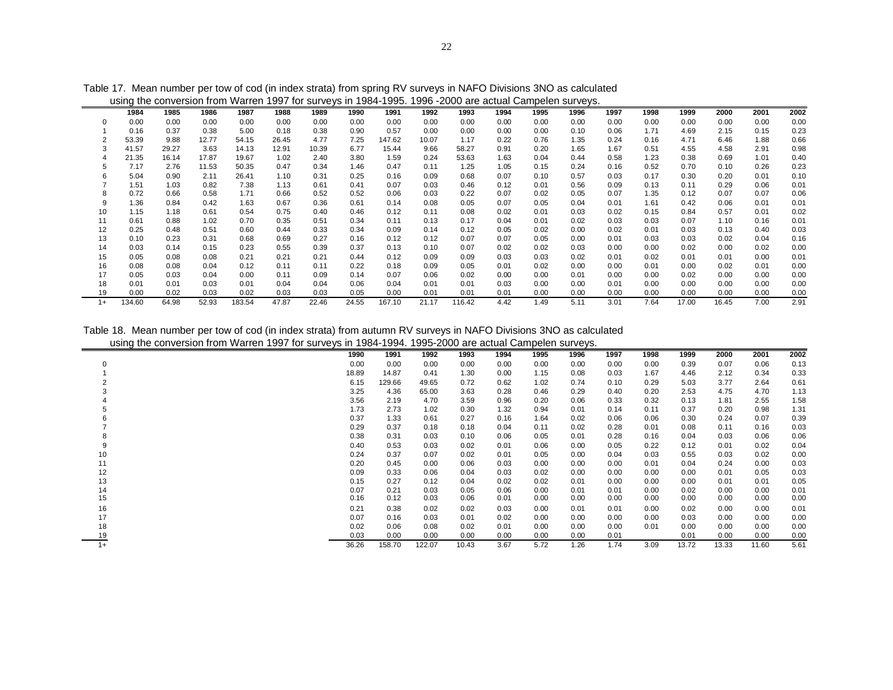|      | using the conversion from Warren 1997 for surveys in 1984-1995. 1996 -2000 are actual Campelen surveys. |       |       |        |       |       |       |        |       |        |      |      |      |      |      |       |       |      |      |
|------|---------------------------------------------------------------------------------------------------------|-------|-------|--------|-------|-------|-------|--------|-------|--------|------|------|------|------|------|-------|-------|------|------|
|      | 1984                                                                                                    | 1985  | 1986  | 1987   | 1988  | 1989  | 1990  | 1991   | 1992  | 1993   | 1994 | 1995 | 1996 | 1997 | 1998 | 1999  | 2000  | 2001 | 2002 |
|      | 0.00                                                                                                    | 0.00  | 0.00  | 0.00   | 0.00  | 0.00  | 0.00  | 0.00   | 0.00  | 0.00   | 0.00 | 0.00 | 0.00 | 0.00 | 0.00 | 0.00  | 0.00  | 0.00 | 0.00 |
|      | 0.16                                                                                                    | 0.37  | 0.38  | 5.00   | 0.18  | 0.38  | 0.90  | 0.57   | 0.00  | 0.00   | 0.00 | 0.00 | 0.10 | 0.06 | 1.71 | 4.69  | 2.15  | 0.15 | 0.23 |
|      | 53.39                                                                                                   | 9.88  | 12.77 | 54.15  | 26.45 | 4.77  | 7.25  | 147.62 | 10.07 | 1.17   | 0.22 | 0.76 | 1.35 | 0.24 | 0.16 | 4.71  | 6.46  | 1.88 | 0.66 |
|      | 41.57                                                                                                   | 29.27 | 3.63  | 14.13  | 12.91 | 10.39 | 6.77  | 15.44  | 9.66  | 58.27  | 0.91 | 0.20 | 1.65 | 1.67 | 0.51 | 4.55  | 4.58  | 2.91 | 0.98 |
|      | 21.35                                                                                                   | 16.14 | 17.87 | 19.67  | 1.02  | 2.40  | 3.80  | 1.59   | 0.24  | 53.63  | 1.63 | 0.04 | 0.44 | 0.58 | 1.23 | 0.38  | 0.69  | 1.01 | 0.40 |
| 5    | 7.17                                                                                                    | 2.76  | 11.53 | 50.35  | 0.47  | 0.34  | 1.46  | 0.47   | 0.11  | 1.25   | 1.05 | 0.15 | 0.24 | 0.16 | 0.52 | 0.70  | 0.10  | 0.26 | 0.23 |
|      | 5.04                                                                                                    | 0.90  | 2.11  | 26.41  | 1.10  | 0.31  | 0.25  | 0.16   | 0.09  | 0.68   | 0.07 | 0.10 | 0.57 | 0.03 | 0.17 | 0.30  | 0.20  | 0.01 | 0.10 |
|      | 1.51                                                                                                    | 1.03  | 0.82  | 7.38   | 1.13  | 0.61  | 0.41  | 0.07   | 0.03  | 0.46   | 0.12 | 0.01 | 0.56 | 0.09 | 0.13 | 0.11  | 0.29  | 0.06 | 0.01 |
|      | 0.72                                                                                                    | 0.66  | 0.58  | 1.71   | 0.66  | 0.52  | 0.52  | 0.06   | 0.03  | 0.22   | 0.07 | 0.02 | 0.05 | 0.07 | 1.35 | 0.12  | 0.07  | 0.07 | 0.06 |
| 9    | 1.36                                                                                                    | 0.84  | 0.42  | 1.63   | 0.67  | 0.36  | 0.61  | 0.14   | 0.08  | 0.05   | 0.07 | 0.05 | 0.04 | 0.01 | 1.61 | 0.42  | 0.06  | 0.01 | 0.01 |
| 10   | 1.15                                                                                                    | 1.18  | 0.61  | 0.54   | 0.75  | 0.40  | 0.46  | 0.12   | 0.11  | 0.08   | 0.02 | 0.01 | 0.03 | 0.02 | 0.15 | 0.84  | 0.57  | 0.01 | 0.02 |
| 11   | 0.61                                                                                                    | 0.88  | 1.02  | 0.70   | 0.35  | 0.51  | 0.34  | 0.11   | 0.13  | 0.17   | 0.04 | 0.01 | 0.02 | 0.03 | 0.03 | 0.07  | 1.10  | 0.16 | 0.01 |
| 12   | 0.25                                                                                                    | 0.48  | 0.51  | 0.60   | 0.44  | 0.33  | 0.34  | 0.09   | 0.14  | 0.12   | 0.05 | 0.02 | 0.00 | 0.02 | 0.01 | 0.03  | 0.13  | 0.40 | 0.03 |
| 13   | 0.10                                                                                                    | 0.23  | 0.31  | 0.68   | 0.69  | 0.27  | 0.16  | 0.12   | 0.12  | 0.07   | 0.07 | 0.05 | 0.00 | 0.01 | 0.03 | 0.03  | 0.02  | 0.04 | 0.16 |
| 14   | 0.03                                                                                                    | 0.14  | 0.15  | 0.23   | 0.55  | 0.39  | 0.37  | 0.13   | 0.10  | 0.07   | 0.02 | 0.02 | 0.03 | 0.00 | 0.00 | 0.02  | 0.00  | 0.02 | 0.00 |
| 15   | 0.05                                                                                                    | 0.08  | 0.08  | 0.21   | 0.21  | 0.21  | 0.44  | 0.12   | 0.09  | 0.09   | 0.03 | 0.03 | 0.02 | 0.01 | 0.02 | 0.01  | 0.01  | 0.00 | 0.01 |
| 16   | 0.08                                                                                                    | 0.08  | 0.04  | 0.12   | 0.11  | 0.11  | 0.22  | 0.18   | 0.09  | 0.05   | 0.01 | 0.02 | 0.00 | 0.00 | 0.01 | 0.00  | 0.02  | 0.01 | 0.00 |
| 17   | 0.05                                                                                                    | 0.03  | 0.04  | 0.00   | 0.11  | 0.09  | 0.14  | 0.07   | 0.06  | 0.02   | 0.00 | 0.00 | 0.01 | 0.00 | 0.00 | 0.02  | 0.00  | 0.00 | 0.00 |
| 18   | 0.01                                                                                                    | 0.01  | 0.03  | 0.01   | 0.04  | 0.04  | 0.06  | 0.04   | 0.01  | 0.01   | 0.03 | 0.00 | 0.00 | 0.01 | 0.00 | 0.00  | 0.00  | 0.00 | 0.00 |
| 19   | 0.00                                                                                                    | 0.02  | 0.03  | 0.02   | 0.03  | 0.03  | 0.05  | 0.00   | 0.01  | 0.01   | 0.01 | 0.00 | 0.00 | 0.00 | 0.00 | 0.00  | 0.00  | 0.00 | 0.00 |
| $1+$ | 134.60                                                                                                  | 64.98 | 52.93 | 183.54 | 47.87 | 22.46 | 24.55 | 167.10 | 21.17 | 116.42 | 4.42 | 1.49 | 5.11 | 3.01 | 7.64 | 17.00 | 16.45 | 7.00 | 2.91 |

Table 17. Mean number per tow of cod (in index strata) from spring RV surveys in NAFO Divisions 3NO as calculated

Table 18. Mean number per tow of cod (in index strata) from autumn RV surveys in NAFO Divisions 3NO as calculated using the conversion from Warren 1997 for surveys in 1984-1994. 1995-2000 are actual Campelen surveys.

|      |       |        | - - -  |       |      |      |      |      |      |       |       |       |      |
|------|-------|--------|--------|-------|------|------|------|------|------|-------|-------|-------|------|
|      | 1990  | 1991   | 1992   | 1993  | 1994 | 1995 | 1996 | 1997 | 1998 | 1999  | 2000  | 2001  | 2002 |
|      | 0.00  | 0.00   | 0.00   | 0.00  | 0.00 | 0.00 | 0.00 | 0.00 | 0.00 | 0.39  | 0.07  | 0.06  | 0.13 |
|      | 18.89 | 14.87  | 0.41   | 1.30  | 0.00 | 1.15 | 0.08 | 0.03 | 1.67 | 4.46  | 2.12  | 0.34  | 0.33 |
|      | 6.15  | 129.66 | 49.65  | 0.72  | 0.62 | 1.02 | 0.74 | 0.10 | 0.29 | 5.03  | 3.77  | 2.64  | 0.61 |
|      | 3.25  | 4.36   | 65.00  | 3.63  | 0.28 | 0.46 | 0.29 | 0.40 | 0.20 | 2.53  | 4.75  | 4.70  | 1.13 |
|      | 3.56  | 2.19   | 4.70   | 3.59  | 0.96 | 0.20 | 0.06 | 0.33 | 0.32 | 0.13  | 1.81  | 2.55  | 1.58 |
|      | 1.73  | 2.73   | 1.02   | 0.30  | 1.32 | 0.94 | 0.01 | 0.14 | 0.11 | 0.37  | 0.20  | 0.98  | 1.31 |
|      | 0.37  | 1.33   | 0.61   | 0.27  | 0.16 | 1.64 | 0.02 | 0.06 | 0.06 | 0.30  | 0.24  | 0.07  | 0.39 |
|      | 0.29  | 0.37   | 0.18   | 0.18  | 0.04 | 0.11 | 0.02 | 0.28 | 0.01 | 0.08  | 0.11  | 0.16  | 0.03 |
|      | 0.38  | 0.31   | 0.03   | 0.10  | 0.06 | 0.05 | 0.01 | 0.28 | 0.16 | 0.04  | 0.03  | 0.06  | 0.06 |
|      | 0.40  | 0.53   | 0.03   | 0.02  | 0.01 | 0.06 | 0.00 | 0.05 | 0.22 | 0.12  | 0.01  | 0.02  | 0.04 |
| 10   | 0.24  | 0.37   | 0.07   | 0.02  | 0.01 | 0.05 | 0.00 | 0.04 | 0.03 | 0.55  | 0.03  | 0.02  | 0.00 |
| 11   | 0.20  | 0.45   | 0.00   | 0.06  | 0.03 | 0.00 | 0.00 | 0.00 | 0.01 | 0.04  | 0.24  | 0.00  | 0.03 |
| 12   | 0.09  | 0.33   | 0.06   | 0.04  | 0.03 | 0.02 | 0.00 | 0.00 | 0.00 | 0.00  | 0.01  | 0.05  | 0.03 |
| 13   | 0.15  | 0.27   | 0.12   | 0.04  | 0.02 | 0.02 | 0.01 | 0.00 | 0.00 | 0.00  | 0.01  | 0.01  | 0.05 |
| 14   | 0.07  | 0.21   | 0.03   | 0.05  | 0.06 | 0.00 | 0.01 | 0.01 | 0.00 | 0.02  | 0.00  | 0.00  | 0.01 |
| 15   | 0.16  | 0.12   | 0.03   | 0.06  | 0.01 | 0.00 | 0.00 | 0.00 | 0.00 | 0.00  | 0.00  | 0.00  | 0.00 |
| 16   | 0.21  | 0.38   | 0.02   | 0.02  | 0.03 | 0.00 | 0.01 | 0.01 | 0.00 | 0.02  | 0.00  | 0.00  | 0.01 |
| 17   | 0.07  | 0.16   | 0.03   | 0.01  | 0.02 | 0.00 | 0.00 | 0.00 | 0.00 | 0.03  | 0.00  | 0.00  | 0.00 |
| 18   | 0.02  | 0.06   | 0.08   | 0.02  | 0.01 | 0.00 | 0.00 | 0.00 | 0.01 | 0.00  | 0.00  | 0.00  | 0.00 |
| 19   | 0.03  | 0.00   | 0.00   | 0.00  | 0.00 | 0.00 | 0.00 | 0.01 |      | 0.01  | 0.00  | 0.00  | 0.00 |
| $1+$ | 36.26 | 158.70 | 122.07 | 10.43 | 3.67 | 5.72 | 1.26 | 1.74 | 3.09 | 13.72 | 13.33 | 11.60 | 5.61 |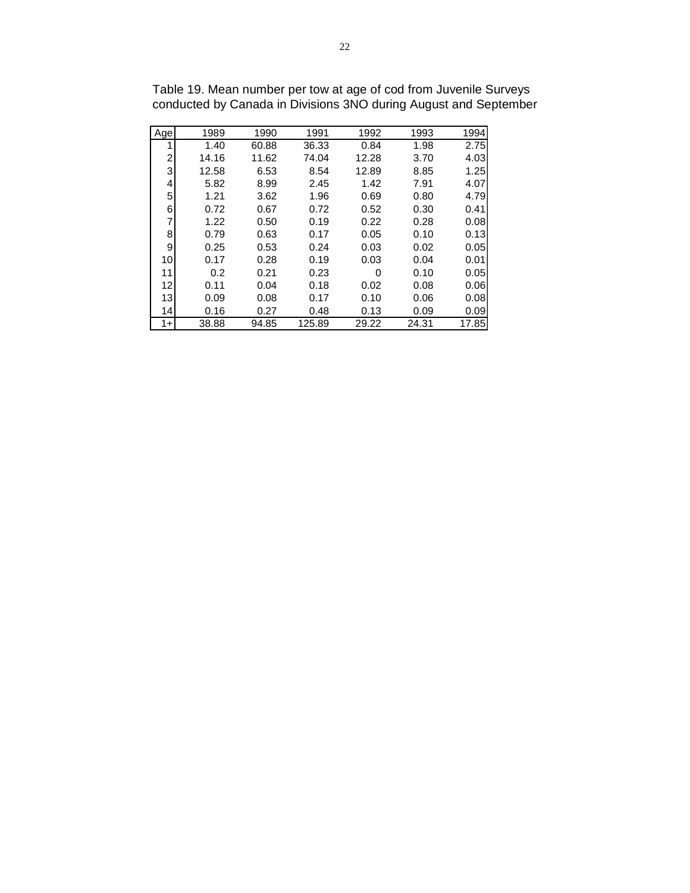| Age            | 1989  | 1990  | 1991   | 1992  | 1993  | 1994  |
|----------------|-------|-------|--------|-------|-------|-------|
| 1              | 1.40  | 60.88 | 36.33  | 0.84  | 1.98  | 2.75  |
| $\overline{c}$ | 14.16 | 11.62 | 74.04  | 12.28 | 3.70  | 4.03  |
| 3              | 12.58 | 6.53  | 8.54   | 12.89 | 8.85  | 1.25  |
| 4              | 5.82  | 8.99  | 2.45   | 1.42  | 7.91  | 4.07  |
| 5              | 1.21  | 3.62  | 1.96   | 0.69  | 0.80  | 4.79  |
| 6              | 0.72  | 0.67  | 0.72   | 0.52  | 0.30  | 0.41  |
| 7              | 1.22  | 0.50  | 0.19   | 0.22  | 0.28  | 0.08  |
| 8              | 0.79  | 0.63  | 0.17   | 0.05  | 0.10  | 0.13  |
| 9              | 0.25  | 0.53  | 0.24   | 0.03  | 0.02  | 0.05  |
| 10             | 0.17  | 0.28  | 0.19   | 0.03  | 0.04  | 0.01  |
| 11             | 0.2   | 0.21  | 0.23   | 0     | 0.10  | 0.05  |
| 12             | 0.11  | 0.04  | 0.18   | 0.02  | 0.08  | 0.06  |
| 13             | 0.09  | 0.08  | 0.17   | 0.10  | 0.06  | 0.08  |
| 14             | 0.16  | 0.27  | 0.48   | 0.13  | 0.09  | 0.09  |
| $1+$           | 38.88 | 94.85 | 125.89 | 29.22 | 24.31 | 17.85 |

Table 19. Mean number per tow at age of cod from Juvenile Surveys conducted by Canada in Divisions 3NO during August and September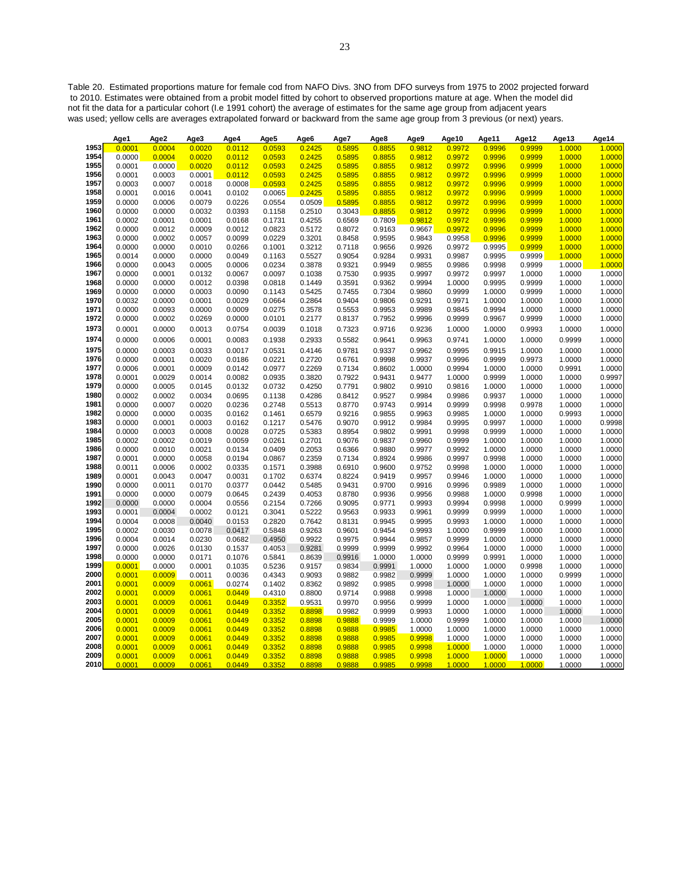Table 20. Estimated proportions mature for female cod from NAFO Divs. 3NO from DFO surveys from 1975 to 2002 projected forward to 2010. Estimates were obtained from a probit model fitted by cohort to observed proportions mature at age. When the model did not fit the data for a particular cohort (I.e 1991 cohort) the average of estimates for the same age group from adjacent years was used; yellow cells are averages extrapolated forward or backward from the same age group from 3 previous (or next) years.

|              | Age1             | Age2             | Age3             | Age4             | Age5             | Age6             | Age7             | Age8             | Age9             | Age10            | Age11            | Age12            | Age13            | Age14            |
|--------------|------------------|------------------|------------------|------------------|------------------|------------------|------------------|------------------|------------------|------------------|------------------|------------------|------------------|------------------|
| 1953         | 0.0001           | 0.0004           | 0.0020           | 0.0112           | 0.0593           | 0.2425           | 0.5895           | 0.8855           | 0.9812           | 0.9972           | 0.9996           | 0.9999           | 1.0000           | 1.0000           |
| 1954         | 0.0000           | 0.0004           | 0.0020           | 0.0112           | 0.0593           | 0.2425           | 0.5895           | 0.8855           | 0.9812           | 0.9972           | 0.9996           | 0.9999           | 1.0000           | 1.0000           |
| 1955         | 0.0001           | 0.0000           | 0.0020           | 0.0112           | 0.0593           | 0.2425           | 0.5895           | 0.8855           | 0.9812           | 0.9972           | 0.9996           | 0.9999           | 1.0000           | 1.0000           |
| 1956         | 0.0001           | 0.0003           | 0.0001           | 0.0112           | 0.0593           | 0.2425           | 0.5895           | 0.8855           | 0.9812           | 0.9972           | 0.9996           | 0.9999           | 1.0000           | 1.0000           |
| 1957         | 0.0003           | 0.0007           | 0.0018           | 0.0008           | 0.0593           | 0.2425           | 0.5895           | 0.8855           | 0.9812           | 0.9972           | 0.9996           | 0.9999           | 1.0000           | 1.0000           |
| 1958         | 0.0001           | 0.0016           | 0.0041           | 0.0102           | 0.0065           | 0.2425           | 0.5895           | 0.8855           | 0.9812           | 0.9972           | 0.9996           | 0.9999           | 1.0000           | 1.0000           |
| 1959         | 0.0000           | 0.0006           | 0.0079           | 0.0226           | 0.0554           | 0.0509           | 0.5895           | 0.8855           | 0.9812           | 0.9972           | 0.9996           | 0.9999           | 1.0000           | 1.0000           |
| 1960         | 0.0000           | 0.0000           | 0.0032           | 0.0393           | 0.1158           | 0.2510           | 0.3043           | 0.8855           | 0.9812           | 0.9972           | 0.9996           | 0.9999           | 1.0000           | 1.0000           |
| 1961         | 0.0002           | 0.0001           | 0.0001           | 0.0168           | 0.1731           | 0.4255           | 0.6569           | 0.7809           | 0.9812           | 0.9972           | 0.9996           | 0.9999           | 1.0000           | 1.0000           |
| 1962         | 0.0000           | 0.0012           | 0.0009           | 0.0012           | 0.0823           | 0.5172           | 0.8072           | 0.9163           | 0.9667           | 0.9972           | 0.9996           | 0.9999           | 1.0000           | 1.0000           |
| 1963         | 0.0000           | 0.0002           | 0.0057           | 0.0099           | 0.0229           | 0.3201           | 0.8458           | 0.9595           | 0.9843           | 0.9958           | 0.9996           | 0.9999           | 1.0000           | 1.0000           |
| 1964         | 0.0000           | 0.0000           | 0.0010           | 0.0266           | 0.1001           | 0.3212           | 0.7118           | 0.9656           | 0.9926           | 0.9972           | 0.9995           | 0.9999           | 1.0000           | 1.0000           |
| 1965         | 0.0014           | 0.0000           | 0.0000           | 0.0049           | 0.1163           | 0.5527           | 0.9054           | 0.9284           | 0.9931           | 0.9987           | 0.9995           | 0.9999           | 1.0000           | 1.0000           |
| 1966         | 0.0000           | 0.0043           | 0.0005           | 0.0006           | 0.0234           | 0.3878           | 0.9321           | 0.9949           | 0.9855           | 0.9986           | 0.9998           | 0.9999           | 1.0000           | 1.0000           |
| 1967         | 0.0000           | 0.0001           | 0.0132           | 0.0067           | 0.0097           | 0.1038           | 0.7530           | 0.9935           | 0.9997           | 0.9972           | 0.9997           | 1.0000           | 1.0000           | 1.0000           |
| 1968         | 0.0000           | 0.0000           | 0.0012           | 0.0398           | 0.0818           | 0.1449           | 0.3591           | 0.9362           | 0.9994           | 1.0000           | 0.9995           | 0.9999           | 1.0000           | 1.0000           |
| 1969         | 0.0000           | 0.0000           | 0.0003           | 0.0090           | 0.1143           | 0.5425           | 0.7455           | 0.7304           | 0.9860           | 0.9999           | 1.0000           | 0.9999           | 1.0000           | 1.0000           |
| 1970         | 0.0032           | 0.0000           | 0.0001           | 0.0029           | 0.0664           | 0.2864           | 0.9404           | 0.9806           | 0.9291           | 0.9971           | 1.0000           | 1.0000           | 1.0000           | 1.0000           |
| 1971         | 0.0000           | 0.0093           | 0.0000           | 0.0009           | 0.0275           | 0.3578           | 0.5553           | 0.9953           | 0.9989           | 0.9845           | 0.9994           | 1.0000           | 1.0000           | 1.0000           |
| 1972         | 0.0000           | 0.0002           | 0.0269           | 0.0000           | 0.0101           | 0.2177           | 0.8137           | 0.7952           | 0.9996           | 0.9999           | 0.9967           | 0.9999           | 1.0000           | 1.0000           |
| 1973         | 0.0001           | 0.0000           | 0.0013           | 0.0754           | 0.0039           | 0.1018           | 0.7323           | 0.9716           | 0.9236           | 1.0000           | 1.0000           | 0.9993           | 1.0000           | 1.0000           |
| 1974         | 0.0000           | 0.0006           | 0.0001           | 0.0083           | 0.1938           | 0.2933           | 0.5582           | 0.9641           | 0.9963           | 0.9741           | 1.0000           | 1.0000           | 0.9999           | 1.0000           |
| 1975         | 0.0000           | 0.0003           | 0.0033           | 0.0017           | 0.0531           | 0.4146           | 0.9781           | 0.9337           | 0.9962           | 0.9995           | 0.9915           | 1.0000           | 1.0000           | 1.0000           |
| 1976         | 0.0000           | 0.0001           | 0.0020           | 0.0186           | 0.0221           | 0.2720           | 0.6761           | 0.9998           | 0.9937           | 0.9996           | 0.9999           | 0.9973           | 1.0000           | 1.0000           |
| 1977         | 0.0006           | 0.0001           | 0.0009           | 0.0142           | 0.0977           | 0.2269           | 0.7134           | 0.8602           | 1.0000           | 0.9994           | 1.0000           | 1.0000           | 0.9991           | 1.0000           |
| 1978         | 0.0001           | 0.0029           | 0.0014           | 0.0082           | 0.0935           | 0.3820           | 0.7922           | 0.9431           | 0.9477           | 1.0000           | 0.9999           | 1.0000           | 1.0000           | 0.9997           |
| 1979         | 0.0000           | 0.0005           | 0.0145           | 0.0132           | 0.0732           | 0.4250           | 0.7791           | 0.9802           | 0.9910           | 0.9816           | 1.0000           | 1.0000           | 1.0000           | 1.0000           |
| 1980         | 0.0002           | 0.0002           | 0.0034           | 0.0695           | 0.1138           | 0.4286           | 0.8412           | 0.9527           | 0.9984           | 0.9986           | 0.9937           | 1.0000           | 1.0000           | 1.0000           |
| 1981         | 0.0000           | 0.0007           | 0.0020           | 0.0236           | 0.2748           | 0.5513           | 0.8770           | 0.9743           | 0.9914           | 0.9999           | 0.9998           | 0.9978           | 1.0000           | 1.0000           |
| 1982         | 0.0000           | 0.0000           | 0.0035           | 0.0162           | 0.1461           | 0.6579           | 0.9216           | 0.9855           | 0.9963           | 0.9985           | 1.0000           | 1.0000           | 0.9993           | 1.0000           |
| 1983         | 0.0000           | 0.0001           | 0.0003           | 0.0162           | 0.1217           | 0.5476           | 0.9070           | 0.9912           | 0.9984           | 0.9995           | 0.9997           | 1.0000           | 1.0000           | 0.9998           |
| 1984         | 0.0000           | 0.0003           | 0.0008           | 0.0028           | 0.0725           | 0.5383           | 0.8954           | 0.9802           | 0.9991           | 0.9998           | 0.9999           | 1.0000           | 1.0000           | 1.0000           |
| 1985         | 0.0002           | 0.0002           | 0.0019           | 0.0059           | 0.0261           | 0.2701           | 0.9076           | 0.9837           | 0.9960           | 0.9999           | 1.0000           | 1.0000           | 1.0000           | 1.0000           |
| 1986         | 0.0000           | 0.0010           | 0.0021           | 0.0134           | 0.0409           | 0.2053           | 0.6366           | 0.9880           | 0.9977           | 0.9992           | 1.0000           | 1.0000           | 1.0000           | 1.0000           |
| 1987         | 0.0001           | 0.0000           | 0.0058           | 0.0194           | 0.0867           | 0.2359           | 0.7134           | 0.8924           | 0.9986           | 0.9997           | 0.9998           | 1.0000           | 1.0000           | 1.0000           |
| 1988         | 0.0011           | 0.0006           | 0.0002           | 0.0335           | 0.1571           | 0.3988           | 0.6910           | 0.9600           | 0.9752           | 0.9998           | 1.0000           | 1.0000           | 1.0000           | 1.0000           |
| 1989         | 0.0001           | 0.0043           | 0.0047           | 0.0031           | 0.1702           | 0.6374           | 0.8224           | 0.9419           | 0.9957           | 0.9946           | 1.0000           | 1.0000           | 1.0000           | 1.0000           |
| 1990         | 0.0000           | 0.0011           | 0.0170           | 0.0377           | 0.0442           | 0.5485           | 0.9431           | 0.9700           | 0.9916           | 0.9996           | 0.9989           | 1.0000           | 1.0000           | 1.0000           |
| 1991         | 0.0000           | 0.0000           | 0.0079           | 0.0645           | 0.2439           | 0.4053           | 0.8780           | 0.9936           | 0.9956           | 0.9988           | 1.0000           | 0.9998           | 1.0000           | 1.0000           |
| 1992         | 0.0000           | 0.0000           | 0.0004           | 0.0556           | 0.2154           | 0.7266           | 0.9095           | 0.9771           | 0.9993           | 0.9994           | 0.9998           | 1.0000           | 0.9999           | 1.0000           |
| 1993<br>1994 | 0.0001           | 0.0004           | 0.0002           | 0.0121           | 0.3041           | 0.5222           | 0.9563           | 0.9933           | 0.9961           | 0.9999           | 0.9999           | 1.0000           | 1.0000           | 1.0000           |
|              | 0.0004           | 0.0008           | 0.0040           | 0.0153           | 0.2820           | 0.7642           | 0.8131           | 0.9945           | 0.9995           | 0.9993           | 1.0000           | 1.0000           | 1.0000           | 1.0000           |
| 1995<br>1996 | 0.0002           | 0.0030           | 0.0078           | 0.0417           | 0.5848           | 0.9263           | 0.9601           | 0.9454           | 0.9993           | 1.0000           | 0.9999           | 1.0000           | 1.0000           | 1.0000           |
| 1997         | 0.0004<br>0.0000 | 0.0014<br>0.0026 | 0.0230<br>0.0130 | 0.0682<br>0.1537 | 0.4950<br>0.4053 | 0.9922<br>0.9281 | 0.9975<br>0.9999 | 0.9944<br>0.9999 | 0.9857<br>0.9992 | 0.9999<br>0.9964 | 1.0000<br>1.0000 | 1.0000<br>1.0000 | 1.0000<br>1.0000 | 1.0000<br>1.0000 |
| 1998         |                  | 0.0000           | 0.0171           | 0.1076           | 0.5841           | 0.8639           | 0.9916           | 1.0000           | 1.0000           | 0.9999           | 0.9991           | 1.0000           | 1.0000           | 1.0000           |
| 1999         | 0.0000<br>0.0001 | 0.0000           | 0.0001           | 0.1035           | 0.5236           | 0.9157           | 0.9834           | 0.9991           | 1.0000           | 1.0000           | 1.0000           | 0.9998           | 1.0000           | 1.0000           |
| 2000         | 0.0001           | 0.0009           | 0.0011           | 0.0036           | 0.4343           | 0.9093           | 0.9882           | 0.9982           | 0.9999           | 1.0000           | 1.0000           | 1.0000           | 0.9999           | 1.0000           |
| 2001         | 0.0001           | 0.0009           | 0.0061           | 0.0274           | 0.1402           | 0.8362           | 0.9892           | 0.9985           | 0.9998           | 1.0000           | 1.0000           | 1.0000           | 1.0000           | 1.0000           |
| 2002         | 0.0001           | 0.0009           | 0.0061           | 0.0449           | 0.4310           | 0.8800           | 0.9714           | 0.9988           | 0.9998           | 1.0000           | 1.0000           | 1.0000           | 1.0000           | 1.0000           |
| 2003         | 0.0001           | 0.0009           | 0.0061           | 0.0449           | 0.3352           | 0.9531           | 0.9970           | 0.9956           | 0.9999           | 1.0000           | 1.0000           | 1.0000           | 1.0000           | 1.0000           |
| 2004         | 0.0001           | 0.0009           | 0.0061           | 0.0449           | 0.3352           | 0.8898           | 0.9982           | 0.9999           | 0.9993           | 1.0000           | 1.0000           | 1.0000           | 1.0000           | 1.0000           |
| 2005         | 0.0001           | 0.0009           | 0.0061           | 0.0449           | 0.3352           | 0.8898           | 0.9888           | 0.9999           | 1.0000           | 0.9999           | 1.0000           | 1.0000           | 1.0000           | 1.0000           |
| 2006         | 0.0001           | 0.0009           | 0.0061           | 0.0449           | 0.3352           | 0.8898           | 0.9888           | 0.9985           | 1.0000           | 1.0000           | 1.0000           | 1.0000           | 1.0000           | 1.0000           |
| 2007         | 0.0001           | 0.0009           | 0.0061           | 0.0449           | 0.3352           | 0.8898           | 0.9888           | 0.9985           | 0.9998           | 1.0000           | 1.0000           | 1.0000           | 1.0000           | 1.0000           |
| 2008         | 0.0001           | 0.0009           | 0.0061           | 0.0449           | 0.3352           | 0.8898           | 0.9888           | 0.9985           | 0.9998           | 1.0000           | 1.0000           | 1.0000           | 1.0000           | 1.0000           |
| 2009         | 0.0001           | 0.0009           | 0.0061           | 0.0449           | 0.3352           | 0.8898           | 0.9888           | 0.9985           | 0.9998           | 1.0000           | 1.0000           | 1.0000           | 1.0000           | 1.0000           |
| 2010         | 0.0001           | 0.0009           | 0.0061           | 0.0449           | 0.3352           | 0.8898           | 0.9888           | 0.9985           | 0.9998           | 1.0000           | 1.0000           | 1.0000           | 1.0000           | 1.0000           |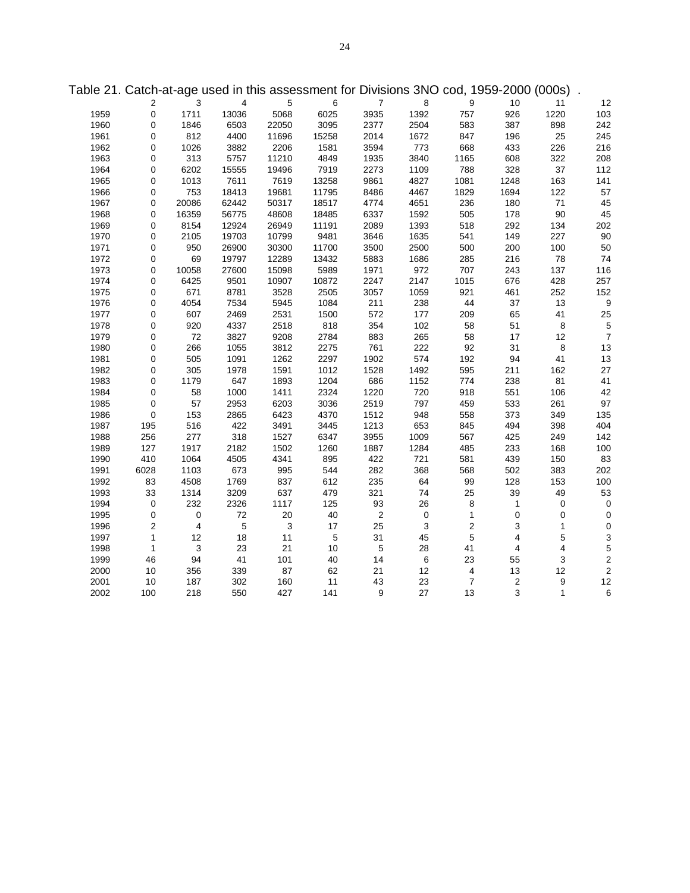|      |                     |                |            |            |            |                |             |                | able 21. Calch-al-age used in this assessment for Divisions SNO Cod, 1909-2000 (000s). |                           |                         |
|------|---------------------|----------------|------------|------------|------------|----------------|-------------|----------------|----------------------------------------------------------------------------------------|---------------------------|-------------------------|
|      | $\overline{2}$      | 3              | 4          | $\sqrt{5}$ | 6          | $\overline{7}$ | 8           | 9              | 10                                                                                     | 11                        | 12                      |
| 1959 | $\mathsf{O}\xspace$ | 1711           | 13036      | 5068       | 6025       | 3935           | 1392        | 757            | 926                                                                                    | 1220                      | 103                     |
| 1960 | 0                   | 1846           | 6503       | 22050      | 3095       | 2377           | 2504        | 583            | 387                                                                                    | 898                       | 242                     |
| 1961 | $\mathbf 0$         | 812            | 4400       | 11696      | 15258      | 2014           | 1672        | 847            | 196                                                                                    | 25                        | 245                     |
| 1962 | 0                   | 1026           | 3882       | 2206       | 1581       | 3594           | 773         | 668            | 433                                                                                    | 226                       | 216                     |
| 1963 | 0                   | 313            | 5757       | 11210      | 4849       | 1935           | 3840        | 1165           | 608                                                                                    | 322                       | 208                     |
| 1964 | 0                   | 6202           | 15555      | 19496      | 7919       | 2273           | 1109        | 788            | 328                                                                                    | $37\,$                    | 112                     |
| 1965 | 0                   | 1013           | 7611       | 7619       | 13258      | 9861           | 4827        | 1081           | 1248                                                                                   | 163                       | 141                     |
| 1966 | 0                   | 753            | 18413      | 19681      | 11795      | 8486           | 4467        | 1829           | 1694                                                                                   | 122                       | 57                      |
| 1967 | 0                   | 20086          | 62442      | 50317      | 18517      | 4774           | 4651        | 236            | 180                                                                                    | $71$                      | 45                      |
| 1968 | 0                   | 16359          | 56775      | 48608      | 18485      | 6337           | 1592        | 505            | 178                                                                                    | $90\,$                    | 45                      |
| 1969 | 0                   | 8154           | 12924      | 26949      | 11191      | 2089           | 1393        | 518            | 292                                                                                    | 134                       | 202                     |
| 1970 | 0                   | 2105           | 19703      | 10799      | 9481       | 3646           | 1635        | 541            | 149                                                                                    | 227                       | 90                      |
| 1971 | 0                   | 950            | 26900      | 30300      | 11700      | 3500           | 2500        | 500            | 200                                                                                    | 100                       | 50                      |
| 1972 | 0                   | 69             | 19797      | 12289      | 13432      | 5883           | 1686        | 285            | 216                                                                                    | 78                        | 74                      |
| 1973 | 0                   | 10058          | 27600      | 15098      | 5989       | 1971           | 972         | 707            | 243                                                                                    | 137                       | 116                     |
| 1974 | 0                   | 6425           | 9501       | 10907      | 10872      | 2247           | 2147        | 1015           | 676                                                                                    | 428                       | 257                     |
| 1975 | 0                   | 671            | 8781       | 3528       | 2505       | 3057           | 1059        | 921            | 461                                                                                    | 252                       | 152                     |
| 1976 | 0                   | 4054           | 7534       | 5945       | 1084       | 211            | 238         | 44             | 37                                                                                     | 13                        | 9                       |
| 1977 | 0                   | 607            | 2469       | 2531       | 1500       | 572            | 177         | 209            | 65                                                                                     | 41                        | 25                      |
| 1978 | 0                   | 920            | 4337       | 2518       | 818        | 354            | 102         | 58             | 51                                                                                     | $\bf8$                    | 5                       |
| 1979 | $\mathbf 0$         | 72             | 3827       | 9208       | 2784       | 883            | 265         | 58             | 17                                                                                     | 12                        | $\overline{7}$          |
| 1980 | 0                   | 266            | 1055       | 3812       | 2275       | 761            | 222         | 92             | 31                                                                                     | 8                         | 13                      |
| 1981 | 0                   | 505            | 1091       | 1262       | 2297       | 1902           | 574         | 192            | 94                                                                                     | 41                        | 13                      |
| 1982 | 0                   | 305            | 1978       | 1591       | 1012       | 1528           | 1492        | 595            | 211                                                                                    | 162                       | 27                      |
| 1983 | 0                   | 1179           | 647        | 1893       | 1204       | 686            | 1152        | 774            | 238                                                                                    | 81                        | 41                      |
| 1984 | 0                   | 58             | 1000       | 1411       | 2324       | 1220           | 720         | 918            | 551                                                                                    | 106                       | 42                      |
| 1985 | $\mathbf 0$         | 57             | 2953       | 6203       | 3036       | 2519           | 797         | 459            | 533                                                                                    | 261                       | 97                      |
| 1986 | 0                   | 153            | 2865       | 6423       | 4370       | 1512           | 948         | 558            | 373                                                                                    | 349                       | 135                     |
| 1987 | 195                 | 516            | 422        | 3491       | 3445       | 1213           | 653         | 845            | 494                                                                                    | 398                       | 404                     |
| 1988 | 256                 | 277            | 318        | 1527       | 6347       | 3955           | 1009        | 567            | 425                                                                                    | 249                       | 142                     |
| 1989 | 127                 | 1917           | 2182       | 1502       | 1260       | 1887           | 1284        | 485            | 233                                                                                    | 168                       | 100                     |
| 1990 | 410                 | 1064           | 4505       | 4341       | 895        | 422            | 721         | 581            | 439                                                                                    | 150                       | 83                      |
| 1991 | 6028                | 1103           | 673        | 995        | 544        | 282            | 368         | 568            | 502                                                                                    | 383                       | 202                     |
| 1992 | 83                  | 4508           | 1769       | 837        | 612        | 235            | 64          | 99             | 128                                                                                    | 153                       | 100                     |
| 1993 | 33                  | 1314           | 3209       | 637        | 479        | 321            | 74          | 25             | 39                                                                                     | 49                        | 53                      |
| 1994 | 0                   | 232            | 2326       | 1117       | 125        | 93             | 26          | 8              | $\mathbf{1}$                                                                           | $\pmb{0}$                 | $\pmb{0}$               |
| 1995 | $\pmb{0}$           | $\mathbf 0$    | 72         | 20         | $40\,$     | $\sqrt{2}$     | $\mathbf 0$ | $\mathbf{1}$   | $\mathsf 0$                                                                            | $\pmb{0}$                 | $\pmb{0}$               |
| 1996 | $\overline{2}$      | $\overline{4}$ | $\sqrt{5}$ | $\sqrt{3}$ | 17         | 25             | 3           | $\sqrt{2}$     | $\mathsf 3$                                                                            | $\mathbf{1}$              | $\pmb{0}$               |
| 1997 | $\mathbf{1}$        | 12             | 18         | 11         | $\sqrt{5}$ | 31             | 45          | $\overline{5}$ | $\overline{\mathbf{4}}$                                                                | $\overline{5}$            | 3                       |
| 1998 | $\mathbf{1}$        | 3              | 23         | 21         | 10         | $\,$ 5 $\,$    | 28          | 41             | $\overline{\mathbf{4}}$                                                                | $\overline{\mathbf{4}}$   | 5                       |
| 1999 | 46                  | 94             | 41         | 101        | 40         | 14             | $\,6\,$     | 23             | 55                                                                                     | $\ensuremath{\mathsf{3}}$ | $\overline{\mathbf{c}}$ |
| 2000 | 10                  | 356            | 339        | 87         | 62         | 21             | 12          | $\overline{4}$ | 13                                                                                     | 12                        | $\overline{c}$          |
| 2001 | 10                  | 187            | 302        | 160        | 11         | 43             | 23          | $\overline{7}$ | $\sqrt{2}$                                                                             | $\boldsymbol{9}$          | 12                      |
| 2002 | 100                 | 218            | 550        | 427        | 141        | 9              | 27          | 13             | 3                                                                                      | $\mathbf{1}$              | 6                       |

Table 21. Catch-at-age used in this assessment for Divisions 3NO cod, 1959-2000 (000s) .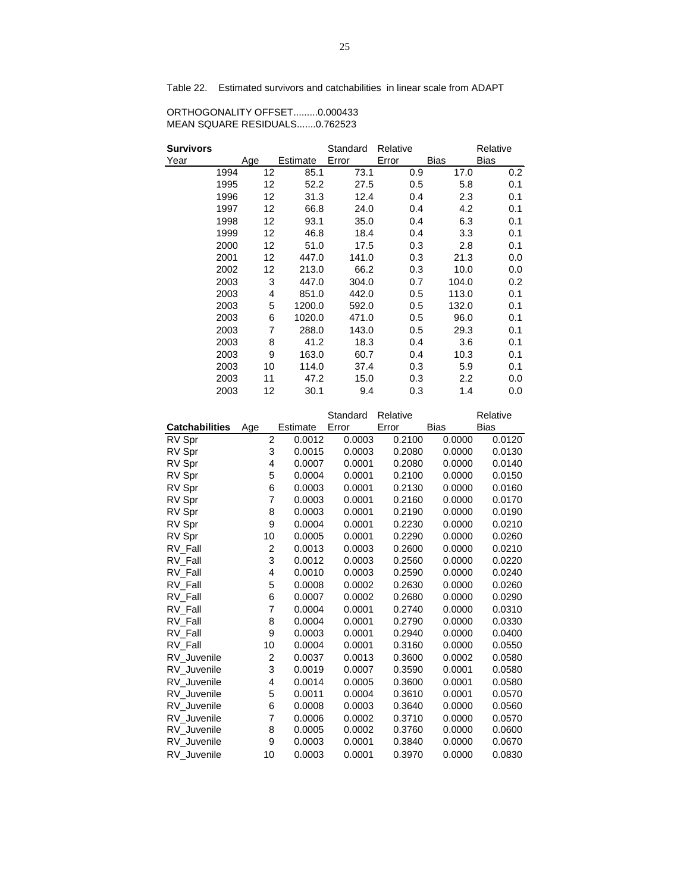Table 22. Estimated survivors and catchabilities in linear scale from ADAPT

| ORTHOGONALITY OFFSET0.000433  |  |
|-------------------------------|--|
| MEAN SQUARE RESIDUALS0.762523 |  |

| Survivors |      |     |    |          | Standard | Relative |     |                  | Relative |
|-----------|------|-----|----|----------|----------|----------|-----|------------------|----------|
| Year      |      | Age |    | Estimate | Error    | Error    |     | Bias             | Bias     |
|           | 1994 | 12  |    | 85.1     | 73.1     |          | 0.9 | 17.0             | 0.2      |
|           | 1995 |     | 12 | 52.2     | 27.5     |          | 0.5 | 5.8              | 0.1      |
|           | 1996 |     | 12 | 31.3     | 12.4     |          | 0.4 | 2.3              | 0.1      |
|           | 1997 |     | 12 | 66.8     | 24.0     |          | 0.4 | 4.2              | 0.1      |
|           | 1998 |     | 12 | 93.1     | 35.0     |          | 0.4 | 6.3              | 0.1      |
|           | 1999 | 12  |    | 46.8     | 18.4     |          | 0.4 | 3.3              | 0.1      |
|           | 2000 |     | 12 | 51.0     | 17.5     |          | 0.3 | 2.8              | 0.1      |
|           | 2001 |     | 12 | 447.0    | 141.0    |          | 0.3 | 21.3             | 0.0      |
|           | 2002 |     | 12 | 213.0    | 66.2     |          | 0.3 | 10.0             | 0.0      |
|           | 2003 |     | 3  | 447.0    | 304.0    |          | 0.7 | 104.0            | 0.2      |
|           | 2003 |     | 4  | 851.0    | 442.0    |          | 0.5 | 113.0            | 0.1      |
|           | 2003 |     | 5  | 1200.0   | 592.0    |          | 0.5 | 132.0            | 0.1      |
|           | 2003 |     | 6  | 1020.0   | 471.0    |          | 0.5 | 96.0             | 0.1      |
|           | 2003 |     | 7  | 288.0    | 143.0    |          | 0.5 | 29.3             | 0.1      |
|           | 2003 |     | 8  | 41.2     | 18.3     |          | 0.4 | 3.6              | 0.1      |
|           | 2003 |     | 9  | 163.0    | 60.7     |          | 0.4 | 10.3             | 0.1      |
|           | 2003 | 10  |    | 114.0    | 37.4     |          | 0.3 | 5.9              | 0.1      |
|           | 2003 | 11  |    | 47.2     | 15.0     |          | 0.3 | $2.2\phantom{0}$ | 0.0      |
|           | 2003 |     | 12 | 30.1     | 9.4      |          | 0.3 | 1.4              | 0.0      |

|                       |                |          | Standard | Relative |             | Relative    |
|-----------------------|----------------|----------|----------|----------|-------------|-------------|
| <b>Catchabilities</b> | Age            | Estimate | Error    | Error    | <b>Bias</b> | <b>Bias</b> |
| RV Spr                | $\overline{2}$ | 0.0012   | 0.0003   | 0.2100   | 0.0000      | 0.0120      |
| RV Spr                | 3              | 0.0015   | 0.0003   | 0.2080   | 0.0000      | 0.0130      |
| RV Spr                | 4              | 0.0007   | 0.0001   | 0.2080   | 0.0000      | 0.0140      |
| RV Spr                | 5              | 0.0004   | 0.0001   | 0.2100   | 0.0000      | 0.0150      |
| RV Spr                | 6              | 0.0003   | 0.0001   | 0.2130   | 0.0000      | 0.0160      |
| RV Spr                | 7              | 0.0003   | 0.0001   | 0.2160   | 0.0000      | 0.0170      |
| RV Spr                | 8              | 0.0003   | 0.0001   | 0.2190   | 0.0000      | 0.0190      |
| RV Spr                | 9              | 0.0004   | 0.0001   | 0.2230   | 0.0000      | 0.0210      |
| RV Spr                | 10             | 0.0005   | 0.0001   | 0.2290   | 0.0000      | 0.0260      |
| RV Fall               | $\overline{2}$ | 0.0013   | 0.0003   | 0.2600   | 0.0000      | 0.0210      |
| RV Fall               | 3              | 0.0012   | 0.0003   | 0.2560   | 0.0000      | 0.0220      |
| RV Fall               | 4              | 0.0010   | 0.0003   | 0.2590   | 0.0000      | 0.0240      |
| RV Fall               | 5              | 0.0008   | 0.0002   | 0.2630   | 0.0000      | 0.0260      |
| RV Fall               | 6              | 0.0007   | 0.0002   | 0.2680   | 0.0000      | 0.0290      |
| RV Fall               | 7              | 0.0004   | 0.0001   | 0.2740   | 0.0000      | 0.0310      |
| RV Fall               | 8              | 0.0004   | 0.0001   | 0.2790   | 0.0000      | 0.0330      |
| RV Fall               | 9              | 0.0003   | 0.0001   | 0.2940   | 0.0000      | 0.0400      |
| RV Fall               | 10             | 0.0004   | 0.0001   | 0.3160   | 0.0000      | 0.0550      |
| RV Juvenile           | $\overline{c}$ | 0.0037   | 0.0013   | 0.3600   | 0.0002      | 0.0580      |
| RV Juvenile           | 3              | 0.0019   | 0.0007   | 0.3590   | 0.0001      | 0.0580      |
| RV Juvenile           | 4              | 0.0014   | 0.0005   | 0.3600   | 0.0001      | 0.0580      |
| RV Juvenile           | 5              | 0.0011   | 0.0004   | 0.3610   | 0.0001      | 0.0570      |
| RV_Juvenile           | 6              | 0.0008   | 0.0003   | 0.3640   | 0.0000      | 0.0560      |
| RV Juvenile           | 7              | 0.0006   | 0.0002   | 0.3710   | 0.0000      | 0.0570      |
| RV Juvenile           | 8              | 0.0005   | 0.0002   | 0.3760   | 0.0000      | 0.0600      |
| RV Juvenile           | 9              | 0.0003   | 0.0001   | 0.3840   | 0.0000      | 0.0670      |
| RV Juvenile           | 10             | 0.0003   | 0.0001   | 0.3970   | 0.0000      | 0.0830      |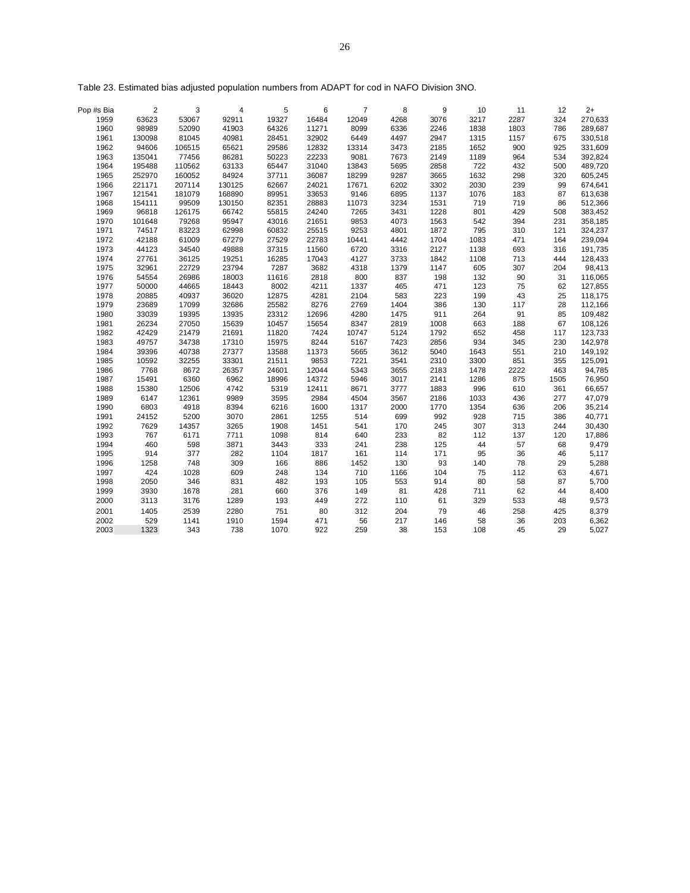| Pop #s Bia | 2      | 3      | 4      | 5     | 6     | $\overline{7}$ | 8    | 9    | 10   | 11   | 12   | $2+$    |
|------------|--------|--------|--------|-------|-------|----------------|------|------|------|------|------|---------|
| 1959       | 63623  | 53067  | 92911  | 19327 | 16484 | 12049          | 4268 | 3076 | 3217 | 2287 | 324  | 270,633 |
| 1960       | 98989  | 52090  | 41903  | 64326 | 11271 | 8099           | 6336 | 2246 | 1838 | 1803 | 786  | 289,687 |
| 1961       | 130098 | 81045  | 40981  | 28451 | 32902 | 6449           | 4497 | 2947 | 1315 | 1157 | 675  | 330,518 |
| 1962       | 94606  | 106515 | 65621  | 29586 | 12832 | 13314          | 3473 | 2185 | 1652 | 900  | 925  | 331,609 |
| 1963       | 135041 | 77456  | 86281  | 50223 | 22233 | 9081           | 7673 | 2149 | 1189 | 964  | 534  | 392,824 |
| 1964       | 195488 | 110562 | 63133  | 65447 | 31040 | 13843          | 5695 | 2858 | 722  | 432  | 500  | 489,720 |
| 1965       | 252970 | 160052 | 84924  | 37711 | 36087 | 18299          | 9287 | 3665 | 1632 | 298  | 320  | 605,245 |
| 1966       | 221171 | 207114 | 130125 | 62667 | 24021 | 17671          | 6202 | 3302 | 2030 | 239  | 99   | 674,641 |
| 1967       | 121541 | 181079 | 168890 | 89951 | 33653 | 9146           | 6895 | 1137 | 1076 | 183  | 87   | 613,638 |
| 1968       | 154111 | 99509  | 130150 | 82351 | 28883 | 11073          | 3234 | 1531 | 719  | 719  | 86   | 512,366 |
| 1969       | 96818  | 126175 | 66742  | 55815 | 24240 | 7265           | 3431 | 1228 | 801  | 429  | 508  | 383,452 |
| 1970       | 101648 | 79268  | 95947  | 43016 | 21651 | 9853           | 4073 | 1563 | 542  | 394  | 231  | 358,185 |
| 1971       | 74517  | 83223  | 62998  | 60832 | 25515 | 9253           | 4801 | 1872 | 795  | 310  | 121  | 324,237 |
| 1972       | 42188  | 61009  | 67279  | 27529 | 22783 | 10441          | 4442 | 1704 | 1083 | 471  | 164  | 239,094 |
| 1973       | 44123  | 34540  | 49888  | 37315 | 11560 | 6720           | 3316 | 2127 | 1138 | 693  | 316  | 191,735 |
| 1974       | 27761  | 36125  | 19251  | 16285 | 17043 | 4127           | 3733 | 1842 | 1108 | 713  | 444  | 128,433 |
| 1975       | 32961  | 22729  | 23794  | 7287  | 3682  | 4318           | 1379 | 1147 | 605  | 307  | 204  | 98,413  |
| 1976       | 54554  | 26986  | 18003  | 11616 | 2818  | 800            | 837  | 198  | 132  | 90   | 31   | 116,065 |
| 1977       | 50000  | 44665  | 18443  | 8002  | 4211  | 1337           | 465  | 471  | 123  | 75   | 62   | 127,855 |
| 1978       | 20885  | 40937  | 36020  | 12875 | 4281  | 2104           | 583  | 223  | 199  | 43   | 25   | 118,175 |
| 1979       | 23689  | 17099  | 32686  | 25582 | 8276  | 2769           | 1404 | 386  | 130  | 117  | 28   | 112,166 |
| 1980       | 33039  | 19395  | 13935  | 23312 | 12696 | 4280           | 1475 | 911  | 264  | 91   | 85   | 109,482 |
| 1981       | 26234  | 27050  | 15639  | 10457 | 15654 | 8347           | 2819 | 1008 | 663  | 188  | 67   | 108,126 |
| 1982       | 42429  | 21479  | 21691  | 11820 | 7424  | 10747          | 5124 | 1792 | 652  | 458  | 117  | 123,733 |
| 1983       | 49757  | 34738  | 17310  | 15975 | 8244  | 5167           | 7423 | 2856 | 934  | 345  | 230  | 142,978 |
| 1984       | 39396  | 40738  | 27377  | 13588 | 11373 | 5665           | 3612 | 5040 | 1643 | 551  | 210  | 149,192 |
| 1985       | 10592  | 32255  | 33301  | 21511 | 9853  | 7221           | 3541 | 2310 | 3300 | 851  | 355  | 125,091 |
| 1986       | 7768   | 8672   | 26357  | 24601 | 12044 | 5343           | 3655 | 2183 | 1478 | 2222 | 463  | 94,785  |
| 1987       | 15491  | 6360   | 6962   | 18996 | 14372 | 5946           | 3017 | 2141 | 1286 | 875  | 1505 | 76,950  |
| 1988       | 15380  | 12506  | 4742   | 5319  | 12411 | 8671           | 3777 | 1883 | 996  | 610  | 361  | 66,657  |
| 1989       | 6147   | 12361  | 9989   | 3595  | 2984  | 4504           | 3567 | 2186 | 1033 | 436  | 277  | 47,079  |
| 1990       | 6803   | 4918   | 8394   | 6216  | 1600  | 1317           | 2000 | 1770 | 1354 | 636  | 206  | 35,214  |
| 1991       | 24152  | 5200   | 3070   | 2861  | 1255  | 514            | 699  | 992  | 928  | 715  | 386  | 40,771  |
| 1992       | 7629   | 14357  | 3265   | 1908  | 1451  | 541            | 170  | 245  | 307  | 313  | 244  | 30,430  |
| 1993       | 767    | 6171   | 7711   | 1098  | 814   | 640            | 233  | 82   | 112  | 137  | 120  | 17,886  |
| 1994       | 460    | 598    | 3871   | 3443  | 333   | 241            | 238  | 125  | 44   | 57   | 68   | 9,479   |
| 1995       | 914    | 377    | 282    | 1104  | 1817  | 161            | 114  | 171  | 95   | 36   | 46   | 5,117   |
| 1996       | 1258   | 748    | 309    | 166   | 886   | 1452           | 130  | 93   | 140  | 78   | 29   | 5,288   |
| 1997       | 424    | 1028   | 609    | 248   | 134   | 710            | 1166 | 104  | 75   | 112  | 63   | 4,671   |
| 1998       | 2050   | 346    | 831    | 482   | 193   | 105            | 553  | 914  | 80   | 58   | 87   | 5,700   |
| 1999       | 3930   | 1678   | 281    | 660   | 376   | 149            | 81   | 428  | 711  | 62   | 44   | 8,400   |
| 2000       | 3113   | 3176   | 1289   | 193   | 449   | 272            | 110  | 61   | 329  | 533  | 48   | 9,573   |
| 2001       | 1405   | 2539   | 2280   | 751   | 80    | 312            | 204  | 79   | 46   | 258  | 425  | 8,379   |
| 2002       | 529    | 1141   | 1910   | 1594  | 471   | 56             | 217  | 146  | 58   | 36   | 203  | 6,362   |
| 2003       | 1323   | 343    | 738    | 1070  | 922   | 259            | 38   | 153  | 108  | 45   | 29   | 5,027   |
|            |        |        |        |       |       |                |      |      |      |      |      |         |

Table 23. Estimated bias adjusted population numbers from ADAPT for cod in NAFO Division 3NO.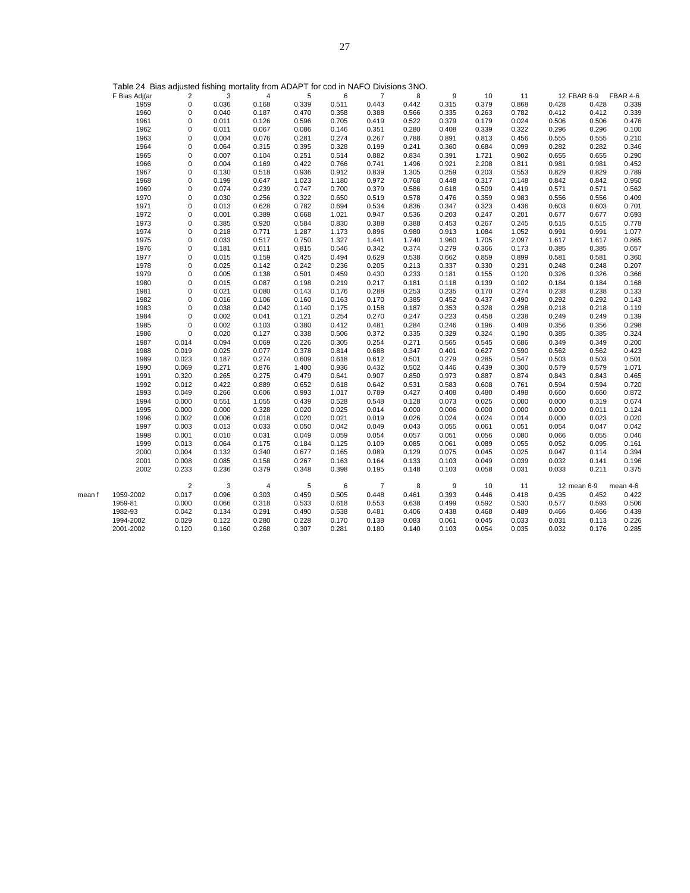|        | $1$ able $2 +$ Bias adjaced norming mortality from $7670$ T Torodd in TWM $\circ$ Bivisions ofter. |                         |       |                |       |       |                |       |       |       |       |       |             |          |
|--------|----------------------------------------------------------------------------------------------------|-------------------------|-------|----------------|-------|-------|----------------|-------|-------|-------|-------|-------|-------------|----------|
|        | F Bias Adj(ar                                                                                      | $\overline{\mathbf{c}}$ | 3     | 4              | 5     | 6     | 7              | 8     | 9     | 10    | 11    |       | 12 FBAR 6-9 | FBAR 4-6 |
|        | 1959                                                                                               | $\mathbf 0$             | 0.036 | 0.168          | 0.339 | 0.511 | 0.443          | 0.442 | 0.315 | 0.379 | 0.868 | 0.428 | 0.428       | 0.339    |
|        | 1960                                                                                               | $\mathbf 0$             | 0.040 | 0.187          | 0.470 | 0.358 | 0.388          | 0.566 | 0.335 | 0.263 | 0.782 | 0.412 | 0.412       | 0.339    |
|        | 1961                                                                                               | 0                       | 0.011 | 0.126          | 0.596 | 0.705 | 0.419          | 0.522 | 0.379 | 0.179 | 0.024 | 0.506 | 0.506       | 0.476    |
|        | 1962                                                                                               | 0                       | 0.011 | 0.067          | 0.086 | 0.146 | 0.351          | 0.280 | 0.408 | 0.339 | 0.322 | 0.296 | 0.296       | 0.100    |
|        | 1963                                                                                               | $\mathbf 0$             | 0.004 | 0.076          | 0.281 | 0.274 | 0.267          | 0.788 | 0.891 | 0.813 | 0.456 | 0.555 | 0.555       | 0.210    |
|        | 1964                                                                                               | $\mathbf 0$             | 0.064 | 0.315          | 0.395 | 0.328 | 0.199          | 0.241 | 0.360 | 0.684 | 0.099 | 0.282 | 0.282       | 0.346    |
|        | 1965                                                                                               | 0                       | 0.007 | 0.104          | 0.251 | 0.514 | 0.882          | 0.834 | 0.391 | 1.721 | 0.902 | 0.655 | 0.655       | 0.290    |
|        | 1966                                                                                               | 0                       | 0.004 | 0.169          | 0.422 | 0.766 | 0.741          | 1.496 | 0.921 | 2.208 | 0.811 | 0.981 | 0.981       | 0.452    |
|        | 1967                                                                                               | 0                       | 0.130 | 0.518          | 0.936 | 0.912 | 0.839          | 1.305 | 0.259 | 0.203 | 0.553 | 0.829 | 0.829       | 0.789    |
|        | 1968                                                                                               | $\mathbf 0$             | 0.199 | 0.647          | 1.023 | 1.180 | 0.972          | 0.768 | 0.448 | 0.317 | 0.148 | 0.842 | 0.842       | 0.950    |
|        | 1969                                                                                               | $\mathbf 0$             | 0.074 | 0.239          | 0.747 | 0.700 | 0.379          | 0.586 | 0.618 | 0.509 | 0.419 | 0.571 | 0.571       | 0.562    |
|        | 1970                                                                                               | 0                       | 0.030 | 0.256          | 0.322 | 0.650 | 0.519          | 0.578 | 0.476 | 0.359 | 0.983 | 0.556 | 0.556       | 0.409    |
|        | 1971                                                                                               | 0                       | 0.013 | 0.628          | 0.782 | 0.694 | 0.534          | 0.836 | 0.347 | 0.323 | 0.436 | 0.603 | 0.603       | 0.701    |
|        | 1972                                                                                               | 0                       | 0.001 | 0.389          | 0.668 | 1.021 | 0.947          | 0.536 | 0.203 | 0.247 | 0.201 | 0.677 | 0.677       | 0.693    |
|        | 1973                                                                                               | 0                       | 0.385 | 0.920          | 0.584 | 0.830 | 0.388          | 0.388 | 0.453 | 0.267 | 0.245 | 0.515 | 0.515       | 0.778    |
|        | 1974                                                                                               | 0                       | 0.218 | 0.771          | 1.287 | 1.173 | 0.896          | 0.980 | 0.913 | 1.084 | 1.052 | 0.991 | 0.991       | 1.077    |
|        | 1975                                                                                               | 0                       | 0.033 | 0.517          | 0.750 | 1.327 | 1.441          | 1.740 | 1.960 | 1.705 | 2.097 | 1.617 | 1.617       | 0.865    |
|        | 1976                                                                                               | 0                       | 0.181 | 0.611          | 0.815 | 0.546 | 0.342          | 0.374 | 0.279 | 0.366 | 0.173 | 0.385 | 0.385       | 0.657    |
|        | 1977                                                                                               | $\mathbf 0$             | 0.015 | 0.159          | 0.425 | 0.494 | 0.629          | 0.538 | 0.662 | 0.859 | 0.899 | 0.581 | 0.581       | 0.360    |
|        | 1978                                                                                               | $\mathbf 0$             | 0.025 | 0.142          | 0.242 | 0.236 | 0.205          | 0.213 | 0.337 | 0.330 | 0.231 | 0.248 | 0.248       | 0.207    |
|        | 1979                                                                                               | 0                       | 0.005 | 0.138          | 0.501 | 0.459 | 0.430          | 0.233 | 0.181 | 0.155 | 0.120 | 0.326 | 0.326       | 0.366    |
|        | 1980                                                                                               | 0                       | 0.015 | 0.087          | 0.198 | 0.219 | 0.217          | 0.181 | 0.118 | 0.139 | 0.102 | 0.184 | 0.184       | 0.168    |
|        | 1981                                                                                               | 0                       | 0.021 | 0.080          | 0.143 | 0.176 | 0.288          | 0.253 | 0.235 | 0.170 | 0.274 | 0.238 | 0.238       | 0.133    |
|        | 1982                                                                                               | $\mathbf 0$             | 0.016 | 0.106          | 0.160 | 0.163 | 0.170          | 0.385 | 0.452 | 0.437 | 0.490 | 0.292 | 0.292       | 0.143    |
|        | 1983                                                                                               | $\mathbf 0$             | 0.038 | 0.042          | 0.140 | 0.175 | 0.158          | 0.187 | 0.353 | 0.328 | 0.298 | 0.218 | 0.218       | 0.119    |
|        | 1984                                                                                               | 0                       | 0.002 | 0.041          | 0.121 | 0.254 | 0.270          | 0.247 | 0.223 | 0.458 | 0.238 | 0.249 | 0.249       | 0.139    |
|        | 1985                                                                                               | $\mathbf 0$             | 0.002 | 0.103          | 0.380 | 0.412 | 0.481          | 0.284 | 0.246 | 0.196 | 0.409 | 0.356 | 0.356       | 0.298    |
|        | 1986                                                                                               | $\mathbf 0$             | 0.020 | 0.127          | 0.338 | 0.506 | 0.372          | 0.335 | 0.329 | 0.324 | 0.190 | 0.385 | 0.385       | 0.324    |
|        | 1987                                                                                               | 0.014                   | 0.094 | 0.069          | 0.226 | 0.305 | 0.254          | 0.271 | 0.565 | 0.545 | 0.686 | 0.349 | 0.349       | 0.200    |
|        | 1988                                                                                               | 0.019                   | 0.025 | 0.077          | 0.378 | 0.814 | 0.688          | 0.347 | 0.401 | 0.627 | 0.590 | 0.562 | 0.562       | 0.423    |
|        | 1989                                                                                               | 0.023                   | 0.187 | 0.274          | 0.609 | 0.618 | 0.612          | 0.501 | 0.279 | 0.285 | 0.547 | 0.503 | 0.503       | 0.501    |
|        | 1990                                                                                               | 0.069                   | 0.271 | 0.876          | 1.400 | 0.936 | 0.432          | 0.502 | 0.446 | 0.439 | 0.300 | 0.579 | 0.579       | 1.071    |
|        | 1991                                                                                               | 0.320                   | 0.265 | 0.275          | 0.479 | 0.641 | 0.907          | 0.850 | 0.973 | 0.887 | 0.874 | 0.843 | 0.843       | 0.465    |
|        | 1992                                                                                               | 0.012                   | 0.422 | 0.889          | 0.652 | 0.618 | 0.642          | 0.531 | 0.583 | 0.608 | 0.761 | 0.594 | 0.594       | 0.720    |
|        | 1993                                                                                               | 0.049                   | 0.266 | 0.606          | 0.993 | 1.017 | 0.789          | 0.427 | 0.408 | 0.480 | 0.498 | 0.660 | 0.660       | 0.872    |
|        | 1994                                                                                               | 0.000                   | 0.551 | 1.055          | 0.439 | 0.528 | 0.548          | 0.128 | 0.073 | 0.025 | 0.000 | 0.000 | 0.319       | 0.674    |
|        | 1995                                                                                               | 0.000                   | 0.000 | 0.328          | 0.020 | 0.025 | 0.014          | 0.000 | 0.006 | 0.000 | 0.000 | 0.000 | 0.011       | 0.124    |
|        | 1996                                                                                               | 0.002                   | 0.006 | 0.018          | 0.020 | 0.021 | 0.019          | 0.026 | 0.024 | 0.024 | 0.014 | 0.000 | 0.023       | 0.020    |
|        | 1997                                                                                               | 0.003                   | 0.013 | 0.033          | 0.050 | 0.042 | 0.049          | 0.043 | 0.055 | 0.061 | 0.051 | 0.054 | 0.047       | 0.042    |
|        | 1998                                                                                               | 0.001                   | 0.010 | 0.031          | 0.049 | 0.059 | 0.054          | 0.057 | 0.051 | 0.056 | 0.080 | 0.066 | 0.055       | 0.046    |
|        | 1999                                                                                               | 0.013                   | 0.064 | 0.175          | 0.184 | 0.125 | 0.109          | 0.085 | 0.061 | 0.089 | 0.055 | 0.052 | 0.095       | 0.161    |
|        | 2000                                                                                               | 0.004                   | 0.132 | 0.340          | 0.677 | 0.165 | 0.089          | 0.129 | 0.075 | 0.045 | 0.025 | 0.047 | 0.114       | 0.394    |
|        | 2001                                                                                               | 0.008                   | 0.085 | 0.158          | 0.267 | 0.163 | 0.164          | 0.133 | 0.103 | 0.049 | 0.039 | 0.032 | 0.141       | 0.196    |
|        | 2002                                                                                               | 0.233                   | 0.236 | 0.379          | 0.348 | 0.398 | 0.195          | 0.148 | 0.103 | 0.058 | 0.031 | 0.033 | 0.211       | 0.375    |
|        |                                                                                                    | $\overline{2}$          | 3     | $\overline{4}$ | 5     | 6     | $\overline{7}$ | 8     | 9     | 10    | 11    |       | 12 mean 6-9 | mean 4-6 |
| mean f | 1959-2002                                                                                          | 0.017                   | 0.096 | 0.303          | 0.459 | 0.505 | 0.448          | 0.461 | 0.393 | 0.446 | 0.418 | 0.435 | 0.452       | 0.422    |
|        | 1959-81                                                                                            | 0.000                   | 0.066 | 0.318          | 0.533 | 0.618 | 0.553          | 0.638 | 0.499 | 0.592 | 0.530 | 0.577 | 0.593       | 0.506    |
|        | 1982-93                                                                                            | 0.042                   | 0.134 | 0.291          | 0.490 | 0.538 | 0.481          | 0.406 | 0.438 | 0.468 | 0.489 | 0.466 | 0.466       | 0.439    |
|        | 1994-2002                                                                                          | 0.029                   | 0.122 | 0.280          | 0.228 | 0.170 | 0.138          | 0.083 | 0.061 | 0.045 | 0.033 | 0.031 | 0.113       | 0.226    |
|        | 2001-2002                                                                                          | 0.120                   | 0.160 | 0.268          | 0.307 | 0.281 | 0.180          | 0.140 | 0.103 | 0.054 | 0.035 | 0.032 | 0.176       | 0.285    |

Table 24 Bias adjusted fishing mortality from ADAPT for cod in NAFO Divisions 3NO.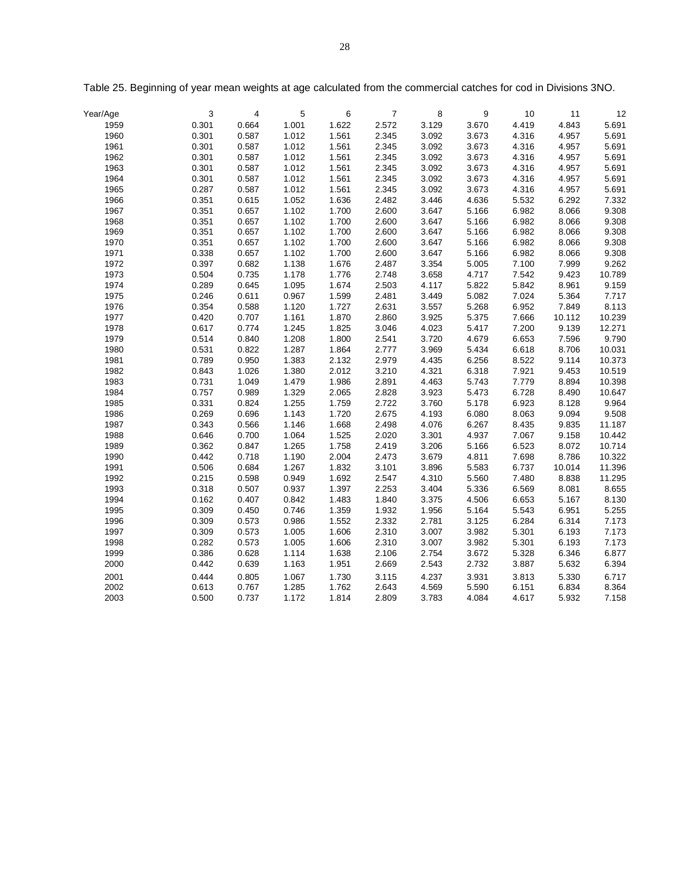| Year/Age | 3     | $\overline{4}$ | 5     | 6     | $\overline{7}$ | 8     | 9     | 10    | 11     | 12     |
|----------|-------|----------------|-------|-------|----------------|-------|-------|-------|--------|--------|
| 1959     | 0.301 | 0.664          | 1.001 | 1.622 | 2.572          | 3.129 | 3.670 | 4.419 | 4.843  | 5.691  |
| 1960     | 0.301 | 0.587          | 1.012 | 1.561 | 2.345          | 3.092 | 3.673 | 4.316 | 4.957  | 5.691  |
| 1961     | 0.301 | 0.587          | 1.012 | 1.561 | 2.345          | 3.092 | 3.673 | 4.316 | 4.957  | 5.691  |
| 1962     | 0.301 | 0.587          | 1.012 | 1.561 | 2.345          | 3.092 | 3.673 | 4.316 | 4.957  | 5.691  |
| 1963     | 0.301 | 0.587          | 1.012 | 1.561 | 2.345          | 3.092 | 3.673 | 4.316 | 4.957  | 5.691  |
| 1964     | 0.301 | 0.587          | 1.012 | 1.561 | 2.345          | 3.092 | 3.673 | 4.316 | 4.957  | 5.691  |
| 1965     | 0.287 | 0.587          | 1.012 | 1.561 | 2.345          | 3.092 | 3.673 | 4.316 | 4.957  | 5.691  |
| 1966     | 0.351 | 0.615          | 1.052 | 1.636 | 2.482          | 3.446 | 4.636 | 5.532 | 6.292  | 7.332  |
| 1967     | 0.351 | 0.657          | 1.102 | 1.700 | 2.600          | 3.647 | 5.166 | 6.982 | 8.066  | 9.308  |
| 1968     | 0.351 | 0.657          | 1.102 | 1.700 | 2.600          | 3.647 | 5.166 | 6.982 | 8.066  | 9.308  |
| 1969     | 0.351 | 0.657          | 1.102 | 1.700 | 2.600          | 3.647 | 5.166 | 6.982 | 8.066  | 9.308  |
| 1970     | 0.351 | 0.657          | 1.102 | 1.700 | 2.600          | 3.647 | 5.166 | 6.982 | 8.066  | 9.308  |
| 1971     | 0.338 | 0.657          | 1.102 | 1.700 | 2.600          | 3.647 | 5.166 | 6.982 | 8.066  | 9.308  |
| 1972     | 0.397 | 0.682          | 1.138 | 1.676 | 2.487          | 3.354 | 5.005 | 7.100 | 7.999  | 9.262  |
| 1973     | 0.504 | 0.735          | 1.178 | 1.776 | 2.748          | 3.658 | 4.717 | 7.542 | 9.423  | 10.789 |
| 1974     | 0.289 | 0.645          | 1.095 | 1.674 | 2.503          | 4.117 | 5.822 | 5.842 | 8.961  | 9.159  |
| 1975     | 0.246 | 0.611          | 0.967 | 1.599 | 2.481          | 3.449 | 5.082 | 7.024 | 5.364  | 7.717  |
| 1976     | 0.354 | 0.588          | 1.120 | 1.727 | 2.631          | 3.557 | 5.268 | 6.952 | 7.849  | 8.113  |
| 1977     | 0.420 | 0.707          | 1.161 | 1.870 | 2.860          | 3.925 | 5.375 | 7.666 | 10.112 | 10.239 |
| 1978     | 0.617 | 0.774          | 1.245 | 1.825 | 3.046          | 4.023 | 5.417 | 7.200 | 9.139  | 12.271 |
| 1979     | 0.514 | 0.840          | 1.208 | 1.800 | 2.541          | 3.720 | 4.679 | 6.653 | 7.596  | 9.790  |
| 1980     | 0.531 | 0.822          | 1.287 | 1.864 | 2.777          | 3.969 | 5.434 | 6.618 | 8.706  | 10.031 |
| 1981     | 0.789 | 0.950          | 1.383 | 2.132 | 2.979          | 4.435 | 6.256 | 8.522 | 9.114  | 10.373 |
| 1982     | 0.843 | 1.026          | 1.380 | 2.012 | 3.210          | 4.321 | 6.318 | 7.921 | 9.453  | 10.519 |
| 1983     | 0.731 | 1.049          | 1.479 | 1.986 | 2.891          | 4.463 | 5.743 | 7.779 | 8.894  | 10.398 |
| 1984     | 0.757 | 0.989          | 1.329 | 2.065 | 2.828          | 3.923 | 5.473 | 6.728 | 8.490  | 10.647 |
| 1985     | 0.331 | 0.824          | 1.255 | 1.759 | 2.722          | 3.760 | 5.178 | 6.923 | 8.128  | 9.964  |
| 1986     | 0.269 | 0.696          | 1.143 | 1.720 | 2.675          | 4.193 | 6.080 | 8.063 | 9.094  | 9.508  |
| 1987     | 0.343 | 0.566          | 1.146 | 1.668 | 2.498          | 4.076 | 6.267 | 8.435 | 9.835  | 11.187 |
| 1988     | 0.646 | 0.700          | 1.064 | 1.525 | 2.020          | 3.301 | 4.937 | 7.067 | 9.158  | 10.442 |
| 1989     | 0.362 | 0.847          | 1.265 | 1.758 | 2.419          | 3.206 | 5.166 | 6.523 | 8.072  | 10.714 |
| 1990     | 0.442 | 0.718          | 1.190 | 2.004 | 2.473          | 3.679 | 4.811 | 7.698 | 8.786  | 10.322 |
| 1991     | 0.506 | 0.684          | 1.267 | 1.832 | 3.101          | 3.896 | 5.583 | 6.737 | 10.014 | 11.396 |
| 1992     | 0.215 | 0.598          | 0.949 | 1.692 | 2.547          | 4.310 | 5.560 | 7.480 | 8.838  | 11.295 |
| 1993     | 0.318 | 0.507          | 0.937 | 1.397 | 2.253          | 3.404 | 5.336 | 6.569 | 8.081  | 8.655  |
| 1994     | 0.162 | 0.407          | 0.842 | 1.483 | 1.840          | 3.375 | 4.506 | 6.653 | 5.167  | 8.130  |
| 1995     | 0.309 | 0.450          | 0.746 | 1.359 | 1.932          | 1.956 | 5.164 | 5.543 | 6.951  | 5.255  |
| 1996     | 0.309 | 0.573          | 0.986 | 1.552 | 2.332          | 2.781 | 3.125 | 6.284 | 6.314  | 7.173  |
| 1997     | 0.309 | 0.573          | 1.005 | 1.606 | 2.310          | 3.007 | 3.982 | 5.301 | 6.193  | 7.173  |
| 1998     | 0.282 | 0.573          | 1.005 | 1.606 | 2.310          | 3.007 | 3.982 | 5.301 | 6.193  | 7.173  |
| 1999     | 0.386 | 0.628          | 1.114 | 1.638 | 2.106          | 2.754 | 3.672 | 5.328 | 6.346  | 6.877  |
| 2000     | 0.442 | 0.639          | 1.163 | 1.951 | 2.669          | 2.543 | 2.732 | 3.887 | 5.632  | 6.394  |
| 2001     | 0.444 | 0.805          | 1.067 | 1.730 | 3.115          | 4.237 | 3.931 | 3.813 | 5.330  | 6.717  |
| 2002     | 0.613 | 0.767          | 1.285 | 1.762 | 2.643          | 4.569 | 5.590 | 6.151 | 6.834  | 8.364  |
| 2003     | 0.500 | 0.737          | 1.172 | 1.814 | 2.809          | 3.783 | 4.084 | 4.617 | 5.932  | 7.158  |

Table 25. Beginning of year mean weights at age calculated from the commercial catches for cod in Divisions 3NO.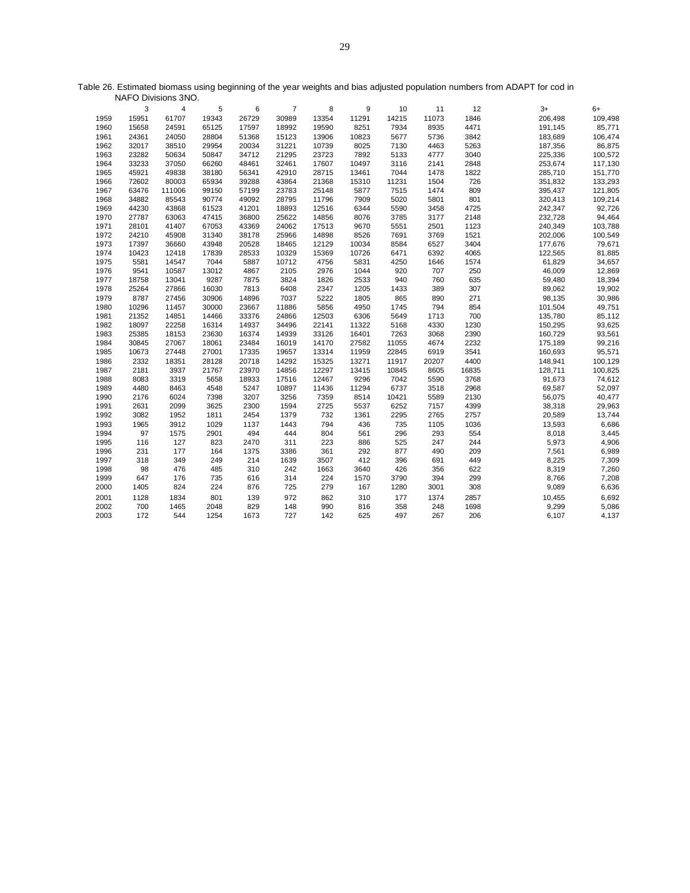|      | 3     | 4      | 5     | 6     | $\overline{7}$ | 8     | 9     | 10    | 11    | 12    | $3+$    | $6+$    |
|------|-------|--------|-------|-------|----------------|-------|-------|-------|-------|-------|---------|---------|
| 1959 | 15951 | 61707  | 19343 | 26729 | 30989          | 13354 | 11291 | 14215 | 11073 | 1846  | 206,498 | 109,498 |
| 1960 | 15658 | 24591  | 65125 | 17597 | 18992          | 19590 | 8251  | 7934  | 8935  | 4471  | 191,145 | 85,771  |
| 1961 | 24361 | 24050  | 28804 | 51368 | 15123          | 13906 | 10823 | 5677  | 5736  | 3842  | 183,689 | 106,474 |
| 1962 | 32017 | 38510  | 29954 | 20034 | 31221          | 10739 | 8025  | 7130  | 4463  | 5263  | 187,356 | 86,875  |
| 1963 | 23282 | 50634  | 50847 | 34712 | 21295          | 23723 | 7892  | 5133  | 4777  | 3040  | 225,336 | 100,572 |
| 1964 | 33233 | 37050  | 66260 | 48461 | 32461          | 17607 | 10497 | 3116  | 2141  | 2848  | 253,674 | 117,130 |
| 1965 | 45921 | 49838  | 38180 | 56341 | 42910          | 28715 | 13461 | 7044  | 1478  | 1822  | 285,710 | 151,770 |
| 1966 | 72602 | 80003  | 65934 | 39288 | 43864          | 21368 | 15310 | 11231 | 1504  | 726   | 351,832 | 133,293 |
| 1967 | 63476 | 111006 | 99150 | 57199 | 23783          | 25148 | 5877  | 7515  | 1474  | 809   | 395,437 | 121,805 |
| 1968 | 34882 | 85543  | 90774 | 49092 | 28795          | 11796 | 7909  | 5020  | 5801  | 801   | 320,413 | 109,214 |
| 1969 | 44230 | 43868  | 61523 | 41201 | 18893          | 12516 | 6344  | 5590  | 3458  | 4725  | 242,347 | 92,726  |
| 1970 | 27787 | 63063  | 47415 | 36800 | 25622          | 14856 | 8076  | 3785  | 3177  | 2148  | 232,728 | 94,464  |
| 1971 | 28101 | 41407  | 67053 | 43369 | 24062          | 17513 | 9670  | 5551  | 2501  | 1123  | 240,349 | 103,788 |
| 1972 | 24210 | 45908  | 31340 | 38178 | 25966          | 14898 | 8526  | 7691  | 3769  | 1521  | 202,006 | 100,549 |
| 1973 | 17397 | 36660  | 43948 | 20528 | 18465          | 12129 | 10034 | 8584  | 6527  | 3404  | 177,676 | 79,671  |
| 1974 | 10423 | 12418  | 17839 | 28533 | 10329          | 15369 | 10726 | 6471  | 6392  | 4065  | 122,565 | 81,885  |
| 1975 | 5581  | 14547  | 7044  | 5887  | 10712          | 4756  | 5831  | 4250  | 1646  | 1574  | 61,829  | 34,657  |
| 1976 | 9541  | 10587  | 13012 | 4867  | 2105           | 2976  | 1044  | 920   | 707   | 250   | 46,009  | 12,869  |
| 1977 | 18758 | 13041  | 9287  | 7875  | 3824           | 1826  | 2533  | 940   | 760   | 635   | 59,480  | 18,394  |
| 1978 | 25264 | 27866  | 16030 | 7813  | 6408           | 2347  | 1205  | 1433  | 389   | 307   | 89,062  | 19,902  |
| 1979 | 8787  | 27456  | 30906 | 14896 | 7037           | 5222  | 1805  | 865   | 890   | 271   | 98,135  | 30,986  |
| 1980 | 10296 | 11457  | 30000 | 23667 | 11886          | 5856  | 4950  | 1745  | 794   | 854   | 101,504 | 49,751  |
| 1981 | 21352 | 14851  | 14466 | 33376 | 24866          | 12503 | 6306  | 5649  | 1713  | 700   | 135,780 | 85,112  |
| 1982 | 18097 | 22258  | 16314 | 14937 | 34496          | 22141 | 11322 | 5168  | 4330  | 1230  | 150,295 | 93,625  |
| 1983 | 25385 | 18153  | 23630 | 16374 | 14939          | 33126 | 16401 | 7263  | 3068  | 2390  | 160,729 | 93,561  |
| 1984 | 30845 | 27067  | 18061 | 23484 | 16019          | 14170 | 27582 | 11055 | 4674  | 2232  | 175,189 | 99,216  |
| 1985 | 10673 | 27448  | 27001 | 17335 | 19657          | 13314 | 11959 | 22845 | 6919  | 3541  | 160,693 | 95,571  |
| 1986 | 2332  | 18351  | 28128 | 20718 | 14292          | 15325 | 13271 | 11917 | 20207 | 4400  | 148,941 | 100,129 |
| 1987 | 2181  | 3937   | 21767 | 23970 | 14856          | 12297 | 13415 | 10845 | 8605  | 16835 | 128,711 | 100,825 |
| 1988 | 8083  | 3319   | 5658  | 18933 | 17516          | 12467 | 9296  | 7042  | 5590  | 3768  | 91,673  | 74,612  |
| 1989 | 4480  | 8463   | 4548  | 5247  | 10897          | 11436 | 11294 | 6737  | 3518  | 2968  | 69,587  | 52,097  |
| 1990 | 2176  | 6024   | 7398  | 3207  | 3256           | 7359  | 8514  | 10421 | 5589  | 2130  | 56,075  | 40,477  |
| 1991 | 2631  | 2099   | 3625  | 2300  | 1594           | 2725  | 5537  | 6252  | 7157  | 4399  | 38,318  | 29,963  |
| 1992 | 3082  | 1952   | 1811  | 2454  | 1379           | 732   | 1361  | 2295  | 2765  | 2757  | 20,589  | 13,744  |
| 1993 | 1965  | 3912   | 1029  | 1137  | 1443           | 794   | 436   | 735   | 1105  | 1036  | 13,593  | 6,686   |
| 1994 | 97    | 1575   | 2901  | 494   | 444            | 804   | 561   | 296   | 293   | 554   | 8,018   | 3,445   |
| 1995 | 116   | 127    | 823   | 2470  | 311            | 223   | 886   | 525   | 247   | 244   | 5,973   | 4,906   |
| 1996 | 231   | 177    | 164   | 1375  | 3386           | 361   | 292   | 877   | 490   | 209   | 7,561   | 6,989   |
| 1997 | 318   | 349    | 249   | 214   | 1639           | 3507  | 412   | 396   | 691   | 449   | 8,225   | 7,309   |
| 1998 | 98    | 476    | 485   | 310   | 242            | 1663  | 3640  | 426   | 356   | 622   | 8,319   | 7,260   |
| 1999 | 647   | 176    | 735   | 616   | 314            | 224   | 1570  | 3790  | 394   | 299   | 8,766   | 7,208   |
| 2000 | 1405  | 824    | 224   | 876   | 725            | 279   | 167   | 1280  | 3001  | 308   | 9,089   | 6,636   |
| 2001 | 1128  | 1834   | 801   | 139   | 972            | 862   | 310   | 177   | 1374  | 2857  | 10,455  | 6,692   |
| 2002 | 700   | 1465   | 2048  | 829   | 148            | 990   | 816   | 358   | 248   | 1698  | 9,299   | 5,086   |
| 2003 | 172   | 544    | 1254  | 1673  | 727            | 142   | 625   | 497   | 267   | 206   | 6,107   | 4,137   |

Table 26. Estimated biomass using beginning of the year weights and bias adjusted population numbers from ADAPT for cod in NAFO Divisions 3NO.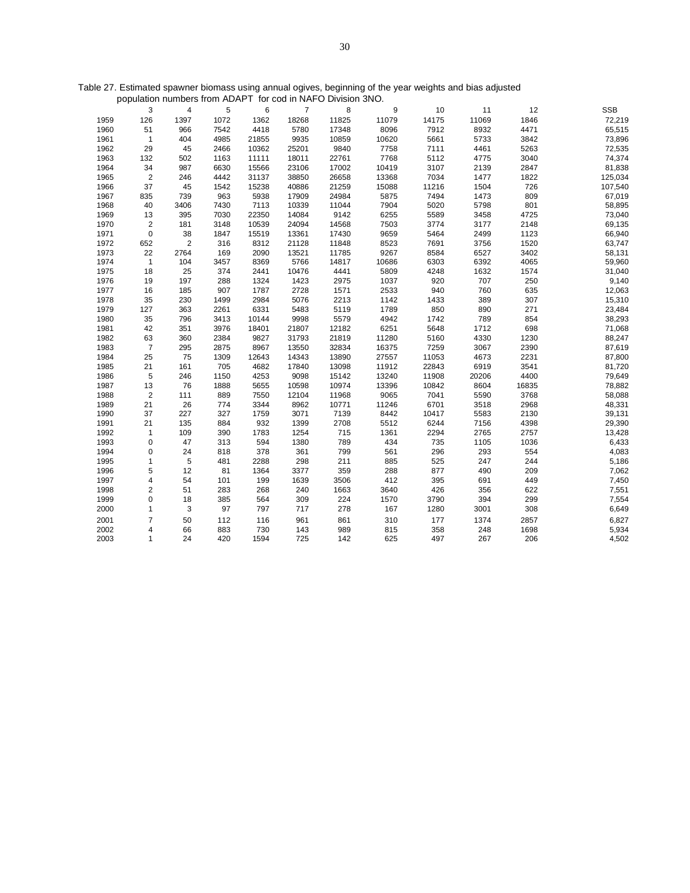| Table 27. Estimated spawner biomass using annual ogives, beginning of the year weights and bias adjusted |  |  |  |
|----------------------------------------------------------------------------------------------------------|--|--|--|
| population numbers from ADAPT for cod in NAFO Division 3NO.                                              |  |  |  |

|      | 3              | 4              | 5    | 6     | 7     | 8     | 9     | 10    | 11    | 12    | <b>SSB</b> |
|------|----------------|----------------|------|-------|-------|-------|-------|-------|-------|-------|------------|
| 1959 | 126            | 1397           | 1072 | 1362  | 18268 | 11825 | 11079 | 14175 | 11069 | 1846  | 72,219     |
| 1960 | 51             | 966            | 7542 | 4418  | 5780  | 17348 | 8096  | 7912  | 8932  | 4471  | 65,515     |
| 1961 | $\mathbf{1}$   | 404            | 4985 | 21855 | 9935  | 10859 | 10620 | 5661  | 5733  | 3842  | 73,896     |
| 1962 | 29             | 45             | 2466 | 10362 | 25201 | 9840  | 7758  | 7111  | 4461  | 5263  | 72,535     |
| 1963 | 132            | 502            | 1163 | 11111 | 18011 | 22761 | 7768  | 5112  | 4775  | 3040  | 74,374     |
| 1964 | 34             | 987            | 6630 | 15566 | 23106 | 17002 | 10419 | 3107  | 2139  | 2847  | 81,838     |
| 1965 | $\overline{2}$ | 246            | 4442 | 31137 | 38850 | 26658 | 13368 | 7034  | 1477  | 1822  | 125,034    |
| 1966 | 37             | 45             | 1542 | 15238 | 40886 | 21259 | 15088 | 11216 | 1504  | 726   | 107,540    |
| 1967 | 835            | 739            | 963  | 5938  | 17909 | 24984 | 5875  | 7494  | 1473  | 809   | 67,019     |
| 1968 | 40             | 3406           | 7430 | 7113  | 10339 | 11044 | 7904  | 5020  | 5798  | 801   | 58,895     |
| 1969 | 13             | 395            | 7030 | 22350 | 14084 | 9142  | 6255  | 5589  | 3458  | 4725  | 73,040     |
| 1970 | $\overline{2}$ | 181            | 3148 | 10539 | 24094 | 14568 | 7503  | 3774  | 3177  | 2148  | 69,135     |
| 1971 | $\mathbf 0$    | 38             | 1847 | 15519 | 13361 | 17430 | 9659  | 5464  | 2499  | 1123  | 66,940     |
| 1972 | 652            | $\overline{2}$ | 316  | 8312  | 21128 | 11848 | 8523  | 7691  | 3756  | 1520  | 63,747     |
| 1973 | 22             | 2764           | 169  | 2090  | 13521 | 11785 | 9267  | 8584  | 6527  | 3402  | 58,131     |
| 1974 | $\mathbf{1}$   | 104            | 3457 | 8369  | 5766  | 14817 | 10686 | 6303  | 6392  | 4065  | 59,960     |
| 1975 | 18             | 25             | 374  | 2441  | 10476 | 4441  | 5809  | 4248  | 1632  | 1574  | 31,040     |
| 1976 | 19             | 197            | 288  | 1324  | 1423  | 2975  | 1037  | 920   | 707   | 250   | 9,140      |
| 1977 | 16             | 185            | 907  | 1787  | 2728  | 1571  | 2533  | 940   | 760   | 635   | 12,063     |
| 1978 | 35             | 230            | 1499 | 2984  | 5076  | 2213  | 1142  | 1433  | 389   | 307   | 15,310     |
| 1979 | 127            | 363            | 2261 | 6331  | 5483  | 5119  | 1789  | 850   | 890   | 271   | 23,484     |
| 1980 | 35             | 796            | 3413 | 10144 | 9998  | 5579  | 4942  | 1742  | 789   | 854   | 38,293     |
| 1981 | 42             | 351            | 3976 | 18401 | 21807 | 12182 | 6251  | 5648  | 1712  | 698   | 71,068     |
| 1982 | 63             | 360            | 2384 | 9827  | 31793 | 21819 | 11280 | 5160  | 4330  | 1230  | 88,247     |
| 1983 | $\overline{7}$ | 295            | 2875 | 8967  | 13550 | 32834 | 16375 | 7259  | 3067  | 2390  | 87,619     |
| 1984 | 25             | 75             | 1309 | 12643 | 14343 | 13890 | 27557 | 11053 | 4673  | 2231  | 87,800     |
| 1985 | 21             | 161            | 705  | 4682  | 17840 | 13098 | 11912 | 22843 | 6919  | 3541  | 81,720     |
| 1986 | 5              | 246            | 1150 | 4253  | 9098  | 15142 | 13240 | 11908 | 20206 | 4400  | 79,649     |
| 1987 | 13             | 76             | 1888 | 5655  | 10598 | 10974 | 13396 | 10842 | 8604  | 16835 | 78,882     |
| 1988 | $\overline{2}$ | 111            | 889  | 7550  | 12104 | 11968 | 9065  | 7041  | 5590  | 3768  | 58,088     |
| 1989 | 21             | 26             | 774  | 3344  | 8962  | 10771 | 11246 | 6701  | 3518  | 2968  | 48,331     |
| 1990 | 37             | 227            | 327  | 1759  | 3071  | 7139  | 8442  | 10417 | 5583  | 2130  | 39,131     |
| 1991 | 21             | 135            | 884  | 932   | 1399  | 2708  | 5512  | 6244  | 7156  | 4398  | 29,390     |
| 1992 | 1              | 109            | 390  | 1783  | 1254  | 715   | 1361  | 2294  | 2765  | 2757  | 13,428     |
| 1993 | $\mathbf 0$    | 47             | 313  | 594   | 1380  | 789   | 434   | 735   | 1105  | 1036  | 6,433      |
| 1994 | 0              | 24             | 818  | 378   | 361   | 799   | 561   | 296   | 293   | 554   | 4,083      |
| 1995 | 1              | 5              | 481  | 2288  | 298   | 211   | 885   | 525   | 247   | 244   | 5,186      |
| 1996 | 5              | 12             | 81   | 1364  | 3377  | 359   | 288   | 877   | 490   | 209   | 7,062      |
| 1997 | 4              | 54             | 101  | 199   | 1639  | 3506  | 412   | 395   | 691   | 449   | 7,450      |
| 1998 | 2              | 51             | 283  | 268   | 240   | 1663  | 3640  | 426   | 356   | 622   | 7,551      |
| 1999 | 0              | 18             | 385  | 564   | 309   | 224   | 1570  | 3790  | 394   | 299   | 7,554      |
| 2000 | 1              | 3              | 97   | 797   | 717   | 278   | 167   | 1280  | 3001  | 308   | 6,649      |
| 2001 | $\overline{7}$ | 50             | 112  | 116   | 961   | 861   | 310   | 177   | 1374  | 2857  | 6,827      |
| 2002 | 4              | 66             | 883  | 730   | 143   | 989   | 815   | 358   | 248   | 1698  | 5,934      |
| 2003 | $\mathbf{1}$   | 24             | 420  | 1594  | 725   | 142   | 625   | 497   | 267   | 206   | 4,502      |
|      |                |                |      |       |       |       |       |       |       |       |            |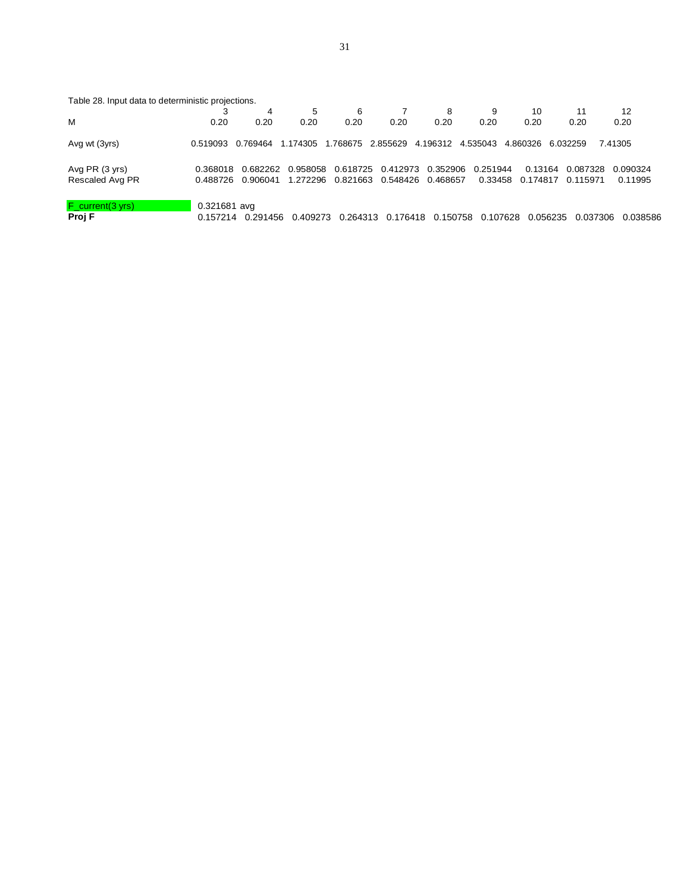| Table 28. Input data to deterministic projections. |                |          |          |          |          |                   |          |          |          |          |
|----------------------------------------------------|----------------|----------|----------|----------|----------|-------------------|----------|----------|----------|----------|
|                                                    |                | 4        | 5        | 6        |          | 8                 | 9        | 10       | 11       | 12       |
| M                                                  | 0.20           | 0.20     | 0.20     | 0.20     | 0.20     | 0.20              | 0.20     | 0.20     | 0.20     | 0.20     |
| Avg wt (3yrs)                                      | 0.519093       | 0.769464 | 1.174305 | 1.768675 | 2.855629 | 4.196312          | 4.535043 | 4.860326 | 6.032259 | 7.41305  |
| Avg PR (3 yrs)                                     | 0.368018       | 0.682262 | 0.958058 | 0.618725 | 0.412973 | 0.352906          | 0.251944 | 0.13164  | 0.087328 | 0.090324 |
| Rescaled Avg PR                                    | 0.488726       | 0.906041 | 1.272296 | 0.821663 |          | 0.548426 0.468657 | 0.33458  | 0.174817 | 0.115971 | 0.11995  |
| $F_{current(3 yrs)}$                               | $0.321681$ avg |          |          |          |          |                   |          |          |          |          |
| Proj F                                             | 0.157214       | 0.291456 | 0.409273 | 0.264313 | 0.176418 | 0.150758          | 0.107628 | 0.056235 | 0.037306 | 0.038586 |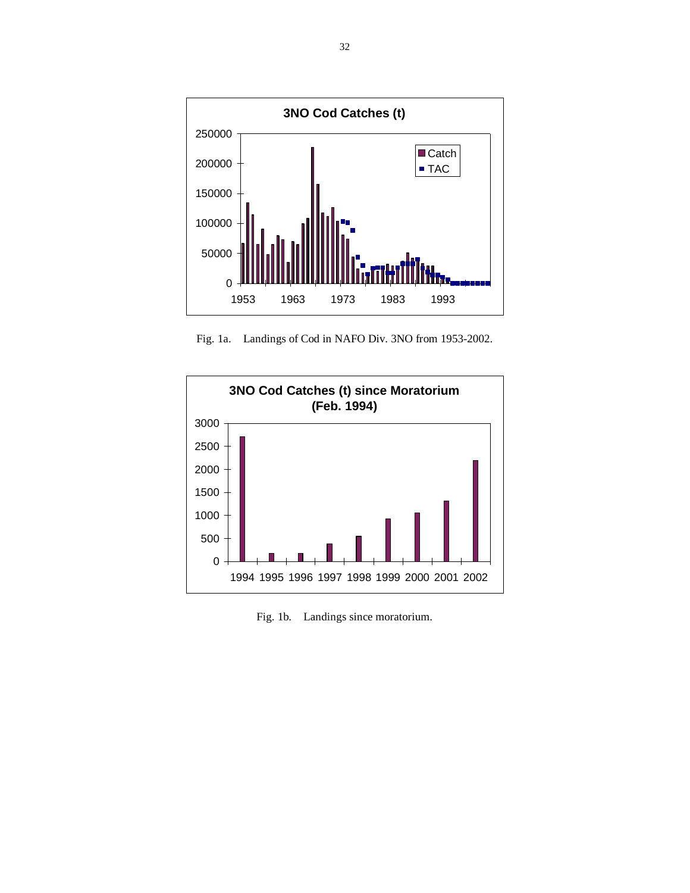

Fig. 1a. Landings of Cod in NAFO Div. 3NO from 1953-2002.



Fig. 1b. Landings since moratorium.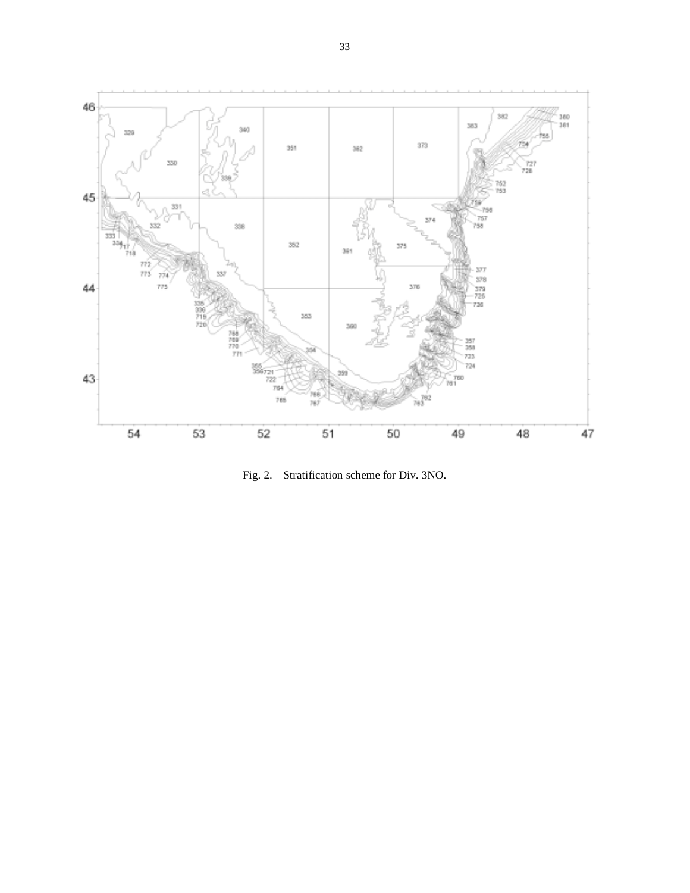

Fig. 2. Stratification scheme for Div. 3NO.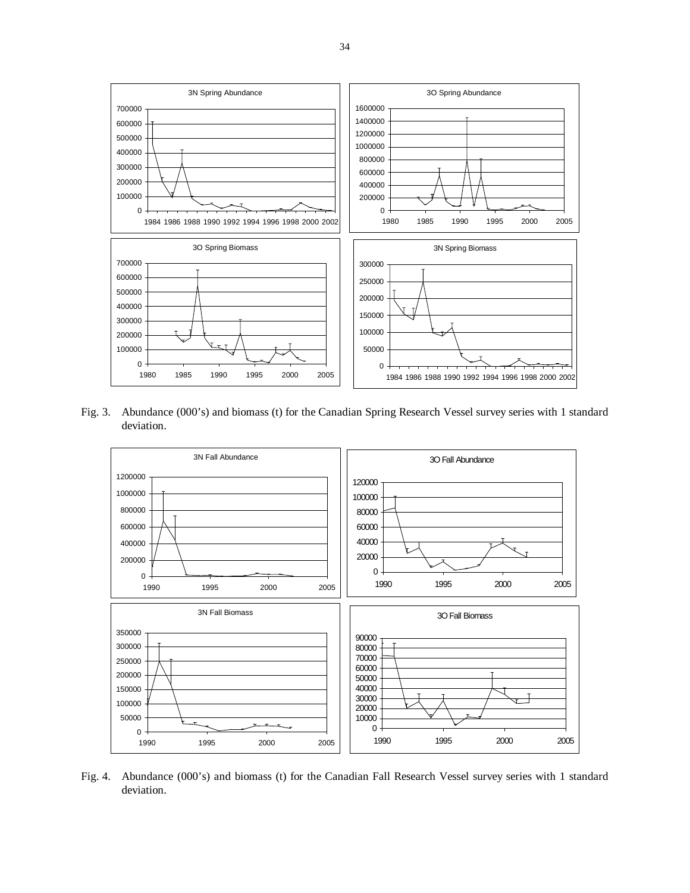

Fig. 3. Abundance (000's) and biomass (t) for the Canadian Spring Research Vessel survey series with 1 standard deviation.



Fig. 4. Abundance (000's) and biomass (t) for the Canadian Fall Research Vessel survey series with 1 standard deviation.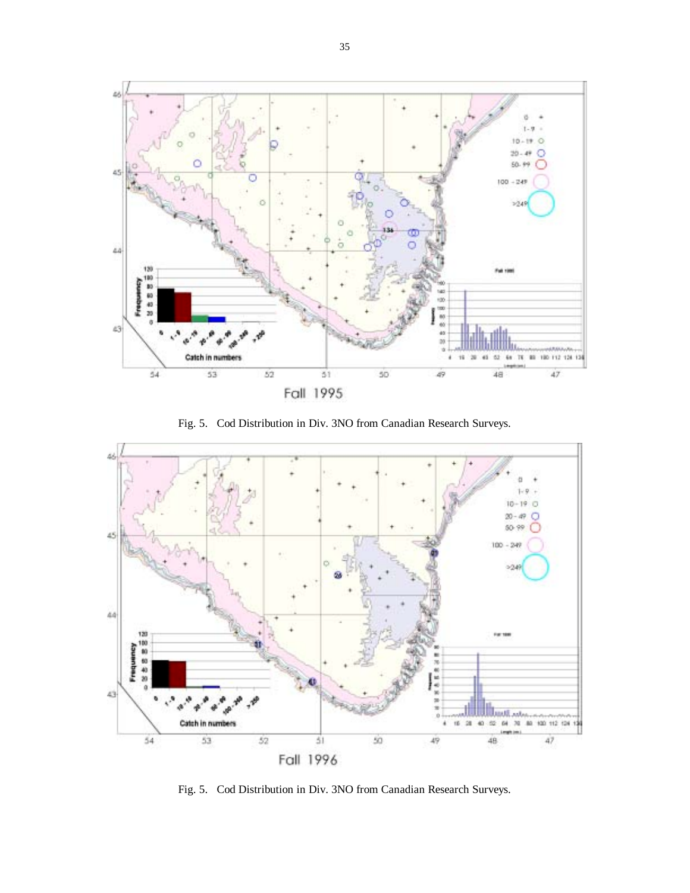

Fig. 5. Cod Distribution in Div. 3NO from Canadian Research Surveys.



Fig. 5. Cod Distribution in Div. 3NO from Canadian Research Surveys.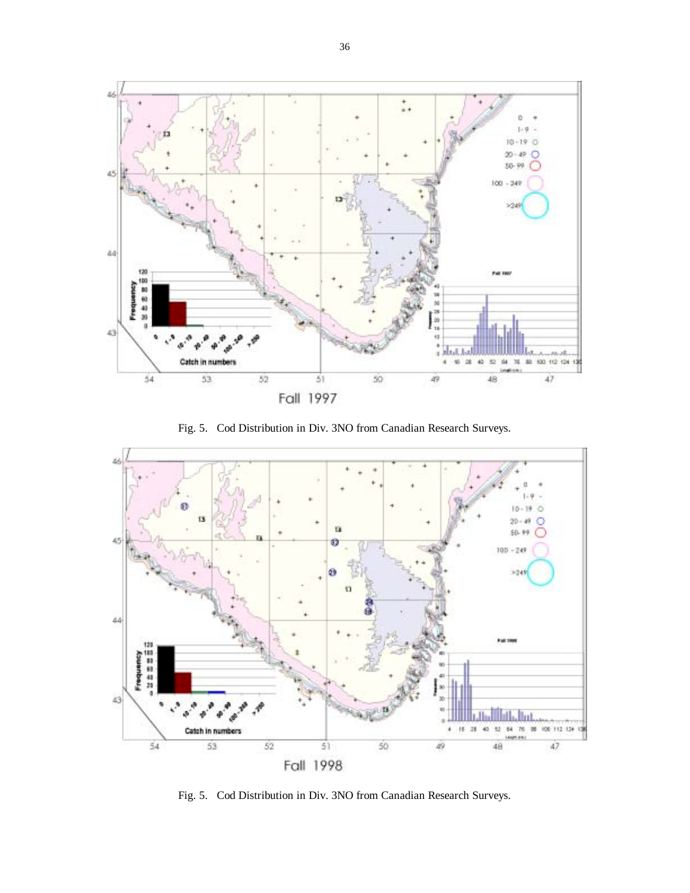

Fig. 5. Cod Distribution in Div. 3NO from Canadian Research Surveys.



Fig. 5. Cod Distribution in Div. 3NO from Canadian Research Surveys.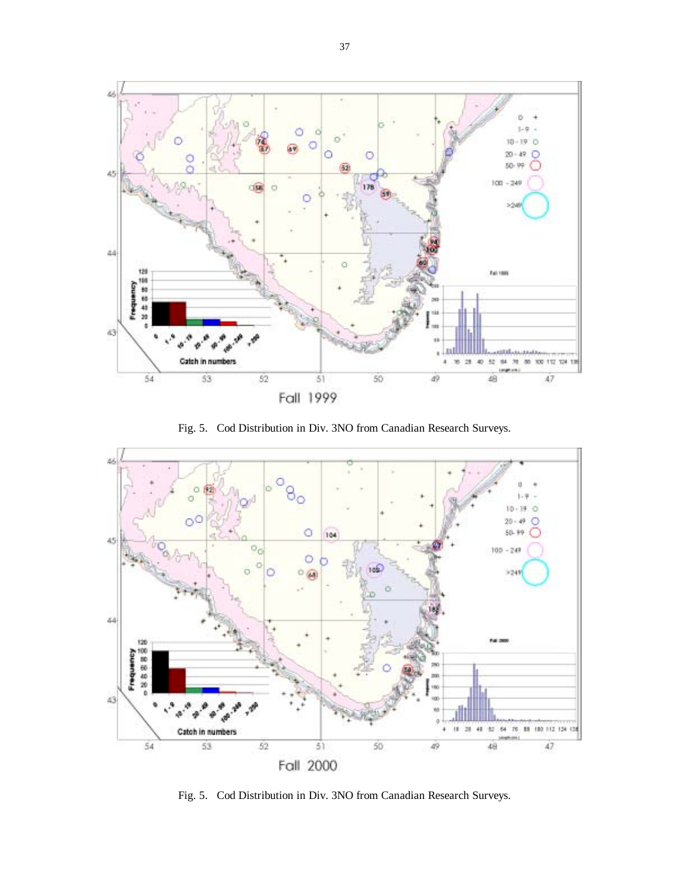

Fig. 5. Cod Distribution in Div. 3NO from Canadian Research Surveys.



Fig. 5. Cod Distribution in Div. 3NO from Canadian Research Surveys.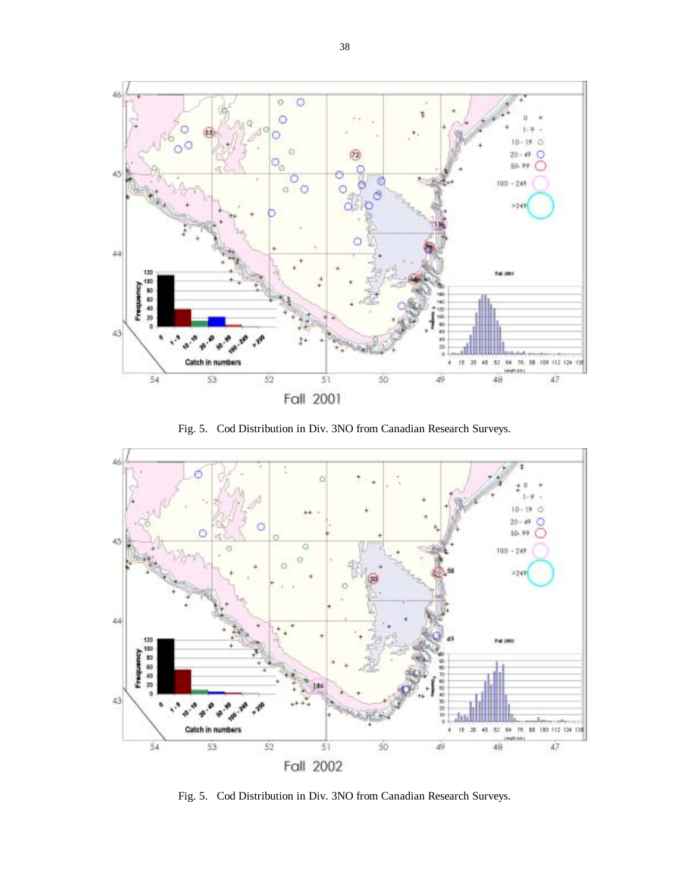

Fig. 5. Cod Distribution in Div. 3NO from Canadian Research Surveys.



Fig. 5. Cod Distribution in Div. 3NO from Canadian Research Surveys.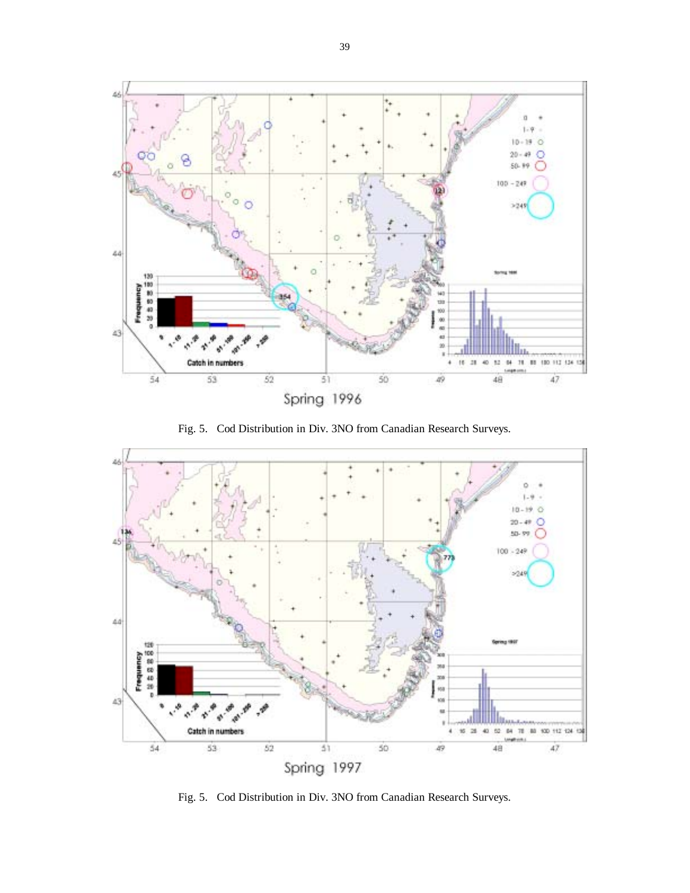

Fig. 5. Cod Distribution in Div. 3NO from Canadian Research Surveys.



Fig. 5. Cod Distribution in Div. 3NO from Canadian Research Surveys.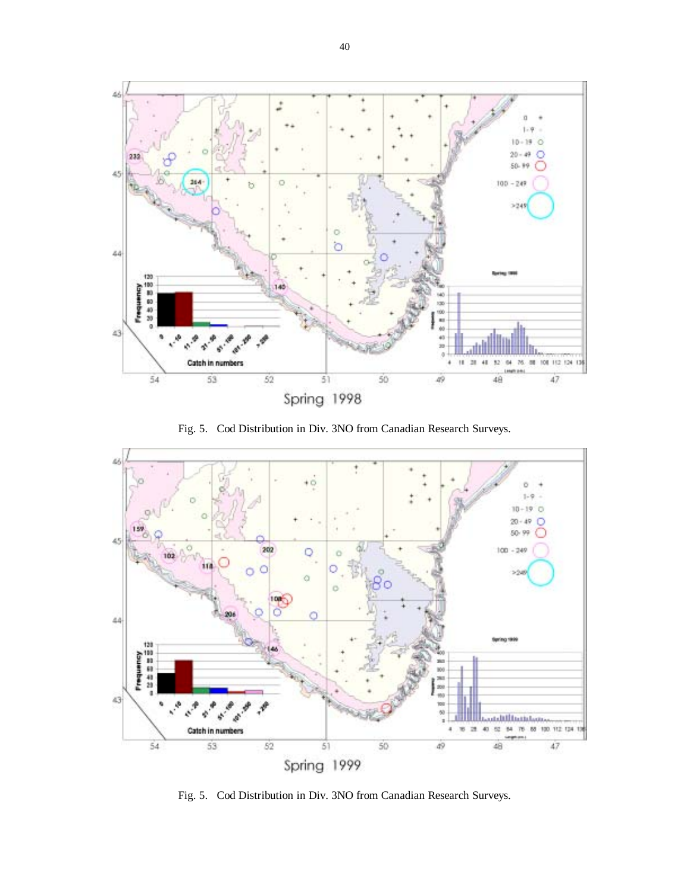

Fig. 5. Cod Distribution in Div. 3NO from Canadian Research Surveys.



Fig. 5. Cod Distribution in Div. 3NO from Canadian Research Surveys.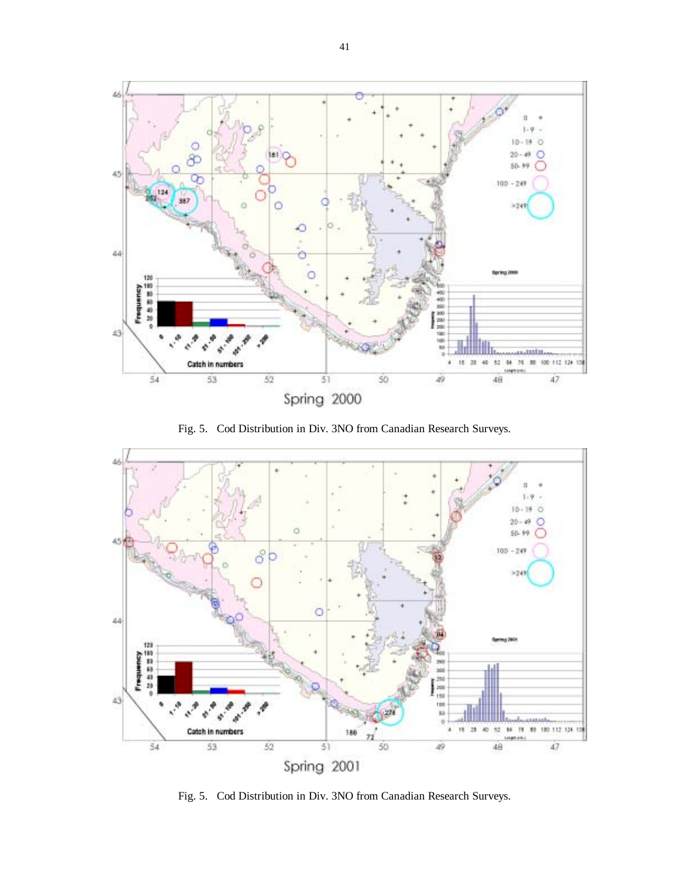

Fig. 5. Cod Distribution in Div. 3NO from Canadian Research Surveys.



Fig. 5. Cod Distribution in Div. 3NO from Canadian Research Surveys.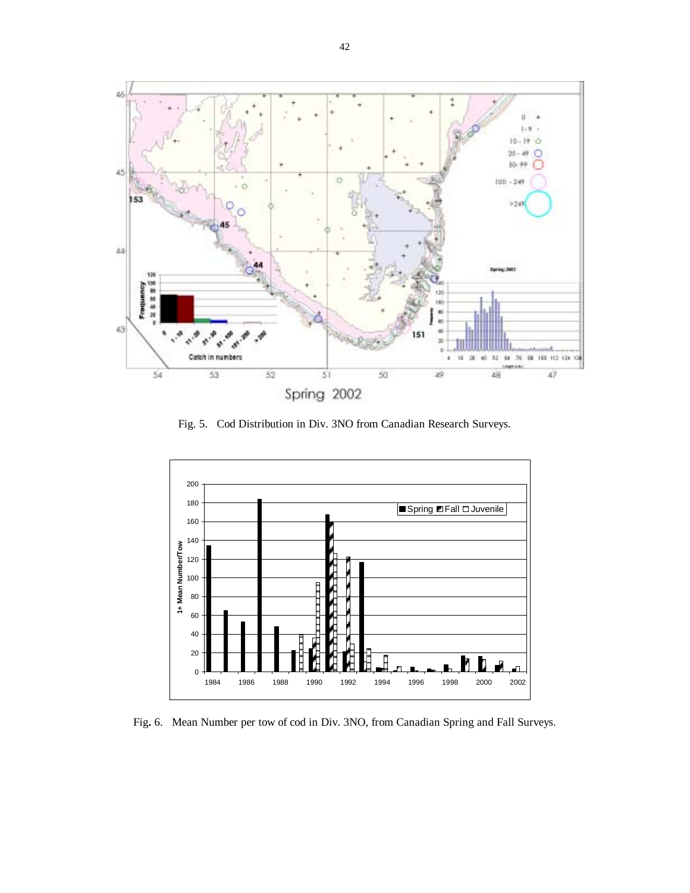

Fig. 5. Cod Distribution in Div. 3NO from Canadian Research Surveys.



Fig**.** 6.Mean Number per tow of cod in Div. 3NO, from Canadian Spring and Fall Surveys.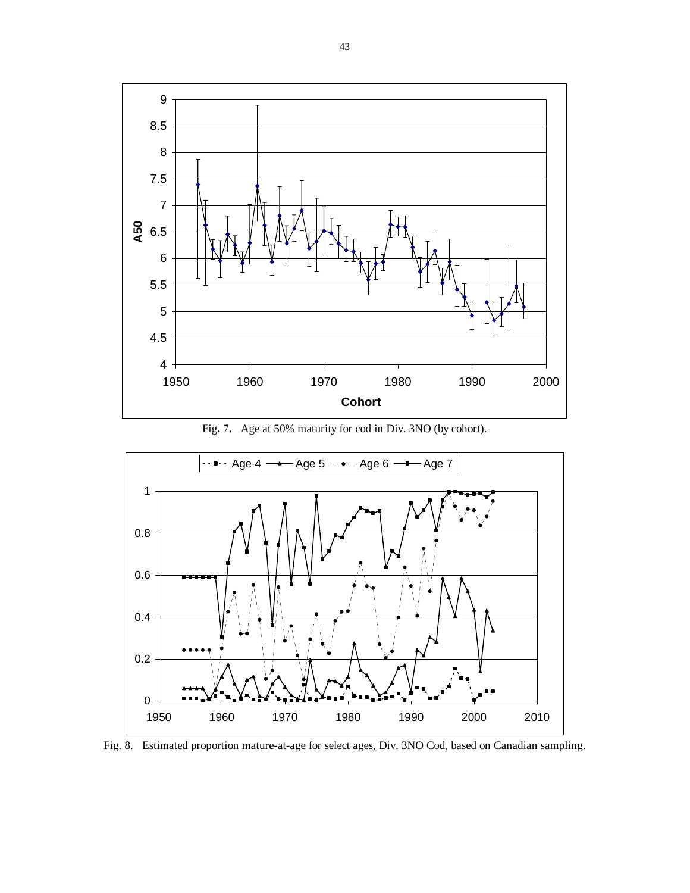

Fig**.** 7**.** Age at 50% maturity for cod in Div. 3NO (by cohort).



Fig. 8.Estimated proportion mature-at-age for select ages, Div. 3NO Cod, based on Canadian sampling.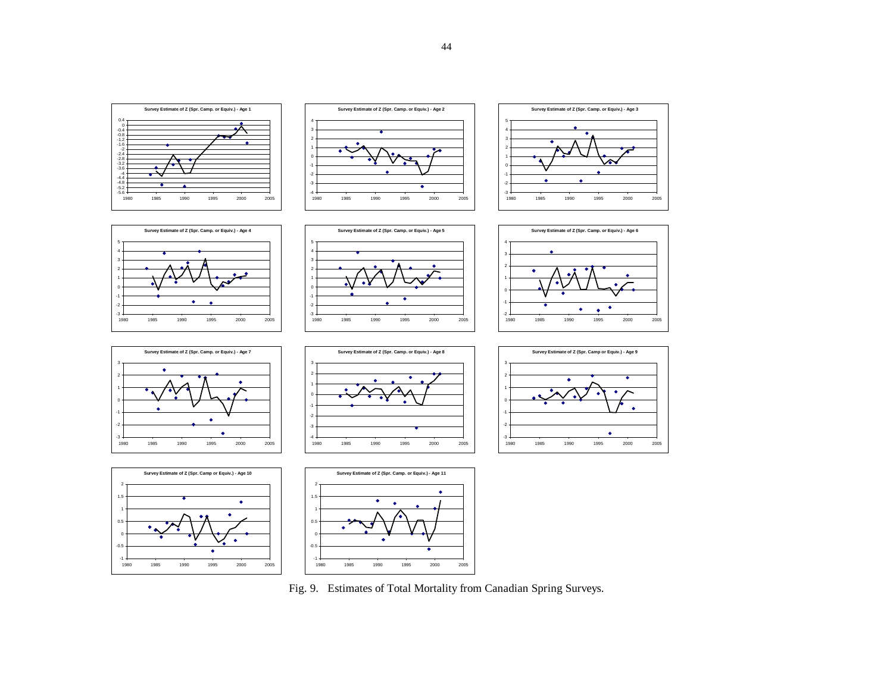

Fig. 9. Estimates of Total Mortality from Canadian Spring Surveys.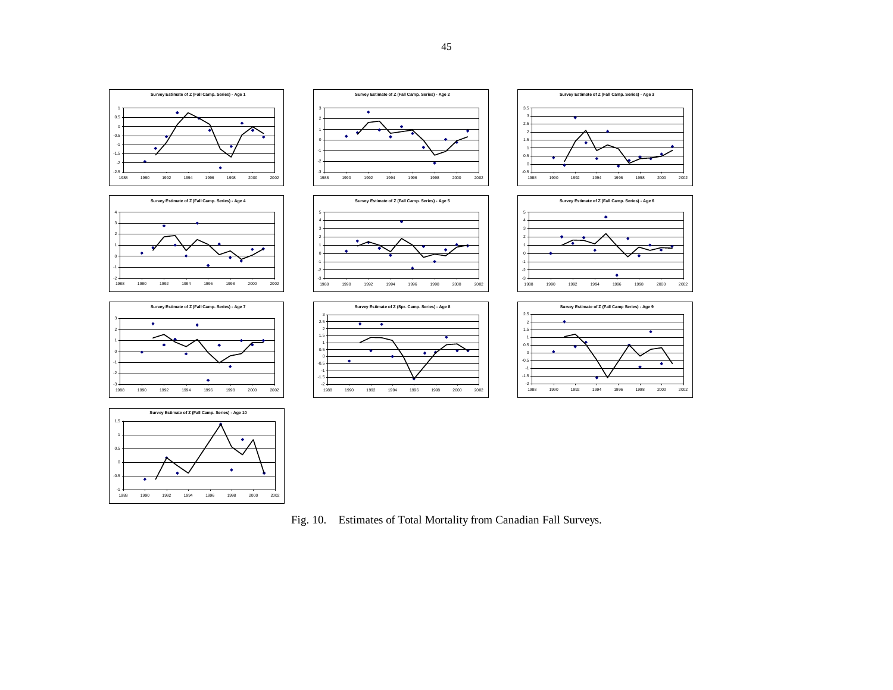

-11988 -0.5

1988 1990 1992 1994 1996 1998 2000 2002

 $\bullet$ 

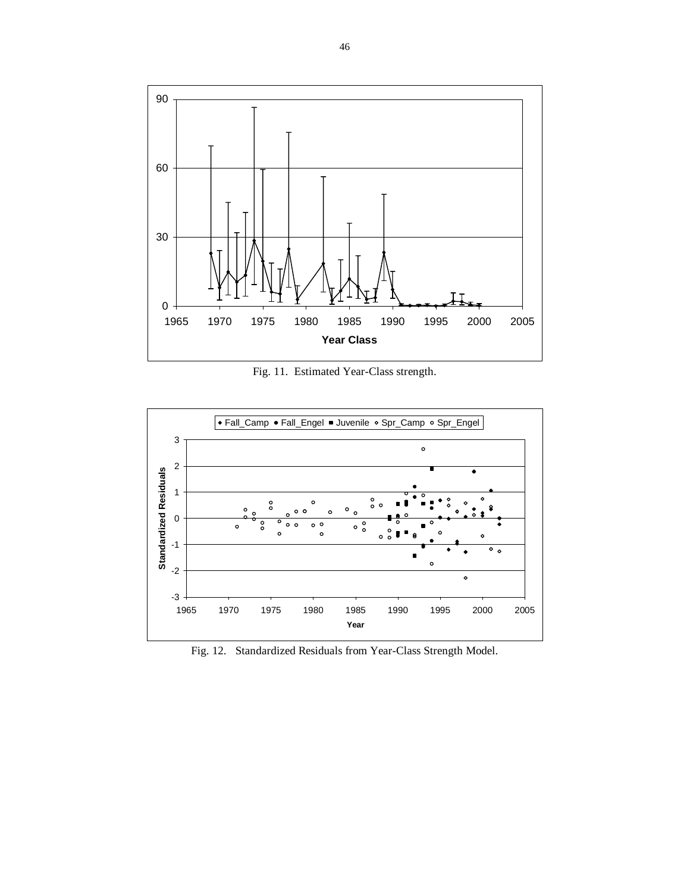

Fig. 11.Estimated Year-Class strength.



Fig. 12.Standardized Residuals from Year-Class Strength Model.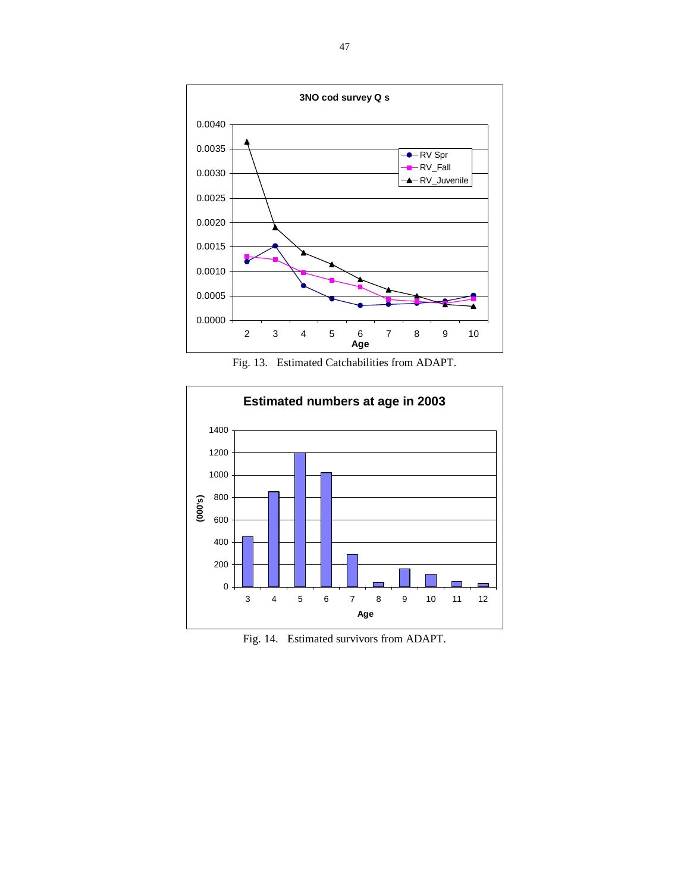

Fig. 13.Estimated Catchabilities from ADAPT.



Fig. 14.Estimated survivors from ADAPT.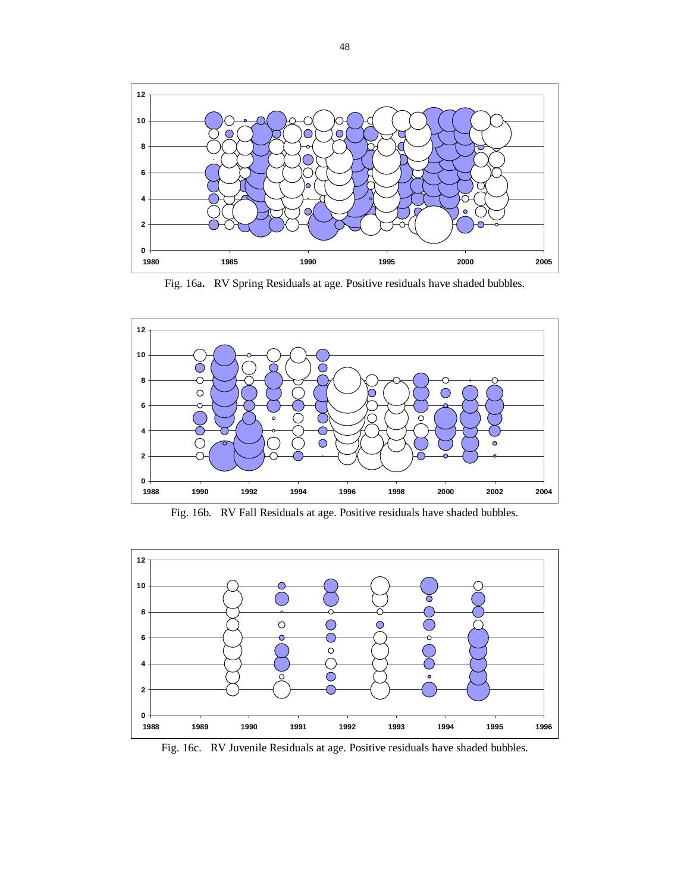

Fig. 16a**.** RV Spring Residuals at age. Positive residuals have shaded bubbles.



Fig. 16b.RV Fall Residuals at age. Positive residuals have shaded bubbles.



Fig. 16c.RV Juvenile Residuals at age. Positive residuals have shaded bubbles.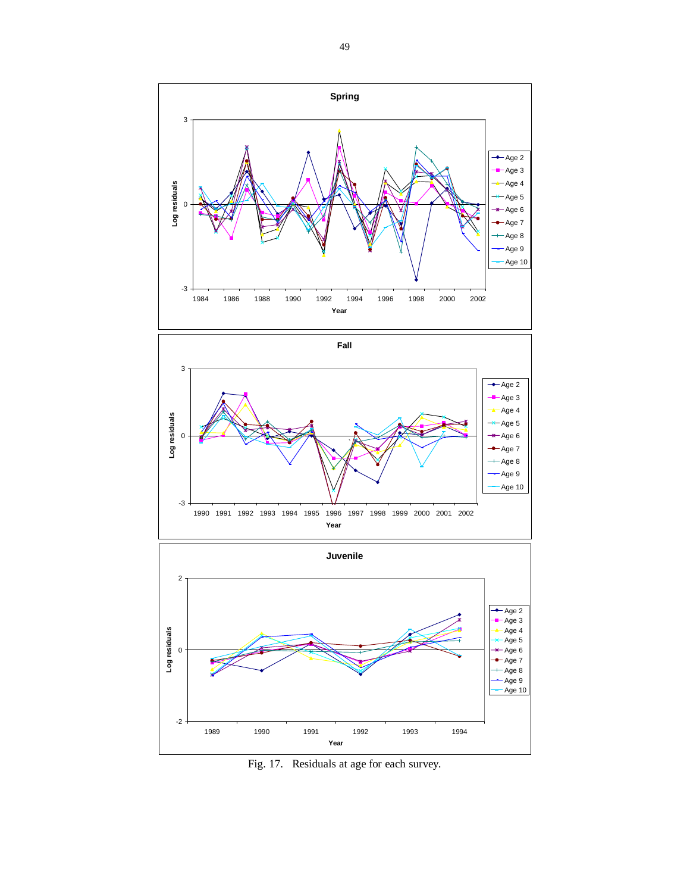





Fig. 17.Residuals at age for each survey.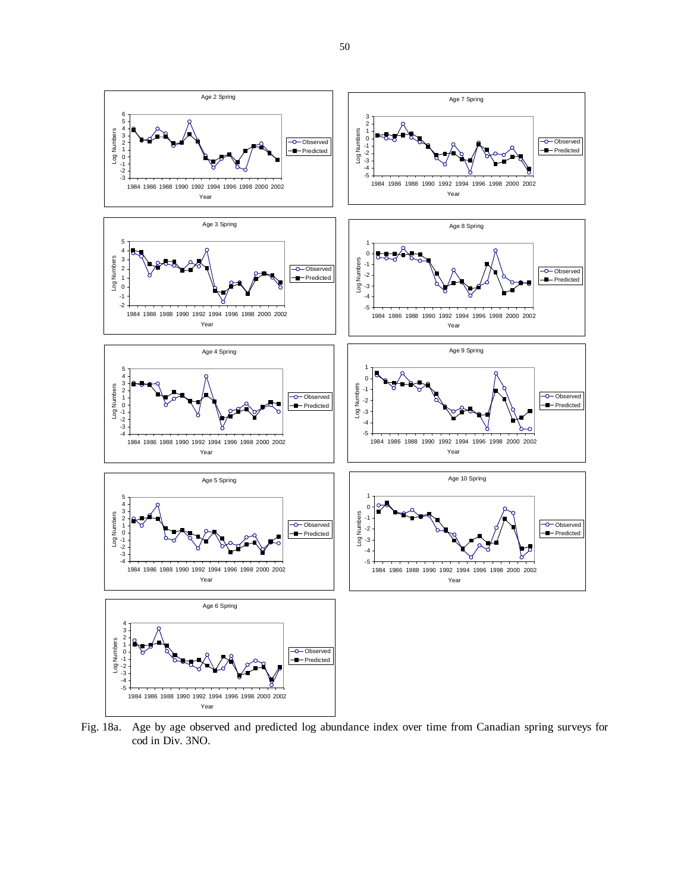

Fig. 18a. Age by age observed and predicted log abundance index over time from Canadian spring surveys for cod in Div. 3NO.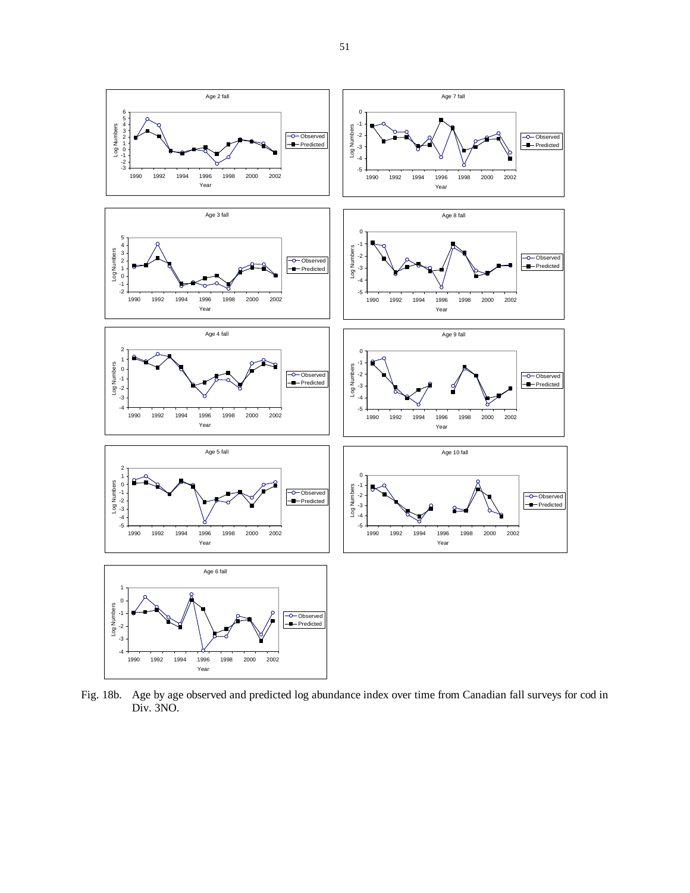

Fig. 18b. Age by age observed and predicted log abundance index over time from Canadian fall surveys for cod in Div. 3NO.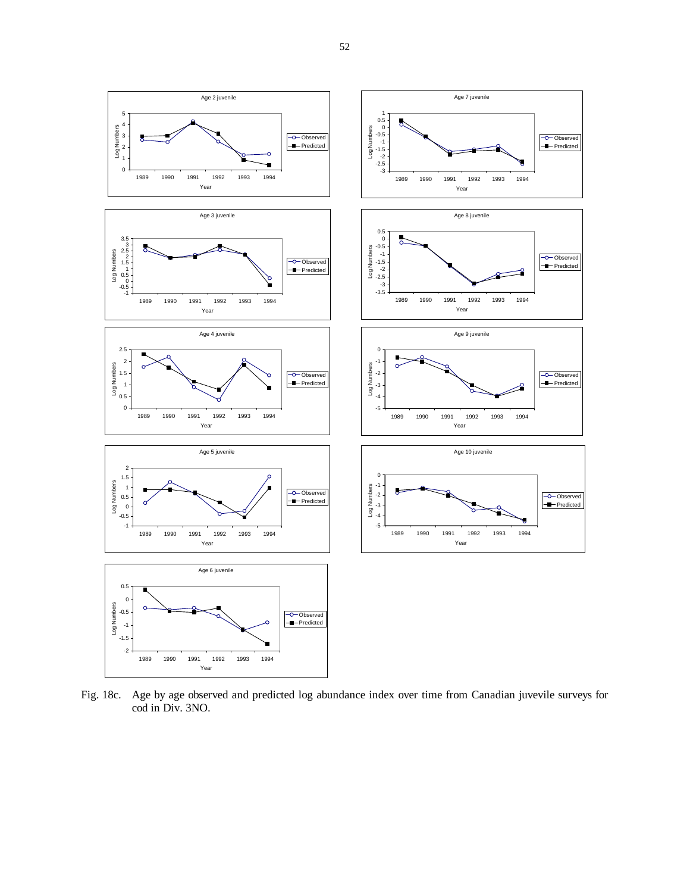

Fig. 18c. Age by age observed and predicted log abundance index over time from Canadian juvevile surveys for cod in Div. 3NO.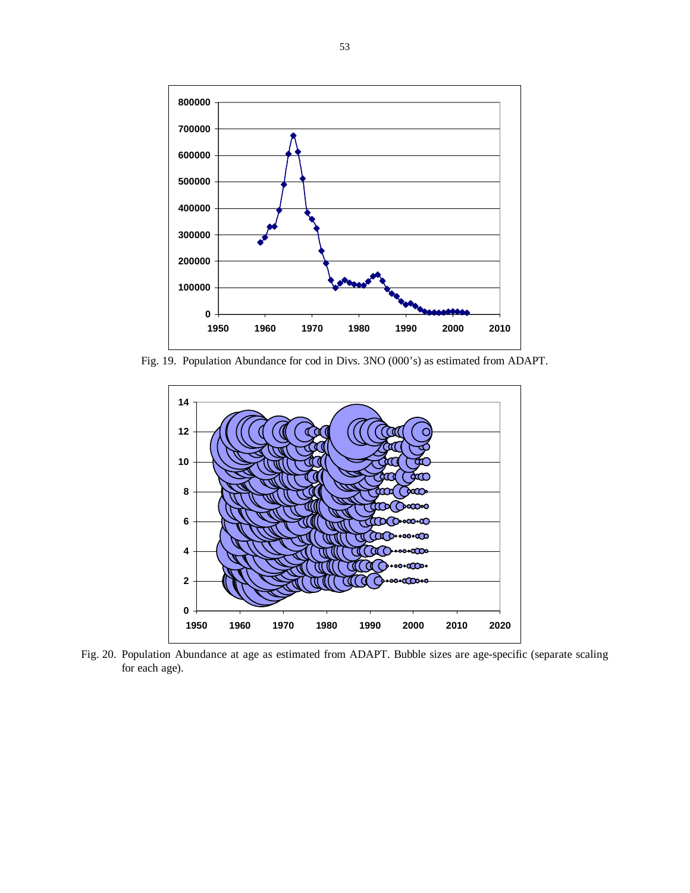

Fig. 19.Population Abundance for cod in Divs. 3NO (000's) as estimated from ADAPT.



Fig. 20. Population Abundance at age as estimated from ADAPT. Bubble sizes are age-specific (separate scaling for each age).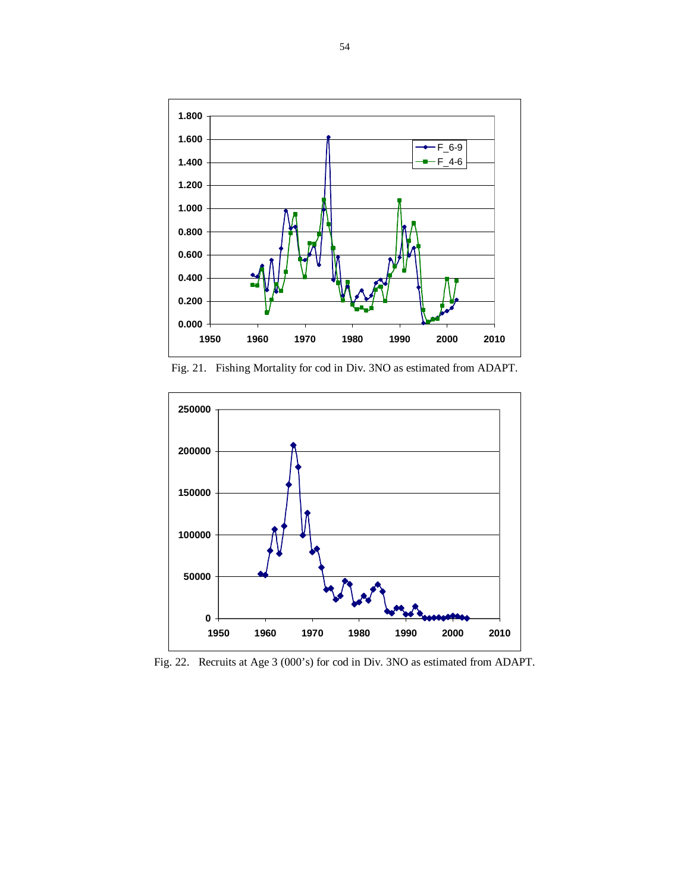

Fig. 21.Fishing Mortality for cod in Div. 3NO as estimated from ADAPT.



Fig. 22. Recruits at Age 3 (000's) for cod in Div. 3NO as estimated from ADAPT.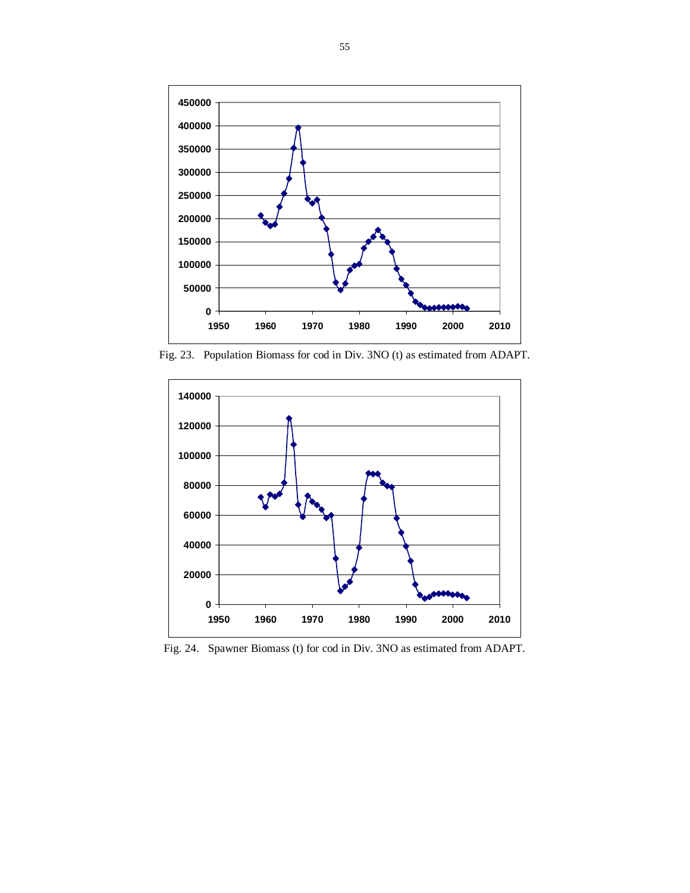

Fig. 23.Population Biomass for cod in Div. 3NO (t) as estimated from ADAPT.



Fig. 24.Spawner Biomass (t) for cod in Div. 3NO as estimated from ADAPT.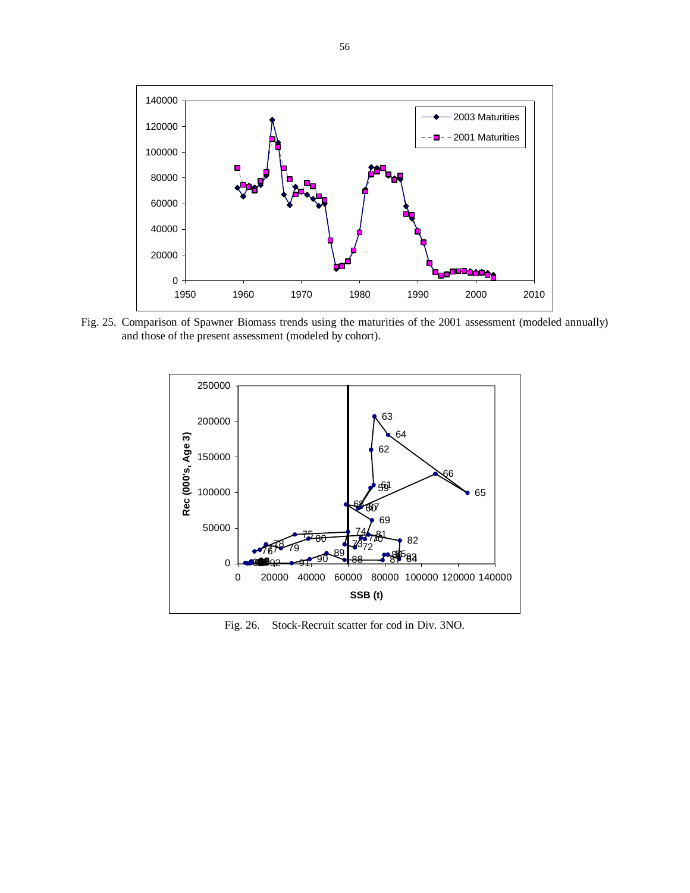

Fig. 25. Comparison of Spawner Biomass trends using the maturities of the 2001 assessment (modeled annually) and those of the present assessment (modeled by cohort).



Fig. 26.Stock-Recruit scatter for cod in Div. 3NO.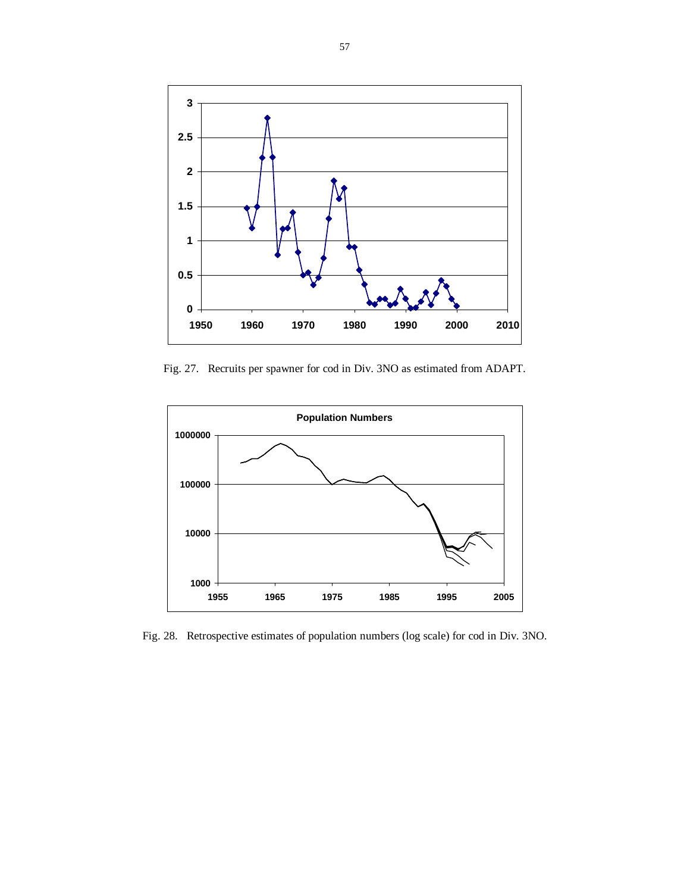

Fig. 27.Recruits per spawner for cod in Div. 3NO as estimated from ADAPT.



Fig. 28.Retrospective estimates of population numbers (log scale) for cod in Div. 3NO.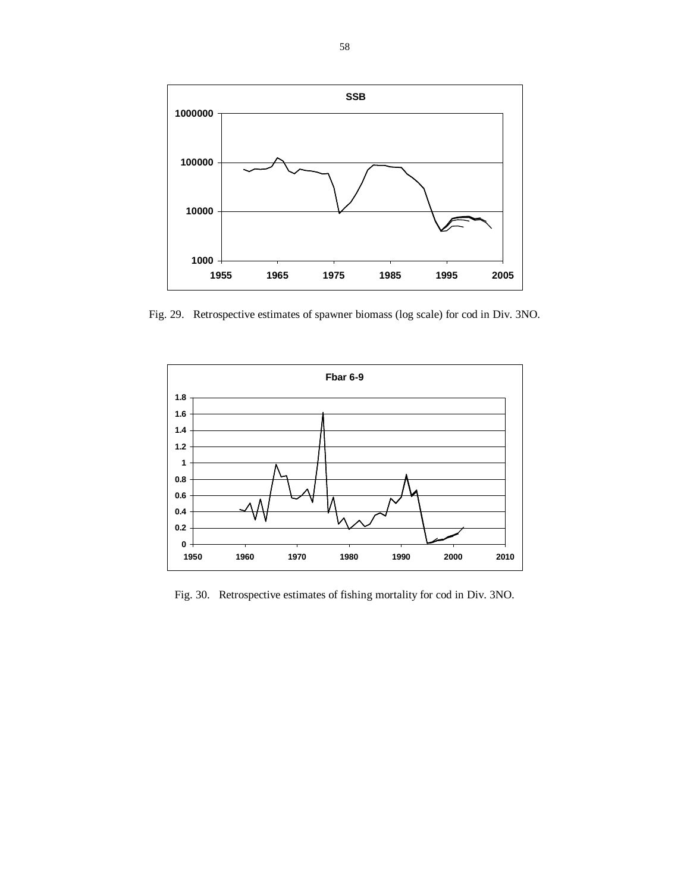

Fig. 29.Retrospective estimates of spawner biomass (log scale) for cod in Div. 3NO.



Fig. 30.Retrospective estimates of fishing mortality for cod in Div. 3NO.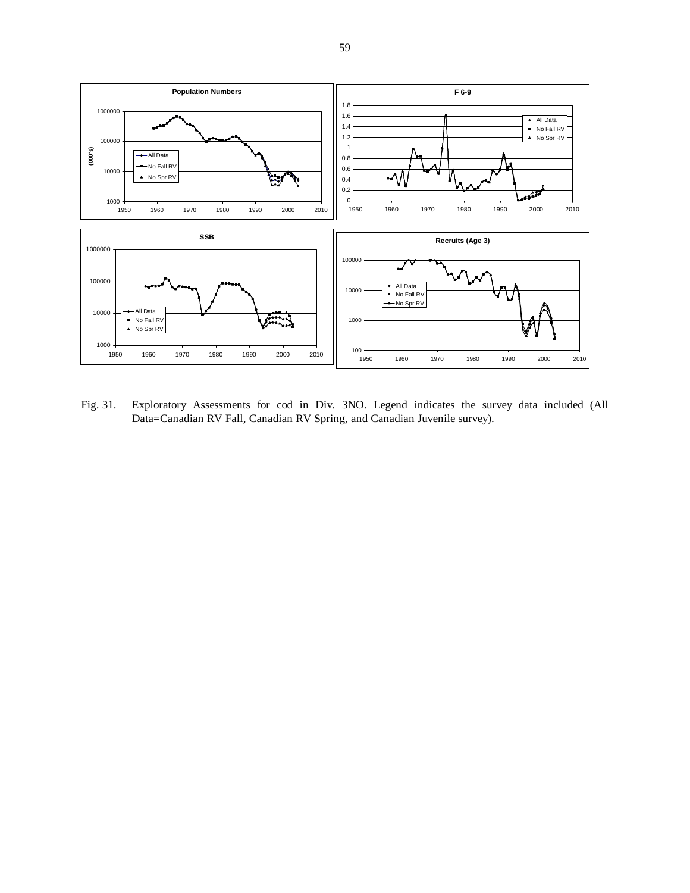

Fig. 31. Exploratory Assessments for cod in Div. 3NO. Legend indicates the survey data included (All Data=Canadian RV Fall, Canadian RV Spring, and Canadian Juvenile survey).